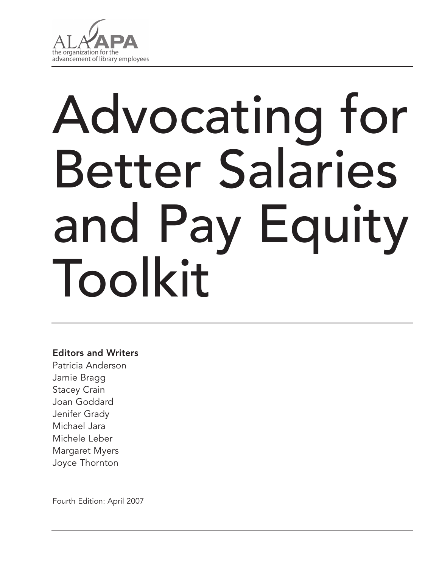

# Advocating for Better Salaries and Pay Equity Toolkit

## Editors and Writers

Patricia Anderson Jamie Bragg Stacey Crain Joan Goddard Jenifer Grady Michael Jara Michele Leber Margaret Myers Joyce Thornton

Fourth Edition: April 2007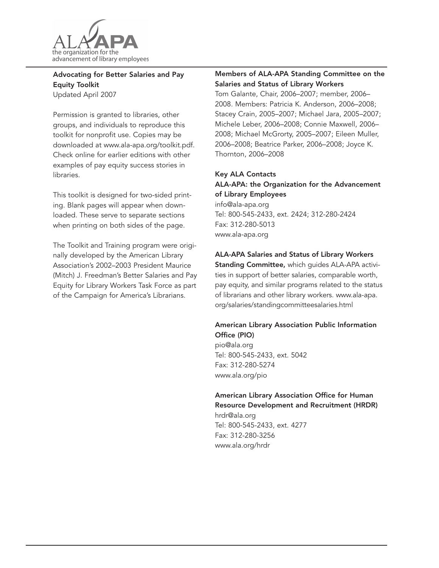

#### Advocating for Better Salaries and Pay Equity Toolkit Updated April 2007

Permission is granted to libraries, other groups, and individuals to reproduce this

toolkit for nonprofit use. Copies may be downloaded at www.ala-apa.org/toolkit.pdf. Check online for earlier editions with other examples of pay equity success stories in libraries.

This toolkit is designed for two-sided printing. Blank pages will appear when downloaded. These serve to separate sections when printing on both sides of the page.

The Toolkit and Training program were originally developed by the American Library Association's 2002–2003 President Maurice (Mitch) J. Freedman's Better Salaries and Pay Equity for Library Workers Task Force as part of the Campaign for America's Librarians.

#### Members of ALA-APA Standing Committee on the Salaries and Status of Library Workers

Tom Galante, Chair, 2006–2007; member, 2006– 2008. Members: Patricia K. Anderson, 2006–2008; Stacey Crain, 2005–2007; Michael Jara, 2005–2007; Michele Leber, 2006–2008; Connie Maxwell, 2006– 2008; Michael McGrorty, 2005–2007; Eileen Muller, 2006–2008; Beatrice Parker, 2006–2008; Joyce K. Thornton, 2006–2008

#### Key ALA Contacts

#### ALA-APA: the Organization for the Advancement of Library Employees

info@ala-apa.org Tel: 800-545-2433, ext. 2424; 312-280-2424 Fax: 312-280-5013 www.ala-apa.org

#### ALA-APA Salaries and Status of Library Workers

Standing Committee, which guides ALA-APA activities in support of better salaries, comparable worth, pay equity, and similar programs related to the status of librarians and other library workers. www.ala-apa. org/salaries/standingcommitteesalaries.html

#### American Library Association Public Information Office (PIO)

pio@ala.org Tel: 800-545-2433, ext. 5042 Fax: 312-280-5274 www.ala.org/pio

#### American Library Association Office for Human Resource Development and Recruitment (HRDR)

hrdr@ala.org Tel: 800-545-2433, ext. 4277 Fax: 312-280-3256 www.ala.org/hrdr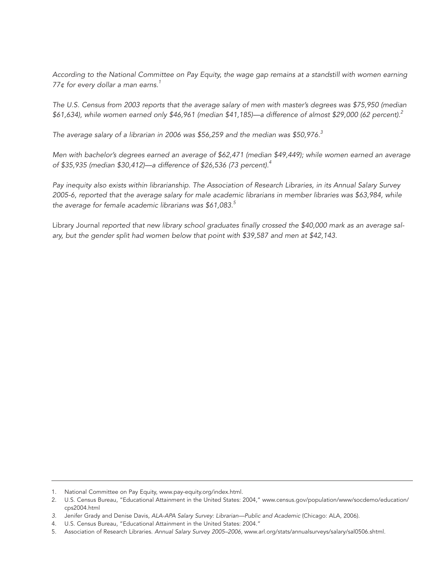*According to the National Committee on Pay Equity, the wage gap remains at a standstill with women earning 77¢ for every dollar a man earns.1*

*The U.S. Census from 2003 reports that the average salary of men with master's degrees was \$75,950 (median \$61,634), while women earned only \$46,961 (median \$41,185)—a difference of almost \$29,000 (62 percent).2*

*The average salary of a librarian in 2006 was \$56,259 and the median was \$50,976.3*

*Men with bachelor's degrees earned an average of \$62,471 (median \$49,449); while women earned an average of \$35,935 (median \$30,412)—a difference of \$26,536 (73 percent).4*

*Pay inequity also exists within librarianship. The Association of Research Libraries, in its Annual Salary Survey 2005-6, reported that the average salary for male academic librarians in member libraries was \$63,984, while the average for female academic librarians was \$61,083.5*

Library Journal *reported that new library school graduates finally crossed the \$40,000 mark as an average salary, but the gender split had women below that point with \$39,587 and men at \$42,143.*

<sup>1.</sup> National Committee on Pay Equity, www.pay-equity.org/index.html.

<sup>2.</sup> U.S. Census Bureau, "Educational Attainment in the United States: 2004," www.census.gov/population/www/socdemo/education/ cps2004.html

*<sup>3.</sup>* Jenifer Grady and Denise Davis, *ALA-APA Salary Survey: Librarian—Public and Academic* (Chicago: ALA, 2006).

<sup>4.</sup> U.S. Census Bureau, "Educational Attainment in the United States: 2004."

<sup>5.</sup> Association of Research Libraries. *Annual Salary Survey 2005–2006,* www.arl.org/stats/annualsurveys/salary/sal0506.shtml.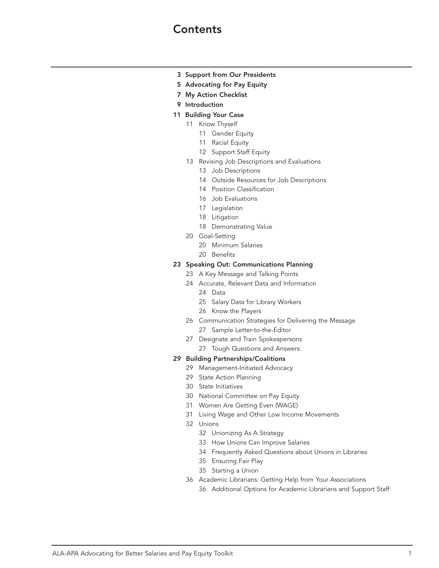# **Contents**

- Support from Our Presidents
- Advocating for Pay Equity
- My Action Checklist
- Introduction
- Building Your Case
	- Know Thyself
		- Gender Equity
		- Racial Equity
		- Support Staff Equity
	- Revising Job Descriptions and Evaluations
		- Job Descriptions
		- Outside Resources for Job Descriptions
		- Position Classification
		- Job Evaluations
		- Legislation
		- Litigation
		- Demonstrating Value
	- Goal-Setting
		- Minimum Salaries
		- Benefits

#### Speaking Out: Communications Planning

- A Key Message and Talking Points
- Accurate, Relevant Data and Information
	- Data
	- Salary Data for Library Workers
	- Know the Players
- Communication Strategies for Delivering the Message Sample Letter-to-the-Editor
- Designate and Train Spokespersons
	- Tough Questions and Answers:

#### Building Partnerships/Coalitions

- Management-Initiated Advocacy
- State Action Planning
- State Initiatives
- National Committee on Pay Equity
- Women Are Getting Even (WAGE)
- Living Wage and Other Low Income Movements
- Unions
	- Unionizing As A Strategy
	- How Unions Can Improve Salaries
	- Frequently Asked Questions about Unions in Libraries
	- Ensuring Fair Play
	- Starting a Union
- Academic Librarians: Getting Help from Your Associations
	- Additional Options for Academic Librarians and Support Staff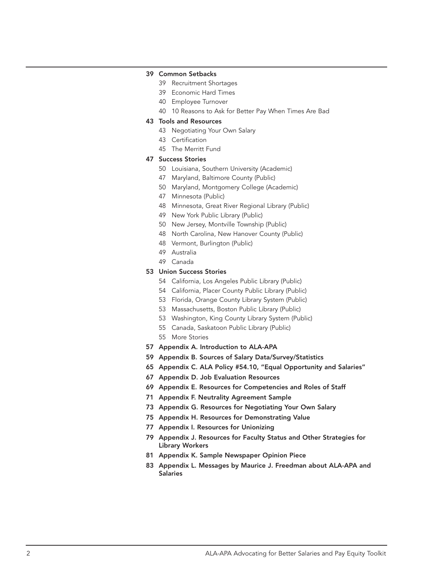#### Common Setbacks

- Recruitment Shortages
- Economic Hard Times
- Employee Turnover
- 10 Reasons to Ask for Better Pay When Times Are Bad

#### Tools and Resources

- Negotiating Your Own Salary
- Certification
- The Merritt Fund

#### Success Stories

- Louisiana, Southern University (Academic)
- Maryland, Baltimore County (Public)
- Maryland, Montgomery College (Academic)
- Minnesota (Public)
- Minnesota, Great River Regional Library (Public)
- New York Public Library (Public)
- New Jersey, Montville Township (Public)
- North Carolina, New Hanover County (Public)
- Vermont, Burlington (Public)
- Australia
- Canada

#### Union Success Stories

- California, Los Angeles Public Library (Public)
- California, Placer County Public Library (Public)
- Florida, Orange County Library System (Public)
- Massachusetts, Boston Public Library (Public)
- Washington, King County Library System (Public)
- Canada, Saskatoon Public Library (Public)
- More Stories
- Appendix A. Introduction to ALA-APA
- Appendix B. Sources of Salary Data/Survey/Statistics
- Appendix C. ALA Policy #54.10, "Equal Opportunity and Salaries"
- Appendix D. Job Evaluation Resources
- Appendix E. Resources for Competencies and Roles of Staff
- Appendix F. Neutrality Agreement Sample
- Appendix G. Resources for Negotiating Your Own Salary
- Appendix H. Resources for Demonstrating Value
- Appendix I. Resources for Unionizing
- Appendix J. Resources for Faculty Status and Other Strategies for Library Workers
- Appendix K. Sample Newspaper Opinion Piece
- Appendix L. Messages by Maurice J. Freedman about ALA-APA and Salaries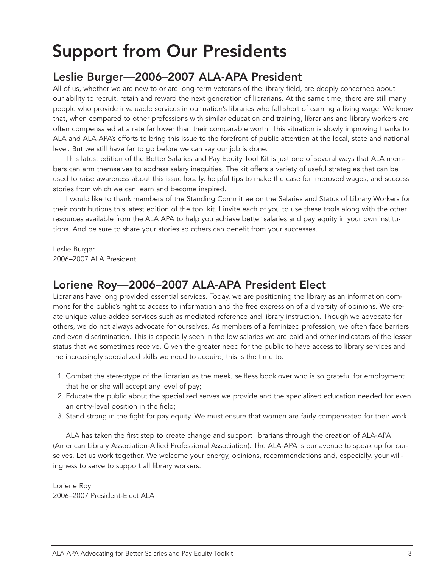# Support from Our Presidents

# Leslie Burger—2006–2007 ALA-APA President

All of us, whether we are new to or are long-term veterans of the library field, are deeply concerned about our ability to recruit, retain and reward the next generation of librarians. At the same time, there are still many people who provide invaluable services in our nation's libraries who fall short of earning a living wage. We know that, when compared to other professions with similar education and training, librarians and library workers are often compensated at a rate far lower than their comparable worth. This situation is slowly improving thanks to ALA and ALA-APA's efforts to bring this issue to the forefront of public attention at the local, state and national level. But we still have far to go before we can say our job is done.

This latest edition of the Better Salaries and Pay Equity Tool Kit is just one of several ways that ALA members can arm themselves to address salary inequities. The kit offers a variety of useful strategies that can be used to raise awareness about this issue locally, helpful tips to make the case for improved wages, and success stories from which we can learn and become inspired.

I would like to thank members of the Standing Committee on the Salaries and Status of Library Workers for their contributions this latest edition of the tool kit. I invite each of you to use these tools along with the other resources available from the ALA APA to help you achieve better salaries and pay equity in your own institutions. And be sure to share your stories so others can benefit from your successes.

Leslie Burger 2006–2007 ALA President

# Loriene Roy—2006–2007 ALA-APA President Elect

Librarians have long provided essential services. Today, we are positioning the library as an information commons for the public's right to access to information and the free expression of a diversity of opinions. We create unique value-added services such as mediated reference and library instruction. Though we advocate for others, we do not always advocate for ourselves. As members of a feminized profession, we often face barriers and even discrimination. This is especially seen in the low salaries we are paid and other indicators of the lesser status that we sometimes receive. Given the greater need for the public to have access to library services and the increasingly specialized skills we need to acquire, this is the time to:

- 1. Combat the stereotype of the librarian as the meek, selfless booklover who is so grateful for employment that he or she will accept any level of pay;
- 2. Educate the public about the specialized serves we provide and the specialized education needed for even an entry-level position in the field;
- 3. Stand strong in the fight for pay equity. We must ensure that women are fairly compensated for their work.

ALA has taken the first step to create change and support librarians through the creation of ALA-APA (American Library Association-Allied Professional Association). The ALA-APA is our avenue to speak up for ourselves. Let us work together. We welcome your energy, opinions, recommendations and, especially, your willingness to serve to support all library workers.

Loriene Roy 2006–2007 President-Elect ALA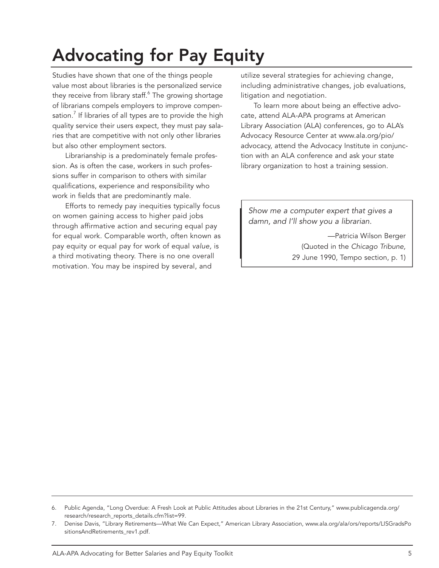# Advocating for Pay Equity

Studies have shown that one of the things people value most about libraries is the personalized service they receive from library staff.<sup>6</sup> The growing shortage of librarians compels employers to improve compensation.<sup>7</sup> If libraries of all types are to provide the high quality service their users expect, they must pay salaries that are competitive with not only other libraries but also other employment sectors.

Librarianship is a predominately female profession. As is often the case, workers in such professions suffer in comparison to others with similar qualifications, experience and responsibility who work in fields that are predominantly male.

Efforts to remedy pay inequities typically focus on women gaining access to higher paid jobs through affirmative action and securing equal pay for equal work. Comparable worth, often known as pay equity or equal pay for work of equal *value,* is a third motivating theory. There is no one overall motivation. You may be inspired by several, and

utilize several strategies for achieving change, including administrative changes, job evaluations, litigation and negotiation.

To learn more about being an effective advocate, attend ALA-APA programs at American Library Association (ALA) conferences, go to ALA's Advocacy Resource Center at www.ala.org/pio/ advocacy, attend the Advocacy Institute in conjunction with an ALA conference and ask your state library organization to host a training session.

*Show me a computer expert that gives a damn, and I'll show you a librarian.* 

> —Patricia Wilson Berger (Quoted in the *Chicago Tribune,*  29 June 1990, Tempo section, p. 1)

<sup>6.</sup> Public Agenda, "Long Overdue: A Fresh Look at Public Attitudes about Libraries in the 21st Century," www.publicagenda.org/ research/research\_reports\_details.cfm?list=99.

<sup>7.</sup> Denise Davis, "Library Retirements—What We Can Expect," American Library Association, www.ala.org/ala/ors/reports/LISGradsPo sitionsAndRetirements\_rev1.pdf.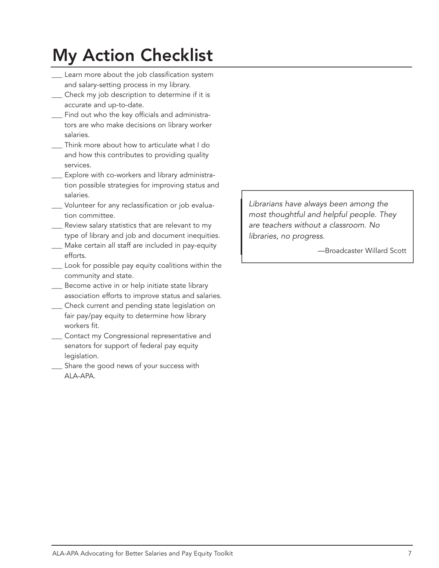# My Action Checklist

- \_\_\_ Learn more about the job classification system and salary-setting process in my library.
- \_\_\_ Check my job description to determine if it is accurate and up-to-date.
- \_\_\_ Find out who the key officials and administrators are who make decisions on library worker salaries.
- Think more about how to articulate what I do and how this contributes to providing quality services.
- \_\_\_ Explore with co-workers and library administration possible strategies for improving status and salaries.
- \_\_\_ Volunteer for any reclassification or job evaluation committee.
- Review salary statistics that are relevant to my type of library and job and document inequities. Make certain all staff are included in pay-equity efforts.
- \_\_\_ Look for possible pay equity coalitions within the community and state.
- \_\_\_ Become active in or help initiate state library association efforts to improve status and salaries.
- Check current and pending state legislation on fair pay/pay equity to determine how library workers fit.
- \_\_\_ Contact my Congressional representative and senators for support of federal pay equity legislation.
- Share the good news of your success with ALA-APA.

*Librarians have always been among the most thoughtful and helpful people. They are teachers without a classroom. No libraries, no progress.*

—Broadcaster Willard Scott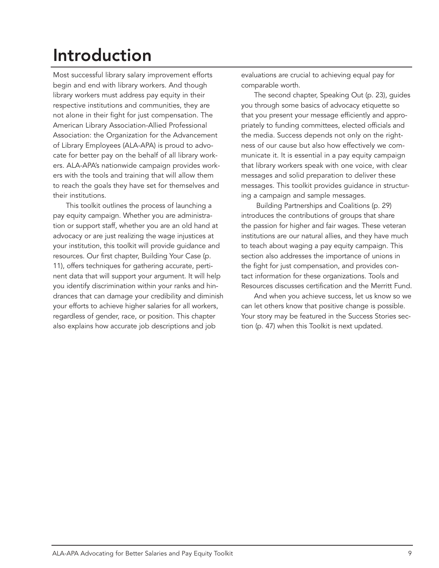# Introduction

Most successful library salary improvement efforts begin and end with library workers. And though library workers must address pay equity in their respective institutions and communities, they are not alone in their fight for just compensation. The American Library Association-Allied Professional Association: the Organization for the Advancement of Library Employees (ALA-APA) is proud to advocate for better pay on the behalf of all library workers. ALA-APA's nationwide campaign provides workers with the tools and training that will allow them to reach the goals they have set for themselves and their institutions.

This toolkit outlines the process of launching a pay equity campaign. Whether you are administration or support staff, whether you are an old hand at advocacy or are just realizing the wage injustices at your institution, this toolkit will provide guidance and resources. Our first chapter, Building Your Case (p. 11), offers techniques for gathering accurate, pertinent data that will support your argument. It will help you identify discrimination within your ranks and hindrances that can damage your credibility and diminish your efforts to achieve higher salaries for all workers, regardless of gender, race, or position. This chapter also explains how accurate job descriptions and job

evaluations are crucial to achieving equal pay for comparable worth.

The second chapter, Speaking Out (p. 23), guides you through some basics of advocacy etiquette so that you present your message efficiently and appropriately to funding committees, elected officials and the media. Success depends not only on the rightness of our cause but also how effectively we communicate it. It is essential in a pay equity campaign that library workers speak with one voice, with clear messages and solid preparation to deliver these messages. This toolkit provides guidance in structuring a campaign and sample messages.

 Building Partnerships and Coalitions (p. 29) introduces the contributions of groups that share the passion for higher and fair wages. These veteran institutions are our natural allies, and they have much to teach about waging a pay equity campaign. This section also addresses the importance of unions in the fight for just compensation, and provides contact information for these organizations. Tools and Resources discusses certification and the Merritt Fund.

And when you achieve success, let us know so we can let others know that positive change is possible. Your story may be featured in the Success Stories section (p. 47) when this Toolkit is next updated.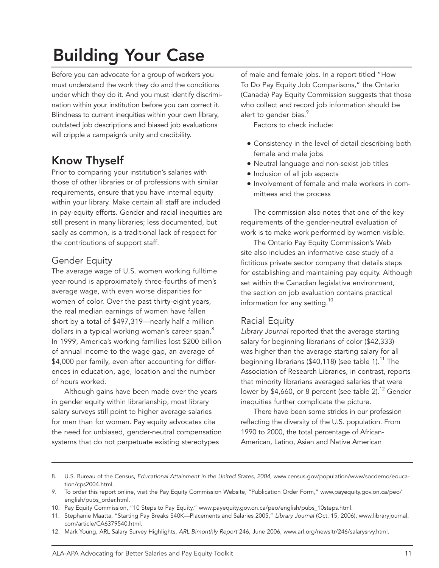# Building Your Case

Before you can advocate for a group of workers you must understand the work they do and the conditions under which they do it. And you must identify discrimination within your institution before you can correct it. Blindness to current inequities within your own library, outdated job descriptions and biased job evaluations will cripple a campaign's unity and credibility.

# Know Thyself

Prior to comparing your institution's salaries with those of other libraries or of professions with similar requirements, ensure that you have internal equity within your library. Make certain all staff are included in pay-equity efforts. Gender and racial inequities are still present in many libraries; less documented, but sadly as common, is a traditional lack of respect for the contributions of support staff.

## Gender Equity

The average wage of U.S. women working fulltime year-round is approximately three-fourths of men's average wage, with even worse disparities for women of color. Over the past thirty-eight years, the real median earnings of women have fallen short by a total of \$497,319—nearly half a million dollars in a typical working woman's career span.<sup>8</sup> In 1999, America's working families lost \$200 billion of annual income to the wage gap, an average of \$4,000 per family, even after accounting for differences in education, age, location and the number of hours worked.

Although gains have been made over the years in gender equity within librarianship, most library salary surveys still point to higher average salaries for men than for women. Pay equity advocates cite the need for unbiased, gender-neutral compensation systems that do not perpetuate existing stereotypes

of male and female jobs. In a report titled "How To Do Pay Equity Job Comparisons," the Ontario (Canada) Pay Equity Commission suggests that those who collect and record job information should be alert to gender bias.<sup>9</sup>

Factors to check include:

- Consistency in the level of detail describing both female and male jobs
- Neutral language and non-sexist job titles
- Inclusion of all job aspects
- Involvement of female and male workers in committees and the process

The commission also notes that one of the key requirements of the gender-neutral evaluation of work is to make work performed by women visible.

The Ontario Pay Equity Commission's Web site also includes an informative case study of a fictitious private sector company that details steps for establishing and maintaining pay equity. Although set within the Canadian legislative environment, the section on job evaluation contains practical information for any setting.<sup>10</sup>

# Racial Equity

*Library Journal* reported that the average starting salary for beginning librarians of color (\$42,333) was higher than the average starting salary for all beginning librarians (\$40,118) (see table 1).<sup>11</sup> The Association of Research Libraries, in contrast, reports that minority librarians averaged salaries that were lower by \$4,660, or 8 percent (see table 2).<sup>12</sup> Gender inequities further complicate the picture.

There have been some strides in our profession reflecting the diversity of the U.S. population. From 1990 to 2000, the total percentage of African-American, Latino, Asian and Native American

10. Pay Equity Commission, "10 Steps to Pay Equity," www.payequity.gov.on.ca/peo/english/pubs\_10steps.html.

<sup>8.</sup> U.S. Bureau of the Census, *Educational Attainment in the United States, 2004*, www.census.gov/population/www/socdemo/education/cps2004.html.

<sup>9.</sup> To order this report online, visit the Pay Equity Commission Website, "Publication Order Form," www.payequity.gov.on.ca/peo/ english/pubs\_order.html.

<sup>11.</sup> Stephanie Maatta, "Starting Pay Breaks \$40K—Placements and Salaries 2005," *Library Journal* (Oct. 15, 2006), www.libraryjournal. com/article/CA6379540.html.

<sup>12.</sup> Mark Young, ARL Salary Survey Highlights, *ARL Bimonthly Report* 246, June 2006, www.arl.org/newsltr/246/salarysrvy.html.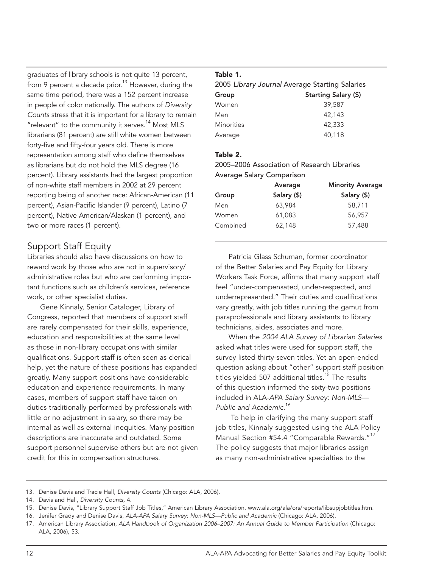graduates of library schools is not quite 13 percent, from 9 percent a decade prior.<sup>13</sup> However, during the same time period, there was a 152 percent increase in people of color nationally. The authors of *Diversity Counts* stress that it is important for a library to remain "relevant" to the community it serves.<sup>14</sup> Most MLS librarians (81 percent) are still white women between forty-five and fifty-four years old. There is more representation among staff who define themselves as librarians but do not hold the MLS degree (16 percent). Library assistants had the largest proportion of non-white staff members in 2002 at 29 percent reporting being of another race: African-American (11 percent), Asian-Pacific Islander (9 percent), Latino (7 percent), Native American/Alaskan (1 percent), and two or more races (1 percent).

# Support Staff Equity

Libraries should also have discussions on how to reward work by those who are not in supervisory/ administrative roles but who are performing important functions such as children's services, reference work, or other specialist duties.

Gene Kinnaly, Senior Cataloger, Library of Congress, reported that members of support staff are rarely compensated for their skills, experience, education and responsibilities at the same level as those in non-library occupations with similar qualifications. Support staff is often seen as clerical help, yet the nature of these positions has expanded greatly. Many support positions have considerable education and experience requirements. In many cases, members of support staff have taken on duties traditionally performed by professionals with little or no adjustment in salary, so there may be internal as well as external inequities. Many position descriptions are inaccurate and outdated. Some support personnel supervise others but are not given credit for this in compensation structures.

## Table 1.

| 2005 Library Journal Average Starting Salaries |                      |  |
|------------------------------------------------|----------------------|--|
| Group                                          | Starting Salary (\$) |  |
| Women                                          | 39,587               |  |
| Men                                            | 42,143               |  |
| <b>Minorities</b>                              | 42,333               |  |
| Average                                        | 40,118               |  |

#### Table 2.

2005–2006 Association of Research Libraries Average Salary Comparison

|          | Average     | <b>Minority Average</b> |  |
|----------|-------------|-------------------------|--|
| Group    | Salary (\$) | Salary (\$)             |  |
| Men      | 63,984      | 58,711                  |  |
| Women    | 61,083      | 56,957                  |  |
| Combined | 62,148      | 57,488                  |  |

Patricia Glass Schuman, former coordinator of the Better Salaries and Pay Equity for Library Workers Task Force, affirms that many support staff feel "under-compensated, under-respected, and underrepresented." Their duties and qualifications vary greatly, with job titles running the gamut from paraprofessionals and library assistants to library technicians, aides, associates and more.

When the *2004 ALA Survey of Librarian Salaries* asked what titles were used for support staff, the survey listed thirty-seven titles. Yet an open-ended question asking about "other" support staff position titles yielded 507 additional titles.<sup>15</sup> The results of this question informed the sixty-two positions included in ALA-*APA Salary Survey: Non-MLS— Public and Academic*. 16

 To help in clarifying the many support staff job titles, Kinnaly suggested using the ALA Policy Manual Section #54.4 "Comparable Rewards."<sup>17</sup> The policy suggests that major libraries assign as many non-administrative specialties to the

- 13. Denise Davis and Tracie Hall, *Diversity Counts* (Chicago: ALA, 2006).
- 14. Davis and Hall, *Diversity Counts,* 4.
- 15. Denise Davis, "Library Support Staff Job Titles," American Library Association, www.ala.org/ala/ors/reports/libsupjobtitles.htm.

<sup>16.</sup> Jenifer Grady and Denise Davis, *ALA-APA Salary Survey: Non-MLS—Public and Academic* (Chicago: ALA, 2006).

<sup>17.</sup> American Library Association, *ALA Handbook of Organization 2006–2007: An Annual Guide to Member Participation* (Chicago: ALA, 2006), 53.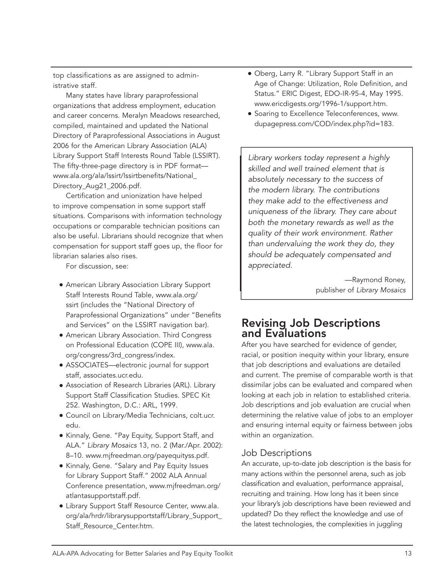top classifications as are assigned to administrative staff.

Many states have library paraprofessional organizations that address employment, education and career concerns. Meralyn Meadows researched, compiled, maintained and updated the National Directory of Paraprofessional Associations in August 2006 for the American Library Association (ALA) Library Support Staff Interests Round Table (LSSIRT). The fifty-three-page directory is in PDF format www.ala.org/ala/lssirt/lssirtbenefits/National\_ Directory\_Aug21\_2006.pdf.

Certification and unionization have helped to improve compensation in some support staff situations. Comparisons with information technology occupations or comparable technician positions can also be useful. Librarians should recognize that when compensation for support staff goes up, the floor for librarian salaries also rises.

For discussion, see:

- American Library Association Library Support Staff Interests Round Table, www.ala.org/ ssirt (includes the "National Directory of Paraprofessional Organizations" under "Benefits and Services" on the LSSIRT navigation bar).
- **American Library Association. Third Congress** on Professional Education (COPE III), www.ala. org/congress/3rd\_congress/index.
- ASSOCIATES—electronic journal for support staff, associates.ucr.edu.
- Association of Research Libraries (ARL). Library Support Staff Classification Studies. SPEC Kit 252. Washington, D.C.: ARL, 1999.
- **Council on Library/Media Technicians, colt.ucr.** edu.
- Kinnaly, Gene. "Pay Equity, Support Staff, and ALA." *Library Mosaics* 13, no. 2 (Mar./Apr. 2002): 8–10. www.mjfreedman.org/payequityss.pdf.
- Kinnaly, Gene. "Salary and Pay Equity Issues for Library Support Staff." 2002 ALA Annual Conference presentation, www.mjfreedman.org/ atlantasupportstaff.pdf.
- Library Support Staff Resource Center, www.ala. org/ala/hrdr/librarysupportstaff/Library\_Support\_ Staff\_Resource\_Center.htm.
- Oberg, Larry R. "Library Support Staff in an Age of Change: Utilization, Role Definition, and Status." ERIC Digest, EDO-IR-95-4, May 1995. www.ericdigests.org/1996-1/support.htm.
- **Soaring to Excellence Teleconferences, www.** dupagepress.com/COD/index.php?id=183.

*Library workers today represent a highly skilled and well trained element that is absolutely necessary to the success of the modern library. The contributions they make add to the effectiveness and uniqueness of the library. They care about both the monetary rewards as well as the quality of their work environment. Rather than undervaluing the work they do, they should be adequately compensated and appreciated.*

> —Raymond Roney, publisher of *Library Mosaics*

# Revising Job Descriptions and Evaluations

After you have searched for evidence of gender, racial, or position inequity within your library, ensure that job descriptions and evaluations are detailed and current. The premise of comparable worth is that dissimilar jobs can be evaluated and compared when looking at each job in relation to established criteria. Job descriptions and job evaluation are crucial when determining the relative value of jobs to an employer and ensuring internal equity or fairness between jobs within an organization.

# Job Descriptions

An accurate, up-to-date job description is the basis for many actions within the personnel arena, such as job classification and evaluation, performance appraisal, recruiting and training. How long has it been since your library's job descriptions have been reviewed and updated? Do they reflect the knowledge and use of the latest technologies, the complexities in juggling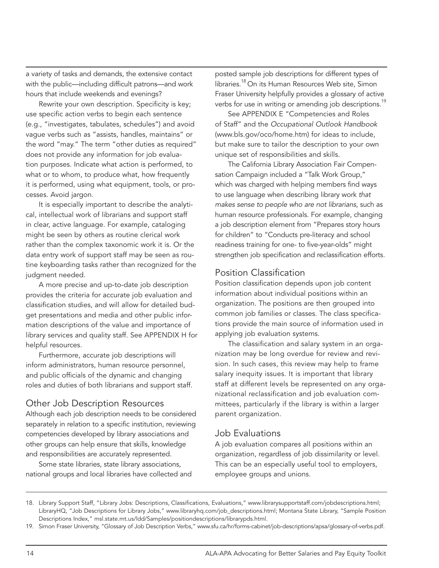a variety of tasks and demands, the extensive contact with the public—including difficult patrons—and work hours that include weekends and evenings?

Rewrite your own description. Specificity is key; use specific action verbs to begin each sentence (e.g., "investigates, tabulates, schedules") and avoid vague verbs such as "assists, handles, maintains" or the word "may." The term "other duties as required" does not provide any information for job evaluation purposes. Indicate what action is performed, to what or to whom, to produce what, how frequently it is performed, using what equipment, tools, or processes. Avoid jargon.

It is especially important to describe the analytical, intellectual work of librarians and support staff in clear, active language. For example, cataloging might be seen by others as routine clerical work rather than the complex taxonomic work it is. Or the data entry work of support staff may be seen as routine keyboarding tasks rather than recognized for the judgment needed.

A more precise and up-to-date job description provides the criteria for accurate job evaluation and classification studies, and will allow for detailed budget presentations and media and other public information descriptions of the value and importance of library services and quality staff. See APPENDIX H for helpful resources.

Furthermore, accurate job descriptions will inform administrators, human resource personnel, and public officials of the dynamic and changing roles and duties of both librarians and support staff.

#### Other Job Description Resources

Although each job description needs to be considered separately in relation to a specific institution, reviewing competencies developed by library associations and other groups can help ensure that skills, knowledge and responsibilities are accurately represented.

Some state libraries, state library associations, national groups and local libraries have collected and posted sample job descriptions for different types of libraries.<sup>18</sup> On its Human Resources Web site, Simon Fraser University helpfully provides a glossary of active verbs for use in writing or amending job descriptions.<sup>19</sup>

See APPENDIX E "Competencies and Roles of Staff" and the *Occupational Outlook Handbook*  (www.bls.gov/oco/home.htm) for ideas to include, but make sure to tailor the description to your own unique set of responsibilities and skills.

The California Library Association Fair Compensation Campaign included a "Talk Work Group," which was charged with helping members find ways to use language when describing library work *that makes sense to people who are not librarians*, such as human resource professionals. For example, changing a job description element from "Prepares story hours for children" to "Conducts pre-literacy and school readiness training for one- to five-year-olds" might strengthen job specification and reclassification efforts.

#### Position Classification

Position classification depends upon job content information about individual positions within an organization. The positions are then grouped into common job families or classes. The class specifications provide the main source of information used in applying job evaluation systems.

The classification and salary system in an organization may be long overdue for review and revision. In such cases, this review may help to frame salary inequity issues. It is important that library staff at different levels be represented on any organizational reclassification and job evaluation committees, particularly if the library is within a larger parent organization.

# Job Evaluations

A job evaluation compares all positions within an organization, regardless of job dissimilarity or level. This can be an especially useful tool to employers, employee groups and unions.

<sup>18.</sup> Library Support Staff, "Library Jobs: Descriptions, Classifications, Evaluations," www.librarysupportstaff.com/jobdescriptions.html; LibraryHQ, "Job Descriptions for Library Jobs," www.libraryhq.com/job\_descriptions.html; Montana State Library, "Sample Position Descriptions Index," msl.state.mt.us/ldd/Samples/positiondescriptions/librarypds.html.

<sup>19.</sup> Simon Fraser University, "Glossary of Job Description Verbs," www.sfu.ca/hr/forms-cabinet/job-descriptions/apsa/glossary-of-verbs.pdf.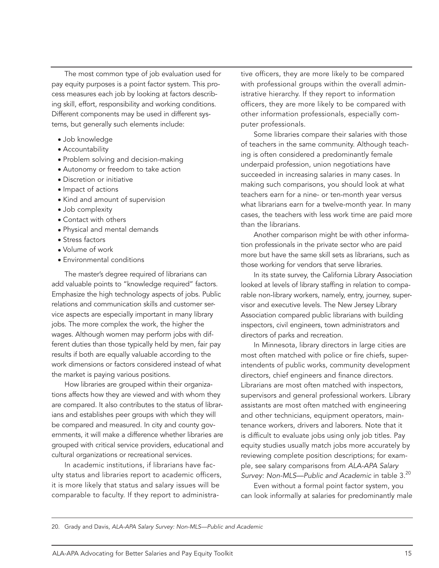The most common type of job evaluation used for pay equity purposes is a point factor system. This process measures each job by looking at factors describing skill, effort, responsibility and working conditions. Different components may be used in different systems, but generally such elements include:

- Job knowledge
- Accountability
- Problem solving and decision-making
- Autonomy or freedom to take action
- Discretion or initiative
- Impact of actions
- Kind and amount of supervision
- Job complexity
- Contact with others
- Physical and mental demands
- Stress factors
- Volume of work
- Environmental conditions

The master's degree required of librarians can add valuable points to "knowledge required" factors. Emphasize the high technology aspects of jobs. Public relations and communication skills and customer service aspects are especially important in many library jobs. The more complex the work, the higher the wages. Although women may perform jobs with different duties than those typically held by men, fair pay results if both are equally valuable according to the work dimensions or factors considered instead of what the market is paying various positions.

How libraries are grouped within their organizations affects how they are viewed and with whom they are compared. It also contributes to the status of librarians and establishes peer groups with which they will be compared and measured. In city and county governments, it will make a difference whether libraries are grouped with critical service providers, educational and cultural organizations or recreational services.

In academic institutions, if librarians have faculty status and libraries report to academic officers, it is more likely that status and salary issues will be comparable to faculty. If they report to administra-

tive officers, they are more likely to be compared with professional groups within the overall administrative hierarchy. If they report to information officers, they are more likely to be compared with other information professionals, especially computer professionals.

Some libraries compare their salaries with those of teachers in the same community. Although teaching is often considered a predominantly female underpaid profession, union negotiations have succeeded in increasing salaries in many cases. In making such comparisons, you should look at what teachers earn for a nine- or ten-month year versus what librarians earn for a twelve-month year. In many cases, the teachers with less work time are paid more than the librarians.

Another comparison might be with other information professionals in the private sector who are paid more but have the same skill sets as librarians, such as those working for vendors that serve libraries.

In its state survey, the California Library Association looked at levels of library staffing in relation to comparable non-library workers, namely, entry, journey, supervisor and executive levels. The New Jersey Library Association compared public librarians with building inspectors, civil engineers, town administrators and directors of parks and recreation.

In Minnesota, library directors in large cities are most often matched with police or fire chiefs, superintendents of public works, community development directors, chief engineers and finance directors. Librarians are most often matched with inspectors, supervisors and general professional workers. Library assistants are most often matched with engineering and other technicians, equipment operators, maintenance workers, drivers and laborers. Note that it is difficult to evaluate jobs using only job titles. Pay equity studies usually match jobs more accurately by reviewing complete position descriptions; for example, see salary comparisons from *ALA-APA Salary*  Survey: Non-MLS—Public and Academic in table 3.<sup>20</sup>

Even without a formal point factor system, you can look informally at salaries for predominantly male

20. Grady and Davis, *ALA-APA Salary Survey: Non-MLS—Public and Academic*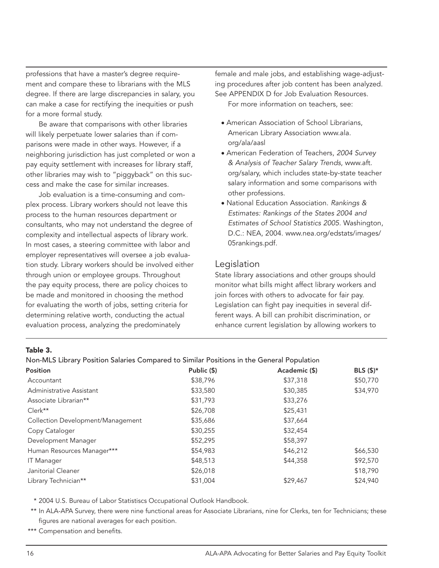professions that have a master's degree requirement and compare these to librarians with the MLS degree. If there are large discrepancies in salary, you can make a case for rectifying the inequities or push for a more formal study.

Be aware that comparisons with other libraries will likely perpetuate lower salaries than if comparisons were made in other ways. However, if a neighboring jurisdiction has just completed or won a pay equity settlement with increases for library staff, other libraries may wish to "piggyback" on this success and make the case for similar increases.

Job evaluation is a time-consuming and complex process. Library workers should not leave this process to the human resources department or consultants, who may not understand the degree of complexity and intellectual aspects of library work. In most cases, a steering committee with labor and employer representatives will oversee a job evaluation study. Library workers should be involved either through union or employee groups. Throughout the pay equity process, there are policy choices to be made and monitored in choosing the method for evaluating the worth of jobs, setting criteria for determining relative worth, conducting the actual evaluation process, analyzing the predominately

female and male jobs, and establishing wage-adjusting procedures after job content has been analyzed. See APPENDIX D for Job Evaluation Resources. For more information on teachers, see:

- American Association of School Librarians, American Library Association www.ala. org/ala/aasl
- American Federation of Teachers, *2004 Survey & Analysis of Teacher Salary Trends*, www.aft. org/salary, which includes state-by-state teacher salary information and some comparisons with other professions.
- National Education Association. *Rankings & Estimates: Rankings of the States 2004 and Estimates of School Statistics 2005.* Washington, D.C.: NEA, 2004. www.nea.org/edstats/images/ 05rankings.pdf.

#### Legislation

State library associations and other groups should monitor what bills might affect library workers and join forces with others to advocate for fair pay. Legislation can fight pay inequities in several different ways. A bill can prohibit discrimination, or enhance current legislation by allowing workers to

#### Table 3.

#### Non-MLS Library Position Salaries Compared to Similar Positions in the General Population

| Position                          | Public (\$) | Academic (\$) | BLS $($ \$)* |
|-----------------------------------|-------------|---------------|--------------|
| Accountant                        | \$38,796    | \$37,318      | \$50,770     |
| Administrative Assistant          | \$33,580    | \$30,385      | \$34,970     |
| Associate Librarian**             | \$31,793    | \$33,276      |              |
| $Clerk**$                         | \$26,708    | \$25,431      |              |
| Collection Development/Management | \$35,686    | \$37,664      |              |
| Copy Cataloger                    | \$30,255    | \$32,454      |              |
| Development Manager               | \$52,295    | \$58,397      |              |
| Human Resources Manager***        | \$54,983    | \$46,212      | \$66,530     |
| <b>IT Manager</b>                 | \$48,513    | \$44,358      | \$92,570     |
| Janitorial Cleaner                | \$26,018    |               | \$18,790     |
| Library Technician**              | \$31,004    | \$29,467      | \$24,940     |

\* 2004 U.S. Bureau of Labor Statistiscs Occupational Outlook Handbook.

\*\* In ALA-APA Survey, there were nine functional areas for Associate Librarians, nine for Clerks, ten for Technicians; these figures are national averages for each position.

\*\*\* Compensation and benefits.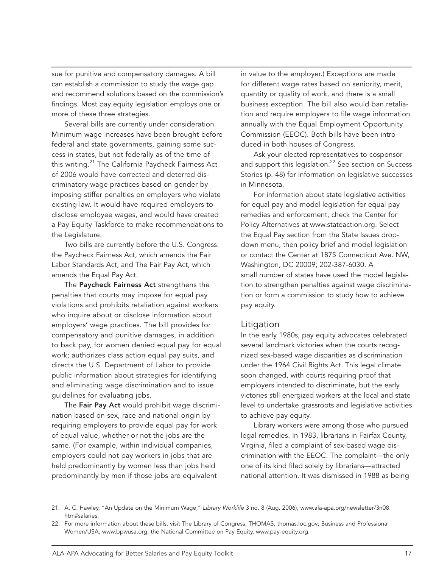sue for punitive and compensatory damages. A bill can establish a commission to study the wage gap and recommend solutions based on the commission's findings. Most pay equity legislation employs one or more of these three strategies.

Several bills are currently under consideration. Minimum wage increases have been brought before federal and state governments, gaining some success in states, but not federally as of the time of this writing.<sup>21</sup> The California Paycheck Fairness Act of 2006 would have corrected and deterred discriminatory wage practices based on gender by imposing stiffer penalties on employers who violate existing law. It would have required employers to disclose employee wages, and would have created a Pay Equity Taskforce to make recommendations to the Legislature.

Two bills are currently before the U.S. Congress: the Paycheck Fairness Act, which amends the Fair Labor Standards Act, and The Fair Pay Act, which amends the Equal Pay Act.

The Paycheck Fairness Act strengthens the penalties that courts may impose for equal pay violations and prohibits retaliation against workers who inquire about or disclose information about employers' wage practices. The bill provides for compensatory and punitive damages, in addition to back pay, for women denied equal pay for equal work; authorizes class action equal pay suits, and directs the U.S. Department of Labor to provide public information about strategies for identifying and eliminating wage discrimination and to issue guidelines for evaluating jobs.

The Fair Pay Act would prohibit wage discrimination based on sex, race and national origin by requiring employers to provide equal pay for work of equal value, whether or not the jobs are the same. (For example, within individual companies, employers could not pay workers in jobs that are held predominantly by women less than jobs held predominantly by men if those jobs are equivalent

in value to the employer.) Exceptions are made for different wage rates based on seniority, merit, quantity or quality of work, and there is a small business exception. The bill also would ban retaliation and require employers to file wage information annually with the Equal Employment Opportunity Commission (EEOC). Both bills have been introduced in both houses of Congress.

Ask your elected representatives to cosponsor and support this legislation.<sup>22</sup> See section on Success Stories (p. 48) for information on legislative successes in Minnesota.

For information about state legislative activities for equal pay and model legislation for equal pay remedies and enforcement, check the Center for Policy Alternatives at www.stateaction.org. Select the Equal Pay section from the State Issues dropdown menu, then policy brief and model legislation or contact the Center at 1875 Connecticut Ave. NW, Washington, DC 20009; 202-387-6030. A small number of states have used the model legislation to strengthen penalties against wage discrimination or form a commission to study how to achieve pay equity.

#### Litigation

In the early 1980s, pay equity advocates celebrated several landmark victories when the courts recognized sex-based wage disparities as discrimination under the 1964 Civil Rights Act. This legal climate soon changed, with courts requiring proof that employers intended to discriminate, but the early victories still energized workers at the local and state level to undertake grassroots and legislative activities to achieve pay equity.

Library workers were among those who pursued legal remedies. In 1983, librarians in Fairfax County, Virginia, filed a complaint of sex-based wage discrimination with the EEOC. The complaint—the only one of its kind filed solely by librarians—attracted national attention. It was dismissed in 1988 as being

<sup>21.</sup> A. C. Hawley, "An Update on the Minimum Wage," *Library Worklife* 3 no. 8 (Aug. 2006), www.ala-apa.org/newsletter/3n08. htm#salaries.

<sup>22.</sup> For more information about these bills, visit The Library of Congress, THOMAS, thomas.loc.gov; Business and Professional Women/USA, www.bpwusa.org; the National Committee on Pay Equity, www.pay-equity.org.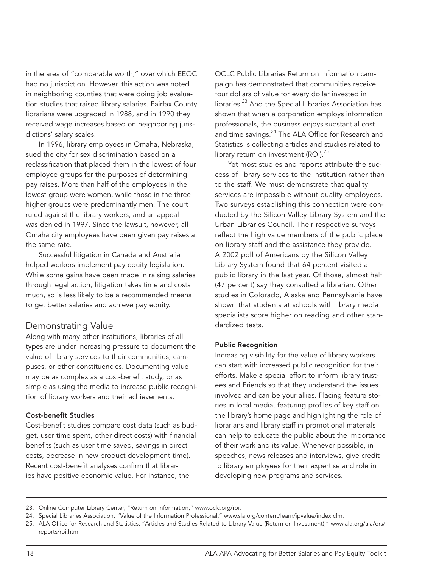in the area of "comparable worth," over which EEOC had no jurisdiction. However, this action was noted in neighboring counties that were doing job evaluation studies that raised library salaries. Fairfax County librarians were upgraded in 1988, and in 1990 they received wage increases based on neighboring jurisdictions' salary scales.

In 1996, library employees in Omaha, Nebraska, sued the city for sex discrimination based on a reclassification that placed them in the lowest of four employee groups for the purposes of determining pay raises. More than half of the employees in the lowest group were women, while those in the three higher groups were predominantly men. The court ruled against the library workers, and an appeal was denied in 1997. Since the lawsuit, however, all Omaha city employees have been given pay raises at the same rate.

Successful litigation in Canada and Australia helped workers implement pay equity legislation. While some gains have been made in raising salaries through legal action, litigation takes time and costs much, so is less likely to be a recommended means to get better salaries and achieve pay equity.

#### Demonstrating Value

Along with many other institutions, libraries of all types are under increasing pressure to document the value of library services to their communities, campuses, or other constituencies. Documenting value may be as complex as a cost-benefit study, or as simple as using the media to increase public recognition of library workers and their achievements.

#### Cost-benefit Studies

Cost-benefit studies compare cost data (such as budget, user time spent, other direct costs) with financial benefits (such as user time saved, savings in direct costs, decrease in new product development time). Recent cost-benefit analyses confirm that libraries have positive economic value. For instance, the

OCLC Public Libraries Return on Information campaign has demonstrated that communities receive four dollars of value for every dollar invested in libraries.<sup>23</sup> And the Special Libraries Association has shown that when a corporation employs information professionals, the business enjoys substantial cost and time savings.<sup>24</sup> The ALA Office for Research and Statistics is collecting articles and studies related to library return on investment  $(ROI).^{25}$ 

Yet most studies and reports attribute the success of library services to the institution rather than to the staff. We must demonstrate that quality services are impossible without quality employees. Two surveys establishing this connection were conducted by the Silicon Valley Library System and the Urban Libraries Council. Their respective surveys reflect the high value members of the public place on library staff and the assistance they provide. A 2002 poll of Americans by the Silicon Valley Library System found that 64 percent visited a public library in the last year. Of those, almost half (47 percent) say they consulted a librarian. Other studies in Colorado, Alaska and Pennsylvania have shown that students at schools with library media specialists score higher on reading and other standardized tests.

#### Public Recognition

Increasing visibility for the value of library workers can start with increased public recognition for their efforts. Make a special effort to inform library trustees and Friends so that they understand the issues involved and can be your allies. Placing feature stories in local media, featuring profiles of key staff on the library's home page and highlighting the role of librarians and library staff in promotional materials can help to educate the public about the importance of their work and its value. Whenever possible, in speeches, news releases and interviews, give credit to library employees for their expertise and role in developing new programs and services.

<sup>23.</sup> Online Computer Library Center, "Return on Information," www.oclc.org/roi.

<sup>24.</sup> Special Libraries Association, "Value of the Information Professional," www.sla.org/content/learn/ipvalue/index.cfm.

<sup>25.</sup> ALA Office for Research and Statistics, "Articles and Studies Related to Library Value (Return on Investment)," www.ala.org/ala/ors/ reports/roi.htm.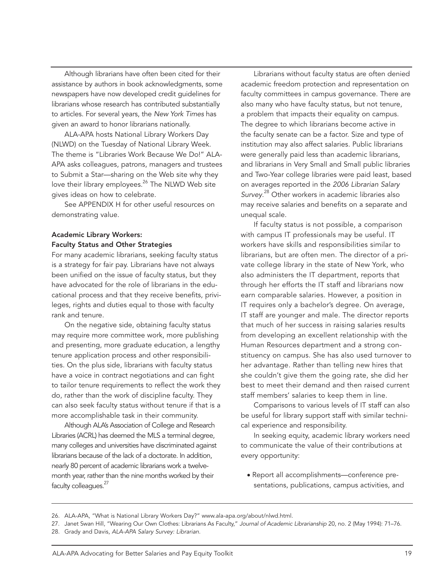Although librarians have often been cited for their assistance by authors in book acknowledgments, some newspapers have now developed credit guidelines for librarians whose research has contributed substantially to articles. For several years, the *New York Times* has given an award to honor librarians nationally.

ALA-APA hosts National Library Workers Day (NLWD) on the Tuesday of National Library Week. The theme is "Libraries Work Because We Do!" ALA-APA asks colleagues, patrons, managers and trustees to Submit a Star—sharing on the Web site why they love their library employees.<sup>26</sup> The NLWD Web site gives ideas on how to celebrate.

See APPENDIX H for other useful resources on demonstrating value.

#### Academic Library Workers: Faculty Status and Other Strategies

For many academic librarians, seeking faculty status is a strategy for fair pay. Librarians have not always been unified on the issue of faculty status, but they have advocated for the role of librarians in the educational process and that they receive benefits, privileges, rights and duties equal to those with faculty rank and tenure.

On the negative side, obtaining faculty status may require more committee work, more publishing and presenting, more graduate education, a lengthy tenure application process and other responsibilities. On the plus side, librarians with faculty status have a voice in contract negotiations and can fight to tailor tenure requirements to reflect the work they do, rather than the work of discipline faculty. They can also seek faculty status without tenure if that is a more accomplishable task in their community.

Although ALA's Association of College and Research Libraries (ACRL) has deemed the MLS a terminal degree, many colleges and universities have discriminated against librarians because of the lack of a doctorate. In addition, nearly 80 percent of academic librarians work a twelvemonth year, rather than the nine months worked by their faculty colleagues.<sup>27</sup>

Librarians without faculty status are often denied academic freedom protection and representation on faculty committees in campus governance. There are also many who have faculty status, but not tenure, a problem that impacts their equality on campus. The degree to which librarians become active in the faculty senate can be a factor. Size and type of institution may also affect salaries. Public librarians were generally paid less than academic librarians, and librarians in Very Small and Small public libraries and Two-Year college libraries were paid least, based on averages reported in the *2006 Librarian Salary Survey*. 28 Other workers in academic libraries also may receive salaries and benefits on a separate and unequal scale.

If faculty status is not possible, a comparison with campus IT professionals may be useful. IT workers have skills and responsibilities similar to librarians, but are often men. The director of a private college library in the state of New York, who also administers the IT department, reports that through her efforts the IT staff and librarians now earn comparable salaries. However, a position in IT requires only a bachelor's degree. On average, IT staff are younger and male. The director reports that much of her success in raising salaries results from developing an excellent relationship with the Human Resources department and a strong constituency on campus. She has also used turnover to her advantage. Rather than telling new hires that she couldn't give them the going rate, she did her best to meet their demand and then raised current staff members' salaries to keep them in line.

Comparisons to various levels of IT staff can also be useful for library support staff with similar technical experience and responsibility.

In seeking equity, academic library workers need to communicate the value of their contributions at every opportunity:

● Report all accomplishments—conference presentations, publications, campus activities, and

<sup>26.</sup> ALA-APA, "What is National Library Workers Day?" www.ala-apa.org/about/nlwd.html.

<sup>27.</sup> Janet Swan Hill, "Wearing Our Own Clothes: Librarians As Faculty," *Journal of Academic Librarianship* 20, no. 2 (May 1994): 71–76.

<sup>28.</sup> Grady and Davis, *ALA-APA Salary Survey: Librarian*.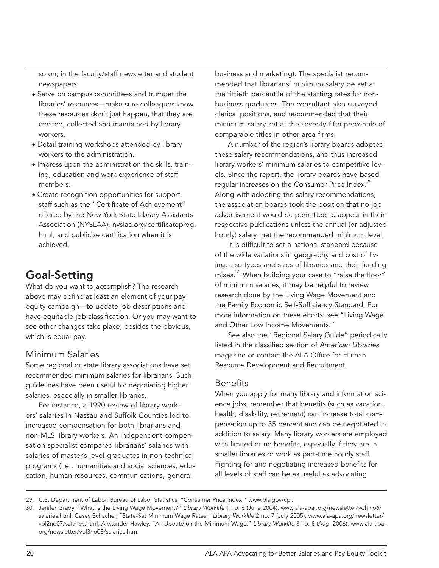so on, in the faculty/staff newsletter and student newspapers.

- Serve on campus committees and trumpet the libraries' resources—make sure colleagues know these resources don't just happen, that they are created, collected and maintained by library workers.
- Detail training workshops attended by library workers to the administration.
- Impress upon the administration the skills, training, education and work experience of staff members.
- Create recognition opportunities for support staff such as the "Certificate of Achievement" offered by the New York State Library Assistants Association (NYSLAA), nyslaa.org/certificateprog. html, and publicize certification when it is achieved.

# Goal-Setting

What do you want to accomplish? The research above may define at least an element of your pay equity campaign—to update job descriptions and have equitable job classification. Or you may want to see other changes take place, besides the obvious, which is equal pay.

## Minimum Salaries

Some regional or state library associations have set recommended minimum salaries for librarians. Such guidelines have been useful for negotiating higher salaries, especially in smaller libraries.

For instance, a 1990 review of library workers' salaries in Nassau and Suffolk Counties led to increased compensation for both librarians and non-MLS library workers. An independent compensation specialist compared librarians' salaries with salaries of master's level graduates in non-technical programs (i.e., humanities and social sciences, education, human resources, communications, general

business and marketing). The specialist recommended that librarians' minimum salary be set at the fiftieth percentile of the starting rates for nonbusiness graduates. The consultant also surveyed clerical positions, and recommended that their minimum salary set at the seventy-fifth percentile of comparable titles in other area firms.

A number of the region's library boards adopted these salary recommendations, and thus increased library workers' minimum salaries to competitive levels. Since the report, the library boards have based regular increases on the Consumer Price Index.<sup>29</sup> Along with adopting the salary recommendations, the association boards took the position that no job advertisement would be permitted to appear in their respective publications unless the annual (or adjusted hourly) salary met the recommended minimum level.

It is difficult to set a national standard because of the wide variations in geography and cost of living, also types and sizes of libraries and their funding mixes.<sup>30</sup> When building your case to "raise the floor" of minimum salaries, it may be helpful to review research done by the Living Wage Movement and the Family Economic Self-Sufficiency Standard. For more information on these efforts, see "Living Wage and Other Low Income Movements."

See also the "Regional Salary Guide" periodically listed in the classified section of *American Libraries*  magazine or contact the ALA Office for Human Resource Development and Recruitment.

#### Benefits

When you apply for many library and information science jobs, remember that benefits (such as vacation, health, disability, retirement) can increase total compensation up to 35 percent and can be negotiated in addition to salary. Many library workers are employed with limited or no benefits, especially if they are in smaller libraries or work as part-time hourly staff. Fighting for and negotiating increased benefits for all levels of staff can be as useful as advocating

<sup>29.</sup> U.S. Department of Labor, Bureau of Labor Statistics, "Consumer Price Index," www.bls.gov/cpi.

<sup>30.</sup> Jenifer Grady, "What Is the Living Wage Movement?" *Library Worklife* 1 no. 6 (June 2004), www.ala-apa .org/newsletter/vol1no6/ salaries.html; Casey Schacher, "State-Set Minimum Wage Rates," *Library Worklife* 2 no. 7 (July 2005), www.ala-apa.org/newsletter/ vol2no07/salaries.html; Alexander Hawley, "An Update on the Minimum Wage," *Library Worklife* 3 no. 8 (Aug. 2006), www.ala-apa. org/newsletter/vol3no08/salaries.htm.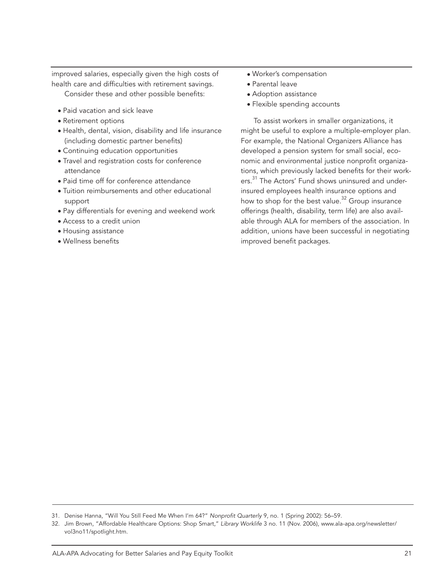improved salaries, especially given the high costs of health care and difficulties with retirement savings.

- Consider these and other possible benefits:
- Paid vacation and sick leave
- Retirement options
- Health, dental, vision, disability and life insurance (including domestic partner benefits)
- Continuing education opportunities
- Travel and registration costs for conference attendance
- Paid time off for conference attendance
- Tuition reimbursements and other educational support
- Pay differentials for evening and weekend work
- Access to a credit union
- Housing assistance
- Wellness benefits
- Worker's compensation
- Parental leave
- Adoption assistance
- Flexible spending accounts

To assist workers in smaller organizations, it might be useful to explore a multiple-employer plan. For example, the National Organizers Alliance has developed a pension system for small social, economic and environmental justice nonprofit organizations, which previously lacked benefits for their workers.<sup>31</sup> The Actors' Fund shows uninsured and underinsured employees health insurance options and how to shop for the best value.<sup>32</sup> Group insurance offerings (health, disability, term life) are also available through ALA for members of the association. In addition, unions have been successful in negotiating improved benefit packages.

<sup>31.</sup> Denise Hanna, "Will You Still Feed Me When I'm 64?" *Nonprofit Quarterly* 9, no. 1 (Spring 2002): 56–59.

<sup>32.</sup> Jim Brown, "Affordable Healthcare Options: Shop Smart," *Library Worklife* 3 no. 11 (Nov. 2006), www.ala-apa.org/newsletter/ vol3no11/spotlight.htm.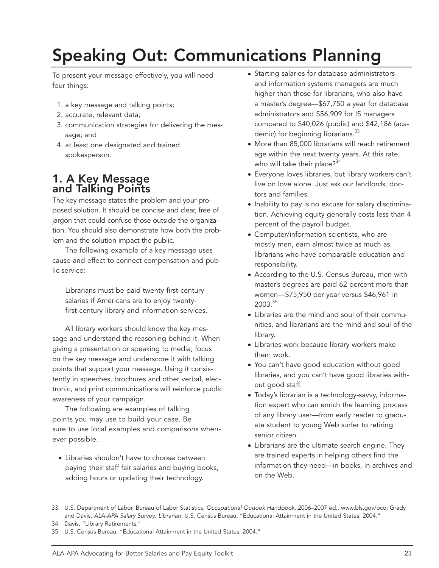# Speaking Out: Communications Planning

To present your message effectively, you will need four things:

- 1. a key message and talking points;
- 2. accurate, relevant data;
- 3. communication strategies for delivering the message; and
- 4. at least one designated and trained spokesperson.

# 1. A Key Message and Talking Points

The key message states the problem and your proposed solution. It should be concise and clear, free of jargon that could confuse those outside the organization. You should also demonstrate how both the problem and the solution impact the public.

The following example of a key message uses cause-and-effect to connect compensation and public service:

Librarians must be paid twenty-first-century salaries if Americans are to enjoy twentyfirst-century library and information services*.*

All library workers should know the key message and understand the reasoning behind it. When giving a presentation or speaking to media, focus on the key message and underscore it with talking points that support your message. Using it consistently in speeches, brochures and other verbal, electronic, and print communications will reinforce public awareness of your campaign.

The following are examples of talking points you may use to build your case. Be sure to use local examples and comparisons whenever possible.

• Libraries shouldn't have to choose between paying their staff fair salaries and buying books, adding hours or updating their technology.

- Starting salaries for database administrators and information systems managers are much higher than those for librarians, who also have a master's degree—\$67,750 a year for database administrators and \$56,909 for IS managers compared to \$40,026 (public) and \$42,186 (academic) for beginning librarians.<sup>33</sup>
- More than 85,000 librarians will reach retirement age within the next twenty years. At this rate, who will take their place?<sup>34</sup>
- Everyone loves libraries, but library workers can't live on love alone. Just ask our landlords, doctors and families.
- Inability to pay is no excuse for salary discrimination. Achieving equity generally costs less than 4 percent of the payroll budget.
- Computer/information scientists, who are mostly men, earn almost twice as much as librarians who have comparable education and responsibility.
- According to the U.S. Census Bureau, men with master's degrees are paid 62 percent more than women—\$75,950 per year versus \$46,961 in 2003. 35
- Libraries are the mind and soul of their communities, and librarians are the mind and soul of the library.
- Libraries work because library workers make them work.
- You can't have good education without good libraries, and you can't have good libraries without good staff.
- Today's librarian is a technology-savvy, information expert who can enrich the learning process of any library user—from early reader to graduate student to young Web surfer to retiring senior citizen.
- Librarians are the ultimate search engine. They are trained experts in helping others find the information they need—in books, in archives and on the Web.

<sup>33.</sup> U.S. Department of Labor, Bureau of Labor Statistics, *Occupational Outlook Handbook,* 2006–2007 ed., www.bls.gov/oco; Grady and Davis, *ALA-APA Salary Survey: Librarian*; U.S. Census Bureau, "Educational Attainment in the United States: 2004."

<sup>34.</sup> Davis, "Library Retirements."

<sup>35.</sup> U.S. Census Bureau, "Educational Attainment in the United States: 2004."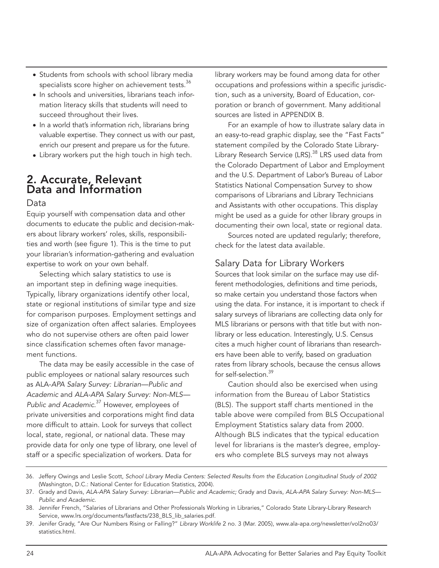- Students from schools with school library media specialists score higher on achievement tests.<sup>36</sup>
- In schools and universities, librarians teach information literacy skills that students will need to succeed throughout their lives.
- In a world that's information rich, librarians bring valuable expertise. They connect us with our past, enrich our present and prepare us for the future.
- Library workers put the high touch in high tech.

# 2. Accurate, Relevant Data and Information

#### Data

Equip yourself with compensation data and other documents to educate the public and decision-makers about library workers' roles, skills, responsibilities and worth (see figure 1). This is the time to put your librarian's information-gathering and evaluation expertise to work on your own behalf.

Selecting which salary statistics to use is an important step in defining wage inequities. Typically, library organizations identify other local, state or regional institutions of similar type and size for comparison purposes. Employment settings and size of organization often affect salaries. Employees who do not supervise others are often paid lower since classification schemes often favor management functions.

The data may be easily accessible in the case of public employees or national salary resources such as ALA-*APA Salary Survey: Librarian—Public and Academic* and *ALA-APA Salary Survey: Non-MLS— Public and Academic*. 37 However, employees of private universities and corporations might find data more difficult to attain. Look for surveys that collect local, state, regional, or national data. These may provide data for only one type of library, one level of staff or a specific specialization of workers. Data for

library workers may be found among data for other occupations and professions within a specific jurisdiction, such as a university, Board of Education, corporation or branch of government. Many additional sources are listed in APPENDIX B.

For an example of how to illustrate salary data in an easy-to-read graphic display, see the "Fast Facts" statement compiled by the Colorado State Library-Library Research Service (LRS).<sup>38</sup> LRS used data from the Colorado Department of Labor and Employment and the U.S. Department of Labor's Bureau of Labor Statistics National Compensation Survey to show comparisons of Librarians and Library Technicians and Assistants with other occupations. This display might be used as a guide for other library groups in documenting their own local, state or regional data.

Sources noted are updated regularly; therefore, check for the latest data available.

# Salary Data for Library Workers

Sources that look similar on the surface may use different methodologies, definitions and time periods, so make certain you understand those factors when using the data. For instance, it is important to check if salary surveys of librarians are collecting data only for MLS librarians or persons with that title but with nonlibrary or less education. Interestingly, U.S. Census cites a much higher count of librarians than researchers have been able to verify, based on graduation rates from library schools, because the census allows for self-selection.<sup>39</sup>

Caution should also be exercised when using information from the Bureau of Labor Statistics (BLS). The support staff charts mentioned in the table above were compiled from BLS Occupational Employment Statistics salary data from 2000. Although BLS indicates that the typical education level for librarians is the master's degree, employers who complete BLS surveys may not always

<sup>36.</sup> Jeffery Owings and Leslie Scott, *School Library Media Centers: Selected Results from the Education Longitudinal Study of 2002* (Washington, D.C.: National Center for Education Statistics, 2004).

<sup>37.</sup> Grady and Davis, *ALA-APA Salary Survey: Librarian—Public and Academic;* Grady and Davis, *ALA-APA Salary Survey: Non-MLS— Public and Academic*.

<sup>38.</sup> Jennifer French, "Salaries of Librarians and Other Professionals Working in Libraries," Colorado State Library-Library Research Service, www.lrs.org/documents/fastfacts/238\_BLS\_lib\_salaries.pdf.

<sup>39.</sup> Jenifer Grady, "Are Our Numbers Rising or Falling?" *Library Worklife* 2 no. 3 (Mar. 2005), www.ala-apa.org/newsletter/vol2no03/ statistics.html.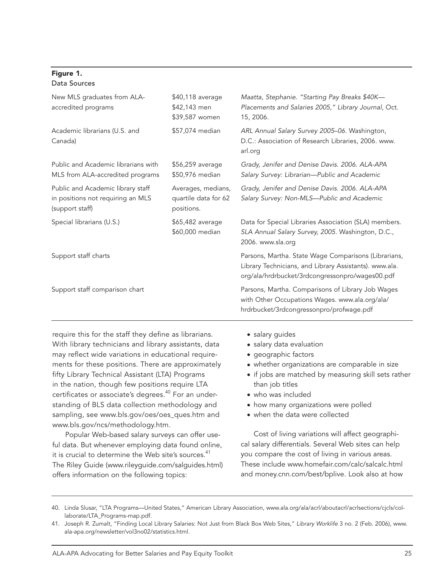#### Figure 1. Data Sources

| \$40,118 average<br>\$42,143 men<br>\$39,587 women                                                                                                                                                                                                                                                                                                                                                                                                                                                                                              | Maatta, Stephanie. "Starting Pay Breaks \$40K-<br>Placements and Salaries 2005," Library Journal, Oct.<br>15, 2006.                                                                                                                                                                                                                                  |  |  |
|-------------------------------------------------------------------------------------------------------------------------------------------------------------------------------------------------------------------------------------------------------------------------------------------------------------------------------------------------------------------------------------------------------------------------------------------------------------------------------------------------------------------------------------------------|------------------------------------------------------------------------------------------------------------------------------------------------------------------------------------------------------------------------------------------------------------------------------------------------------------------------------------------------------|--|--|
| \$57,074 median                                                                                                                                                                                                                                                                                                                                                                                                                                                                                                                                 | ARL Annual Salary Survey 2005-06. Washington,<br>D.C.: Association of Research Libraries, 2006. www.<br>arl.org                                                                                                                                                                                                                                      |  |  |
| \$56,259 average<br>\$50,976 median                                                                                                                                                                                                                                                                                                                                                                                                                                                                                                             | Grady, Jenifer and Denise Davis. 2006. ALA-APA<br>Salary Survey: Librarian-Public and Academic                                                                                                                                                                                                                                                       |  |  |
| Averages, medians,<br>quartile data for 62<br>positions.                                                                                                                                                                                                                                                                                                                                                                                                                                                                                        | Grady, Jenifer and Denise Davis. 2006. ALA-APA<br>Salary Survey: Non-MLS-Public and Academic                                                                                                                                                                                                                                                         |  |  |
| \$65,482 average<br>\$60,000 median                                                                                                                                                                                                                                                                                                                                                                                                                                                                                                             | Data for Special Libraries Association (SLA) members.<br>SLA Annual Salary Survey, 2005. Washington, D.C.,<br>2006. www.sla.org                                                                                                                                                                                                                      |  |  |
|                                                                                                                                                                                                                                                                                                                                                                                                                                                                                                                                                 | Parsons, Martha. State Wage Comparisons (Librarians,<br>Library Technicians, and Library Assistants). www.ala.<br>org/ala/hrdrbucket/3rdcongressonpro/wages00.pdf                                                                                                                                                                                    |  |  |
|                                                                                                                                                                                                                                                                                                                                                                                                                                                                                                                                                 | Parsons, Martha. Comparisons of Library Job Wages<br>with Other Occupations Wages. www.ala.org/ala/<br>hrdrbucket/3rdcongressonpro/profwage.pdf                                                                                                                                                                                                      |  |  |
| require this for the staff they define as librarians.<br>With library technicians and library assistants, data<br>may reflect wide variations in educational require-<br>ments for these positions. There are approximately<br>fifty Library Technical Assistant (LTA) Programs<br>in the nation, though few positions require LTA<br>certificates or associate's degrees. <sup>40</sup> For an under-<br>standing of BLS data collection methodology and<br>sampling, see www.bls.gov/oes/oes_ques.htm and<br>www.bls.gov/ncs/methodology.htm. | • salary guides<br>· salary data evaluation<br>· geographic factors<br>• whether organizations are comparable in size<br>• if jobs are matched by measuring skill sets rather<br>than job titles<br>· who was included<br>• how many organizations were polled<br>• when the data were collected<br>Cost of living variations will affect geographi- |  |  |
|                                                                                                                                                                                                                                                                                                                                                                                                                                                                                                                                                 | Popular Web-based salary surveys can offer use-                                                                                                                                                                                                                                                                                                      |  |  |

Popular Web-based salary surveys can offer useful data. But whenever employing data found online, it is crucial to determine the Web site's sources.<sup>41</sup> The Riley Guide (www.rileyguide.com/salguides.html) offers information on the following topics:

Cost of living variations will affect geographical salary differentials. Several Web sites can help you compare the cost of living in various areas. These include www.homefair.com/calc/salcalc.html and money.cnn.com/best/bplive. Look also at how

<sup>40.</sup> Linda Slusar, "LTA Programs—United States," American Library Association, www.ala.org/ala/acrl/aboutacrl/acrlsections/cjcls/collaborate/LTA\_Programs-map.pdf.

<sup>41.</sup> Joseph R. Zumalt, "Finding Local Library Salaries: Not Just from Black Box Web Sites," *Library Worklife* 3 no. 2 (Feb. 2006), www. ala-apa.org/newsletter/vol3no02/statistics.html.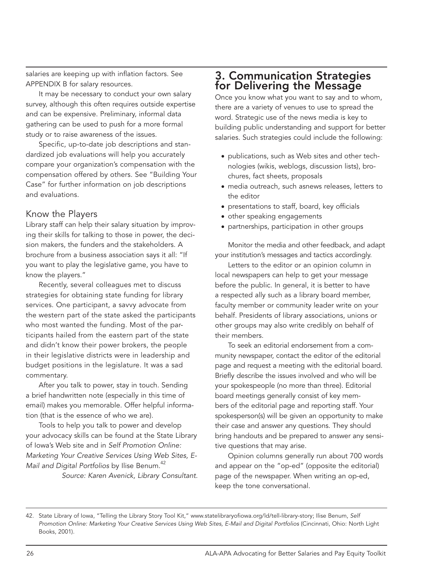salaries are keeping up with inflation factors. See APPENDIX B for salary resources.

It may be necessary to conduct your own salary survey, although this often requires outside expertise and can be expensive. Preliminary, informal data gathering can be used to push for a more formal study or to raise awareness of the issues.

Specific, up-to-date job descriptions and standardized job evaluations will help you accurately compare your organization's compensation with the compensation offered by others. See "Building Your Case" for further information on job descriptions and evaluations.

#### Know the Players

Library staff can help their salary situation by improving their skills for talking to those in power, the decision makers, the funders and the stakeholders. A brochure from a business association says it all: "If you want to play the legislative game, you have to know the players."

Recently, several colleagues met to discuss strategies for obtaining state funding for library services. One participant, a savvy advocate from the western part of the state asked the participants who most wanted the funding. Most of the participants hailed from the eastern part of the state and didn't know their power brokers, the people in their legislative districts were in leadership and budget positions in the legislature. It was a sad commentary.

After you talk to power, stay in touch. Sending a brief handwritten note (especially in this time of email) makes you memorable. Offer helpful information (that is the essence of who we are).

Tools to help you talk to power and develop your advocacy skills can be found at the State Library of Iowa's Web site and in *Self Promotion Online: Marketing Your Creative Services Using Web Sites, E-Mail and Digital Portfolios* by Ilise Benum.42 *Source: Karen Avenick, Library Consultant.*

# 3. Communication Strategies for Delivering the Message

Once you know what you want to say and to whom, there are a variety of venues to use to spread the word. Strategic use of the news media is key to building public understanding and support for better salaries. Such strategies could include the following:

- publications, such as Web sites and other technologies (wikis, weblogs, discussion lists), brochures, fact sheets, proposals
- media outreach, such asnews releases, letters to the editor
- presentations to staff, board, key officials
- other speaking engagements
- partnerships, participation in other groups

Monitor the media and other feedback, and adapt your institution's messages and tactics accordingly.

Letters to the editor or an opinion column in local newspapers can help to get your message before the public. In general, it is better to have a respected ally such as a library board member, faculty member or community leader write on your behalf. Presidents of library associations, unions or other groups may also write credibly on behalf of their members.

To seek an editorial endorsement from a community newspaper, contact the editor of the editorial page and request a meeting with the editorial board. Briefly describe the issues involved and who will be your spokespeople (no more than three). Editorial board meetings generally consist of key members of the editorial page and reporting staff. Your spokesperson(s) will be given an opportunity to make their case and answer any questions. They should bring handouts and be prepared to answer any sensitive questions that may arise.

Opinion columns generally run about 700 words and appear on the "op-ed" (opposite the editorial) page of the newspaper. When writing an op-ed, keep the tone conversational.

<sup>42.</sup> State Library of Iowa, "Telling the Library Story Tool Kit," www.statelibraryofiowa.org/ld/tell-library-story; Ilise Benum, *Self Promotion Online: Marketing Your Creative Services Using Web Sites, E-Mail and Digital Portfolios* (Cincinnati, Ohio: North Light Books, 2001).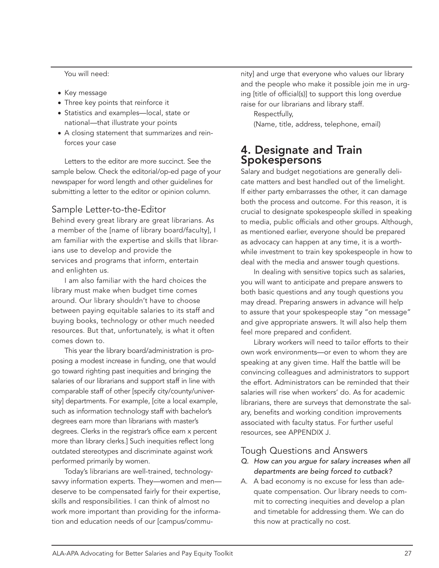You will need:

- Key message
- Three key points that reinforce it
- Statistics and examples—local, state or national—that illustrate your points
- A closing statement that summarizes and reinforces your case

Letters to the editor are more succinct. See the sample below. Check the editorial/op-ed page of your newspaper for word length and other guidelines for submitting a letter to the editor or opinion column.

#### Sample Letter-to-the-Editor

Behind every great library are great librarians. As a member of the [name of library board/faculty], I am familiar with the expertise and skills that librarians use to develop and provide the services and programs that inform, entertain and enlighten us.

I am also familiar with the hard choices the library must make when budget time comes around. Our library shouldn't have to choose between paying equitable salaries to its staff and buying books, technology or other much needed resources. But that, unfortunately, is what it often comes down to.

This year the library board/administration is proposing a modest increase in funding, one that would go toward righting past inequities and bringing the salaries of our librarians and support staff in line with comparable staff of other [specify city/county/university] departments. For example, [cite a local example, such as information technology staff with bachelor's degrees earn more than librarians with master's degrees. Clerks in the registrar's office earn x percent more than library clerks.] Such inequities reflect long outdated stereotypes and discriminate against work performed primarily by women.

Today's librarians are well-trained, technologysavvy information experts. They—women and men deserve to be compensated fairly for their expertise, skills and responsibilities. I can think of almost no work more important than providing for the information and education needs of our [campus/community] and urge that everyone who values our library and the people who make it possible join me in urging [title of official(s)] to support this long overdue raise for our librarians and library staff.

Respectfully, (Name, title, address, telephone, email)

# 4. Designate and Train Spokespersons

Salary and budget negotiations are generally delicate matters and best handled out of the limelight. If either party embarrasses the other, it can damage both the process and outcome. For this reason, it is crucial to designate spokespeople skilled in speaking to media, public officials and other groups. Although, as mentioned earlier, everyone should be prepared as advocacy can happen at any time, it is a worthwhile investment to train key spokespeople in how to deal with the media and answer tough questions.

In dealing with sensitive topics such as salaries, you will want to anticipate and prepare answers to both basic questions and any tough questions you may dread. Preparing answers in advance will help to assure that your spokespeople stay "on message" and give appropriate answers. It will also help them feel more prepared and confident.

Library workers will need to tailor efforts to their own work environments—or even to whom they are speaking at any given time. Half the battle will be convincing colleagues and administrators to support the effort. Administrators can be reminded that their salaries will rise when workers' do. As for academic librarians, there are surveys that demonstrate the salary, benefits and working condition improvements associated with faculty status. For further useful resources, see APPENDIX J.

#### Tough Questions and Answers

- *Q. How can you argue for salary increases when all departments are being forced to cutback?*
- A. A bad economy is no excuse for less than adequate compensation. Our library needs to commit to correcting inequities and develop a plan and timetable for addressing them. We can do this now at practically no cost.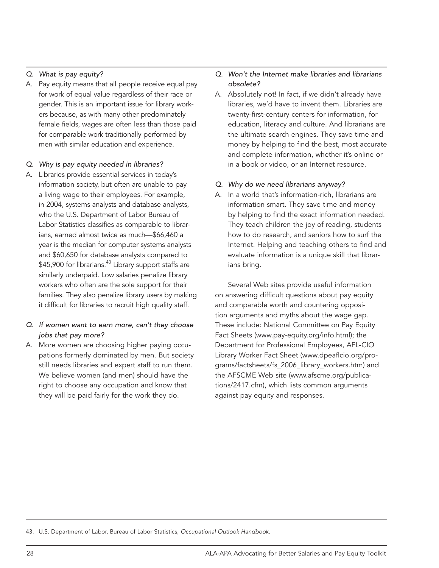#### *Q. What is pay equity?*

A. Pay equity means that all people receive equal pay for work of equal value regardless of their race or gender. This is an important issue for library workers because, as with many other predominately female fields, wages are often less than those paid for comparable work traditionally performed by men with similar education and experience.

#### *Q. Why is pay equity needed in libraries?*

- A. Libraries provide essential services in today's information society, but often are unable to pay a living wage to their employees. For example, in 2004, systems analysts and database analysts, who the U.S. Department of Labor Bureau of Labor Statistics classifies as comparable to librarians, earned almost twice as much—\$66,460 a year is the median for computer systems analysts and \$60,650 for database analysts compared to \$45,900 for librarians.<sup>43</sup> Library support staffs are similarly underpaid. Low salaries penalize library workers who often are the sole support for their families. They also penalize library users by making it difficult for libraries to recruit high quality staff.
- *Q. If women want to earn more, can't they choose jobs that pay more?*
- A. More women are choosing higher paying occupations formerly dominated by men. But society still needs libraries and expert staff to run them. We believe women (and men) should have the right to choose any occupation and know that they will be paid fairly for the work they do.

#### *Q. Won't the Internet make libraries and librarians obsolete?*

A. Absolutely not! In fact, if we didn't already have libraries, we'd have to invent them. Libraries are twenty-first-century centers for information, for education, literacy and culture. And librarians are the ultimate search engines. They save time and money by helping to find the best, most accurate and complete information, whether it's online or in a book or video, or an Internet resource.

#### *Q. Why do we need librarians anyway?*

A. In a world that's information-rich, librarians are information smart. They save time and money by helping to find the exact information needed. They teach children the joy of reading, students how to do research, and seniors how to surf the Internet. Helping and teaching others to find and evaluate information is a unique skill that librarians bring.

Several Web sites provide useful information on answering difficult questions about pay equity and comparable worth and countering opposition arguments and myths about the wage gap. These include: National Committee on Pay Equity Fact Sheets (www.pay-equity.org/info.html); the Department for Professional Employees, AFL-CIO Library Worker Fact Sheet (www.dpeaflcio.org/programs/factsheets/fs\_2006\_library\_workers.htm) and the AFSCME Web site (www.afscme.org/publications/2417.cfm), which lists common arguments against pay equity and responses.

43. U.S. Department of Labor, Bureau of Labor Statistics, *Occupational Outlook Handbook.*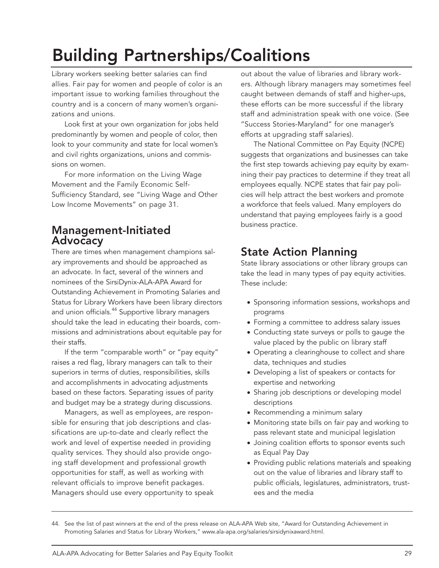# Building Partnerships/Coalitions

Library workers seeking better salaries can find allies. Fair pay for women and people of color is an important issue to working families throughout the country and is a concern of many women's organizations and unions.

Look first at your own organization for jobs held predominantly by women and people of color, then look to your community and state for local women's and civil rights organizations, unions and commissions on women.

For more information on the Living Wage Movement and the Family Economic Self-Sufficiency Standard, see "Living Wage and Other Low Income Movements" on page 31.

# Management-Initiated Advocacy

There are times when management champions salary improvements and should be approached as an advocate. In fact, several of the winners and nominees of the SirsiDynix-ALA-APA Award for Outstanding Achievement in Promoting Salaries and Status for Library Workers have been library directors and union officials.<sup>44</sup> Supportive library managers should take the lead in educating their boards, commissions and administrations about equitable pay for their staffs.

If the term "comparable worth" or "pay equity" raises a red flag, library managers can talk to their superiors in terms of duties, responsibilities, skills and accomplishments in advocating adjustments based on these factors. Separating issues of parity and budget may be a strategy during discussions.

Managers, as well as employees, are responsible for ensuring that job descriptions and classifications are up-to-date and clearly reflect the work and level of expertise needed in providing quality services. They should also provide ongoing staff development and professional growth opportunities for staff, as well as working with relevant officials to improve benefit packages. Managers should use every opportunity to speak out about the value of libraries and library workers. Although library managers may sometimes feel caught between demands of staff and higher-ups, these efforts can be more successful if the library staff and administration speak with one voice. (See "Success Stories-Maryland" for one manager's efforts at upgrading staff salaries).

The National Committee on Pay Equity (NCPE) suggests that organizations and businesses can take the first step towards achieving pay equity by examining their pay practices to determine if they treat all employees equally. NCPE states that fair pay policies will help attract the best workers and promote a workforce that feels valued. Many employers do understand that paying employees fairly is a good business practice.

# State Action Planning

State library associations or other library groups can take the lead in many types of pay equity activities. These include:

- Sponsoring information sessions, workshops and programs
- Forming a committee to address salary issues
- Conducting state surveys or polls to gauge the value placed by the public on library staff
- Operating a clearinghouse to collect and share data, techniques and studies
- Developing a list of speakers or contacts for expertise and networking
- Sharing job descriptions or developing model descriptions
- Recommending a minimum salary
- Monitoring state bills on fair pay and working to pass relevant state and municipal legislation
- Joining coalition efforts to sponsor events such as Equal Pay Day
- Providing public relations materials and speaking out on the value of libraries and library staff to public officials, legislatures, administrators, trustees and the media

<sup>44.</sup> See the list of past winners at the end of the press release on ALA-APA Web site, "Award for Outstanding Achievement in Promoting Salaries and Status for Library Workers," www.ala-apa.org/salaries/sirsidynixaward.html.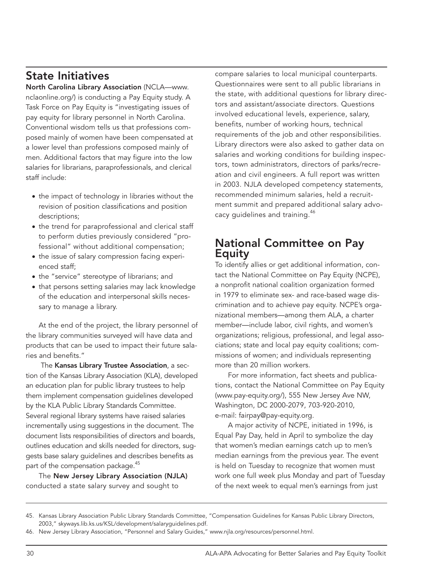# State Initiatives

North Carolina Library Association (NCLA—www. nclaonline.org/) is conducting a Pay Equity study. A Task Force on Pay Equity is "investigating issues of pay equity for library personnel in North Carolina. Conventional wisdom tells us that professions composed mainly of women have been compensated at a lower level than professions composed mainly of men. Additional factors that may figure into the low salaries for librarians, paraprofessionals, and clerical staff include:

- the impact of technology in libraries without the revision of position classifications and position descriptions;
- the trend for paraprofessional and clerical staff to perform duties previously considered "professional" without additional compensation;
- the issue of salary compression facing experienced staff;
- the "service" stereotype of librarians; and
- that persons setting salaries may lack knowledge of the education and interpersonal skills necessary to manage a library.

At the end of the project, the library personnel of the library communities surveyed will have data and products that can be used to impact their future salaries and benefits."

 The Kansas Library Trustee Association, a section of the Kansas Library Association (KLA), developed an education plan for public library trustees to help them implement compensation guidelines developed by the KLA Public Library Standards Committee. Several regional library systems have raised salaries incrementally using suggestions in the document. The document lists responsibilities of directors and boards, outlines education and skills needed for directors, suggests base salary guidelines and describes benefits as part of the compensation package.<sup>45</sup>

The New Jersey Library Association (NJLA) conducted a state salary survey and sought to

compare salaries to local municipal counterparts. Questionnaires were sent to all public librarians in the state, with additional questions for library directors and assistant/associate directors. Questions involved educational levels, experience, salary, benefits, number of working hours, technical requirements of the job and other responsibilities. Library directors were also asked to gather data on salaries and working conditions for building inspectors, town administrators, directors of parks/recreation and civil engineers. A full report was written in 2003. NJLA developed competency statements, recommended minimum salaries, held a recruitment summit and prepared additional salary advocacy guidelines and training.<sup>46</sup>

# National Committee on Pay Equity

To identify allies or get additional information, contact the National Committee on Pay Equity (NCPE), a nonprofit national coalition organization formed in 1979 to eliminate sex- and race-based wage discrimination and to achieve pay equity. NCPE's organizational members—among them ALA, a charter member—include labor, civil rights, and women's organizations; religious, professional, and legal associations; state and local pay equity coalitions; commissions of women; and individuals representing more than 20 million workers.

For more information, fact sheets and publications, contact the National Committee on Pay Equity (www.pay-equity.org/), 555 New Jersey Ave NW, Washington, DC 2000-2079, 703-920-2010, e-mail: fairpay@pay-equity.org.

A major activity of NCPE, initiated in 1996, is Equal Pay Day, held in April to symbolize the day that women's median earnings catch up to men's median earnings from the previous year. The event is held on Tuesday to recognize that women must work one full week plus Monday and part of Tuesday of the next week to equal men's earnings from just

<sup>45.</sup> Kansas Library Association Public Library Standards Committee, "Compensation Guidelines for Kansas Public Library Directors, 2003," skyways.lib.ks.us/KSL/development/salaryguidelines.pdf.

<sup>46.</sup> New Jersey Library Association, "Personnel and Salary Guides," www.njla.org/resources/personnel.html.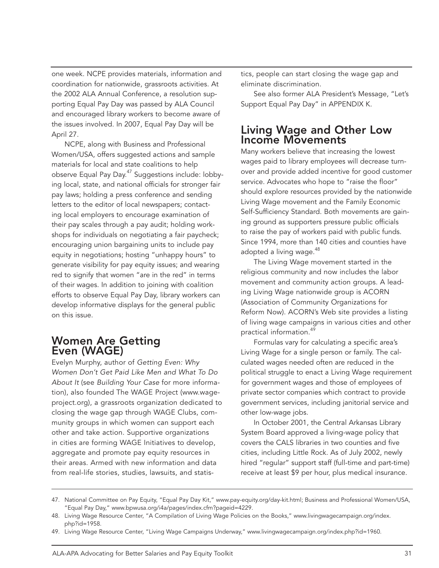one week. NCPE provides materials, information and coordination for nationwide, grassroots activities. At the 2002 ALA Annual Conference, a resolution supporting Equal Pay Day was passed by ALA Council and encouraged library workers to become aware of the issues involved. In 2007, Equal Pay Day will be April 27.

NCPE, along with Business and Professional Women/USA, offers suggested actions and sample materials for local and state coalitions to help observe Equal Pay Day.<sup>47</sup> Suggestions include: lobbying local, state, and national officials for stronger fair pay laws; holding a press conference and sending letters to the editor of local newspapers; contacting local employers to encourage examination of their pay scales through a pay audit; holding workshops for individuals on negotiating a fair paycheck; encouraging union bargaining units to include pay equity in negotiations; hosting "unhappy hours" to generate visibility for pay equity issues; and wearing red to signify that women "are in the red" in terms of their wages. In addition to joining with coalition efforts to observe Equal Pay Day, library workers can develop informative displays for the general public on this issue.

# Women Are Getting Even (WAGE)

Evelyn Murphy, author of *Getting Even: Why Women Don't Get Paid Like Men and What To Do About It* (see *Building Your Case* for more information), also founded The WAGE Project (www.wageproject.org), a grassroots organization dedicated to closing the wage gap through WAGE Clubs, community groups in which women can support each other and take action. Supportive organizations in cities are forming WAGE Initiatives to develop, aggregate and promote pay equity resources in their areas. Armed with new information and data from real-life stories, studies, lawsuits, and statistics, people can start closing the wage gap and eliminate discrimination.

See also former ALA President's Message, "Let's Support Equal Pay Day" in APPENDIX K.

# Living Wage and Other Low Income Movements

Many workers believe that increasing the lowest wages paid to library employees will decrease turnover and provide added incentive for good customer service. Advocates who hope to "raise the floor" should explore resources provided by the nationwide Living Wage movement and the Family Economic Self-Sufficiency Standard. Both movements are gaining ground as supporters pressure public officials to raise the pay of workers paid with public funds. Since 1994, more than 140 cities and counties have adopted a living wage.<sup>48</sup>

The Living Wage movement started in the religious community and now includes the labor movement and community action groups. A leading Living Wage nationwide group is ACORN (Association of Community Organizations for Reform Now). ACORN's Web site provides a listing of living wage campaigns in various cities and other practical information.<sup>49</sup>

Formulas vary for calculating a specific area's Living Wage for a single person or family. The calculated wages needed often are reduced in the political struggle to enact a Living Wage requirement for government wages and those of employees of private sector companies which contract to provide government services, including janitorial service and other low-wage jobs.

In October 2001, the Central Arkansas Library System Board approved a living-wage policy that covers the CALS libraries in two counties and five cities, including Little Rock. As of July 2002, newly hired "regular" support staff (full-time and part-time) receive at least \$9 per hour, plus medical insurance.

<sup>47.</sup> National Committee on Pay Equity, "Equal Pay Day Kit," www.pay-equity.org/day-kit.html; Business and Professional Women/USA, "Equal Pay Day," www.bpwusa.org/i4a/pages/index.cfm?pageid=4229.

<sup>48.</sup> Living Wage Resource Center, "A Compilation of Living Wage Policies on the Books," www.livingwagecampaign.org/index. php?id=1958.

<sup>49.</sup> Living Wage Resource Center, "Living Wage Campaigns Underway," www.livingwagecampaign.org/index.php?id=1960.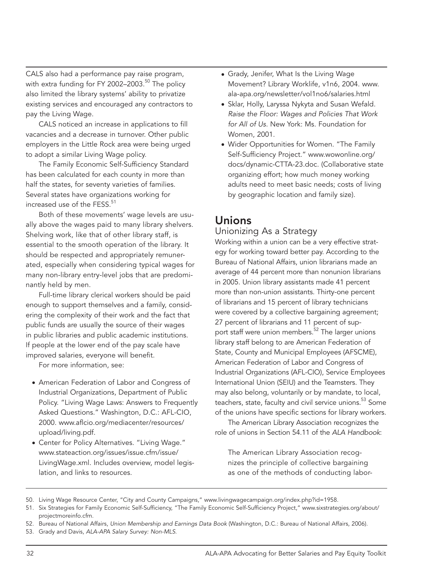CALS also had a performance pay raise program, with extra funding for FY 2002–2003. $^{50}$  The policy also limited the library systems' ability to privatize existing services and encouraged any contractors to pay the Living Wage.

CALS noticed an increase in applications to fill vacancies and a decrease in turnover. Other public employers in the Little Rock area were being urged to adopt a similar Living Wage policy.

The Family Economic Self-Sufficiency Standard has been calculated for each county in more than half the states, for seventy varieties of families. Several states have organizations working for increased use of the FESS. $51$ 

Both of these movements' wage levels are usually above the wages paid to many library shelvers. Shelving work, like that of other library staff, is essential to the smooth operation of the library. It should be respected and appropriately remunerated, especially when considering typical wages for many non-library entry-level jobs that are predominantly held by men.

Full-time library clerical workers should be paid enough to support themselves and a family, considering the complexity of their work and the fact that public funds are usually the source of their wages in public libraries and public academic institutions. If people at the lower end of the pay scale have improved salaries, everyone will benefit.

For more information, see:

- American Federation of Labor and Congress of Industrial Organizations, Department of Public Policy. "Living Wage Laws: Answers to Frequently Asked Questions." Washington, D.C.: AFL-CIO, 2000. www.aflcio.org/mediacenter/resources/ upload/living.pdf.
- Center for Policy Alternatives. "Living Wage." www.stateaction.org/issues/issue.cfm/issue/ LivingWage.xml. Includes overview, model legislation, and links to resources.
- Grady, Jenifer, What Is the Living Wage Movement? Library Worklife, v1n6, 2004. www. ala-apa.org/newsletter/vol1no6/salaries.html
- Sklar, Holly, Laryssa Nykyta and Susan Wefald. *Raise the Floor: Wages and Policies That Work for All of Us.* New York: Ms. Foundation for Women, 2001.
- Wider Opportunities for Women. "The Family Self-Sufficiency Project." www.wowonline.org/ docs/dynamic-CTTA-23.doc. (Collaborative state organizing effort; how much money working adults need to meet basic needs; costs of living by geographic location and family size).

# Unions

#### Unionizing As a Strategy

Working within a union can be a very effective strategy for working toward better pay. According to the Bureau of National Affairs, union librarians made an average of 44 percent more than nonunion librarians in 2005. Union library assistants made 41 percent more than non-union assistants. Thirty-one percent of librarians and 15 percent of library technicians were covered by a collective bargaining agreement; 27 percent of librarians and 11 percent of support staff were union members.<sup>52</sup> The larger unions library staff belong to are American Federation of State, County and Municipal Employees (AFSCME), American Federation of Labor and Congress of Industrial Organizations (AFL-CIO), Service Employees International Union (SEIU) and the Teamsters. They may also belong, voluntarily or by mandate, to local, teachers, state, faculty and civil service unions.<sup>53</sup> Some of the unions have specific sections for library workers.

The American Library Association recognizes the role of unions in Section 54.11 of the *ALA Handbook*:

The American Library Association recognizes the principle of collective bargaining as one of the methods of conducting labor-

- 50. Living Wage Resource Center, "City and County Campaigns," www.livingwagecampaign.org/index.php?id=1958.
- 51. Six Strategies for Family Economic Self-Sufficiency, "The Family Economic Self-Sufficiency Project," www.sixstrategies.org/about/ projectmoreinfo.cfm.
- 52. Bureau of National Affairs, *Union Membership and Earnings Data Book* (Washington, D.C.: Bureau of National Affairs, 2006).
- 53. Grady and Davis, *ALA-APA Salary Survey: Non-MLS*.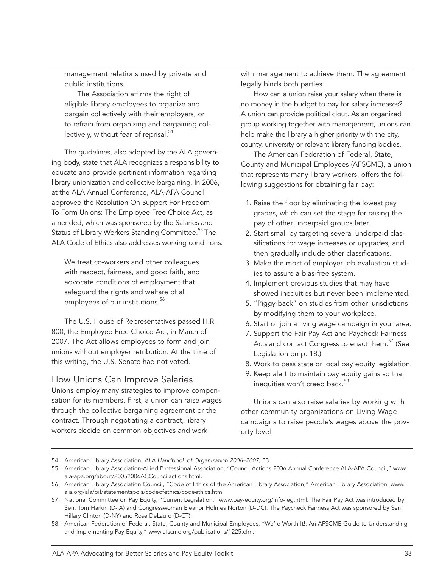management relations used by private and public institutions.

The Association affirms the right of eligible library employees to organize and bargain collectively with their employers, or to refrain from organizing and bargaining collectively, without fear of reprisal.<sup>54</sup>

The guidelines, also adopted by the ALA governing body, state that ALA recognizes a responsibility to educate and provide pertinent information regarding library unionization and collective bargaining. In 2006, at the ALA Annual Conference, ALA-APA Council approved the Resolution On Support For Freedom To Form Unions: The Employee Free Choice Act, as amended, which was sponsored by the Salaries and Status of Library Workers Standing Committee.<sup>55</sup> The ALA Code of Ethics also addresses working conditions:

We treat co-workers and other colleagues with respect, fairness, and good faith, and advocate conditions of employment that safeguard the rights and welfare of all employees of our institutions.<sup>56</sup>

The U.S. House of Representatives passed H.R. 800, the Employee Free Choice Act, in March of 2007. The Act allows employees to form and join unions without employer retribution. At the time of this writing, the U.S. Senate had not voted.

#### How Unions Can Improve Salaries

Unions employ many strategies to improve compensation for its members. First, a union can raise wages through the collective bargaining agreement or the contract. Through negotiating a contract, library workers decide on common objectives and work

with management to achieve them. The agreement legally binds both parties.

How can a union raise your salary when there is no money in the budget to pay for salary increases? A union can provide political clout. As an organized group working together with management, unions can help make the library a higher priority with the city, county, university or relevant library funding bodies.

The American Federation of Federal, State, County and Municipal Employees (AFSCME), a union that represents many library workers, offers the following suggestions for obtaining fair pay:

- 1. Raise the floor by eliminating the lowest pay grades, which can set the stage for raising the pay of other underpaid groups later.
- 2. Start small by targeting several underpaid classifications for wage increases or upgrades, and then gradually include other classifications.
- 3. Make the most of employer job evaluation studies to assure a bias-free system.
- 4. Implement previous studies that may have showed inequities but never been implemented.
- 5. "Piggy-back" on studies from other jurisdictions by modifying them to your workplace.
- 6. Start or join a living wage campaign in your area.
- 7. Support the Fair Pay Act and Paycheck Fairness Acts and contact Congress to enact them.<sup>57</sup> (See Legislation on p. 18.)
- 8. Work to pass state or local pay equity legislation.
- 9. Keep alert to maintain pay equity gains so that inequities won't creep back.<sup>58</sup>

Unions can also raise salaries by working with other community organizations on Living Wage campaigns to raise people's wages above the poverty level.

<sup>54.</sup> American Library Association, *ALA Handbook of Organization 2006–2007,* 53.

<sup>55.</sup> American Library Association-Allied Professional Association, "Council Actions 2006 Annual Conference ALA-APA Council," www. ala-apa.org/about/20052006ACCouncilactions.html.

<sup>56.</sup> American Library Association Council, "Code of Ethics of the American Library Association," American Library Association, www. ala.org/ala/oif/statementspols/codeofethics/codeethics.htm.

<sup>57.</sup> National Committee on Pay Equity, "Current Legislation," www.pay-equity.org/info-leg.html. The Fair Pay Act was introduced by Sen. Tom Harkin (D-IA) and Congresswoman Eleanor Holmes Norton (D-DC). The Paycheck Fairness Act was sponsored by Sen. Hillary Clinton (D-NY) and Rose DeLauro (D-CT).

<sup>58.</sup> American Federation of Federal, State, County and Municipal Employees, "We're Worth It!: An AFSCME Guide to Understanding and Implementing Pay Equity," www.afscme.org/publications/1225.cfm.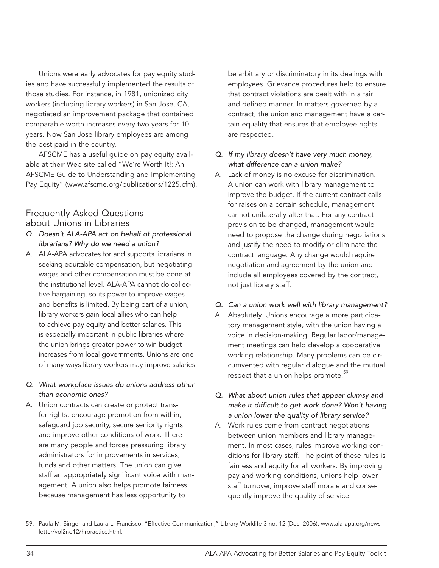Unions were early advocates for pay equity studies and have successfully implemented the results of those studies. For instance, in 1981, unionized city workers (including library workers) in San Jose, CA, negotiated an improvement package that contained comparable worth increases every two years for 10 years. Now San Jose library employees are among the best paid in the country.

AFSCME has a useful guide on pay equity available at their Web site called "We're Worth It!: An AFSCME Guide to Understanding and Implementing Pay Equity" (www.afscme.org/publications/1225.cfm).

#### Frequently Asked Questions about Unions in Libraries

- *Q. Doesn't ALA-APA act on behalf of professional librarians? Why do we need a union?*
- A. ALA-APA advocates for and supports librarians in seeking equitable compensation, but negotiating wages and other compensation must be done at the institutional level. ALA-APA cannot do collective bargaining, so its power to improve wages and benefits is limited. By being part of a union, library workers gain local allies who can help to achieve pay equity and better salaries. This is especially important in public libraries where the union brings greater power to win budget increases from local governments. Unions are one of many ways library workers may improve salaries.
- *Q. What workplace issues do unions address other than economic ones?*
- A. Union contracts can create or protect transfer rights, encourage promotion from within, safeguard job security, secure seniority rights and improve other conditions of work. There are many people and forces pressuring library administrators for improvements in services, funds and other matters. The union can give staff an appropriately significant voice with management. A union also helps promote fairness because management has less opportunity to

be arbitrary or discriminatory in its dealings with employees. Grievance procedures help to ensure that contract violations are dealt with in a fair and defined manner. In matters governed by a contract, the union and management have a certain equality that ensures that employee rights are respected.

#### *Q. If my library doesn't have very much money, what difference can a union make?*

A. Lack of money is no excuse for discrimination. A union can work with library management to improve the budget. If the current contract calls for raises on a certain schedule, management cannot unilaterally alter that. For any contract provision to be changed, management would need to propose the change during negotiations and justify the need to modify or eliminate the contract language. Any change would require negotiation and agreement by the union and include all employees covered by the contract, not just library staff.

#### *Q. Can a union work well with library management?*

- A. Absolutely. Unions encourage a more participatory management style, with the union having a voice in decision-making. Regular labor/management meetings can help develop a cooperative working relationship. Many problems can be circumvented with regular dialogue and the mutual respect that a union helps promote.<sup>59</sup>
- *Q. What about union rules that appear clumsy and make it difficult to get work done? Won't having a union lower the quality of library service?*
- A. Work rules come from contract negotiations between union members and library management. In most cases, rules improve working conditions for library staff. The point of these rules is fairness and equity for all workers. By improving pay and working conditions, unions help lower staff turnover, improve staff morale and consequently improve the quality of service.

<sup>59.</sup> Paula M. Singer and Laura L. Francisco, "Effective Communication," Library Worklife 3 no. 12 (Dec. 2006), www.ala-apa.org/newsletter/vol2no12/hrpractice.html.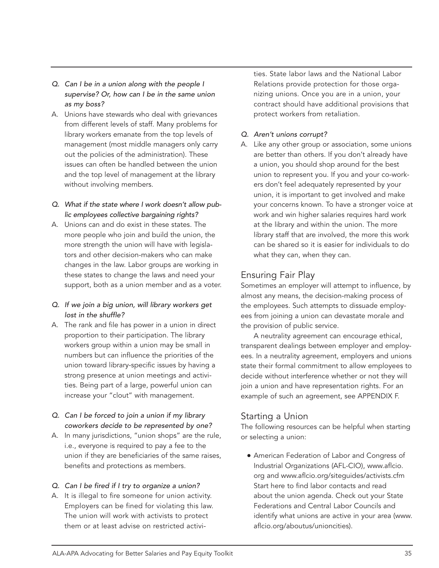- *Q. Can I be in a union along with the people I supervise? Or, how can I be in the same union as my boss?*
- A. Unions have stewards who deal with grievances from different levels of staff. Many problems for library workers emanate from the top levels of management (most middle managers only carry out the policies of the administration). These issues can often be handled between the union and the top level of management at the library without involving members.
- *Q. What if the state where I work doesn't allow public employees collective bargaining rights?*
- A. Unions can and do exist in these states. The more people who join and build the union, the more strength the union will have with legislators and other decision-makers who can make changes in the law. Labor groups are working in these states to change the laws and need your support, both as a union member and as a voter.
- *Q. If we join a big union, will library workers get lost in the shuffle?*
- A. The rank and file has power in a union in direct proportion to their participation. The library workers group within a union may be small in numbers but can influence the priorities of the union toward library-specific issues by having a strong presence at union meetings and activities. Being part of a large, powerful union can increase your "clout" with management.
- *Q. Can I be forced to join a union if my library coworkers decide to be represented by one?*
- A. In many jurisdictions, "union shops" are the rule, i.e., everyone is required to pay a fee to the union if they are beneficiaries of the same raises, benefits and protections as members.

#### *Q. Can I be fired if I try to organize a union?*

A. It is illegal to fire someone for union activity. Employers can be fined for violating this law. The union will work with activists to protect them or at least advise on restricted activities. State labor laws and the National Labor Relations provide protection for those organizing unions. Once you are in a union, your contract should have additional provisions that protect workers from retaliation.

#### *Q. Aren't unions corrupt?*

A. Like any other group or association, some unions are better than others. If you don't already have a union, you should shop around for the best union to represent you. If you and your co-workers don't feel adequately represented by your union, it is important to get involved and make your concerns known. To have a stronger voice at work and win higher salaries requires hard work at the library and within the union. The more library staff that are involved, the more this work can be shared so it is easier for individuals to do what they can, when they can.

#### Ensuring Fair Play

Sometimes an employer will attempt to influence, by almost any means, the decision-making process of the employees. Such attempts to dissuade employees from joining a union can devastate morale and the provision of public service.

A neutrality agreement can encourage ethical, transparent dealings between employer and employees. In a neutrality agreement, employers and unions state their formal commitment to allow employees to decide without interference whether or not they will join a union and have representation rights. For an example of such an agreement, see APPENDIX F.

#### Starting a Union

The following resources can be helpful when starting or selecting a union:

**American Federation of Labor and Congress of** Industrial Organizations (AFL-CIO), www.aflcio. org and www.aflcio.org/siteguides/activists.cfm Start here to find labor contacts and read about the union agenda. Check out your State Federations and Central Labor Councils and identify what unions are active in your area (www. aflcio.org/aboutus/unioncities).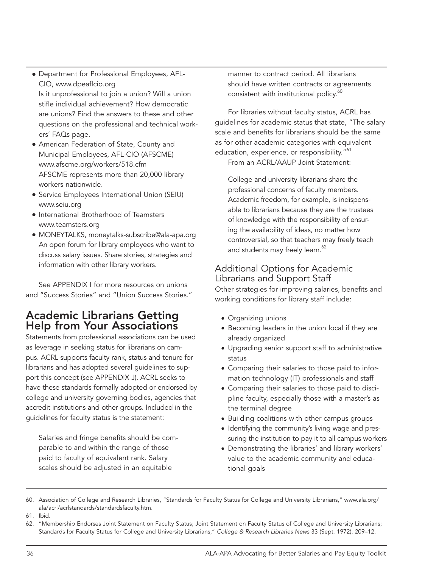**• Department for Professional Employees, AFL-**CIO, www.dpeaflcio.org

Is it unprofessional to join a union? Will a union stifle individual achievement? How democratic are unions? Find the answers to these and other questions on the professional and technical workers' FAQs page.

- **American Federation of State, County and** Municipal Employees, AFL-CIO (AFSCME) www.afscme.org/workers/518.cfm AFSCME represents more than 20,000 library workers nationwide.
- **Service Employees International Union (SEIU)** www.seiu.org
- **International Brotherhood of Teamsters** www.teamsters.org
- <sup>l</sup> MONEYTALKS, moneytalks-subscribe@ala-apa.org An open forum for library employees who want to discuss salary issues. Share stories, strategies and information with other library workers.

See APPENDIX I for more resources on unions and "Success Stories" and "Union Success Stories."

## Academic Librarians Getting Help from Your Associations

Statements from professional associations can be used as leverage in seeking status for librarians on campus. ACRL supports faculty rank, status and tenure for librarians and has adopted several guidelines to support this concept (see APPENDIX J). ACRL seeks to have these standards formally adopted or endorsed by college and university governing bodies, agencies that accredit institutions and other groups. Included in the guidelines for faculty status is the statement:

Salaries and fringe benefits should be comparable to and within the range of those paid to faculty of equivalent rank. Salary scales should be adjusted in an equitable

manner to contract period. All librarians should have written contracts or agreements consistent with institutional policy.<sup>60</sup>

For libraries without faculty status, ACRL has guidelines for academic status that state, "The salary scale and benefits for librarians should be the same as for other academic categories with equivalent education, experience, or responsibility."<sup>61</sup> From an ACRL/AAUP Joint Statement:

College and university librarians share the professional concerns of faculty members. Academic freedom, for example, is indispensable to librarians because they are the trustees of knowledge with the responsibility of ensuring the availability of ideas, no matter how controversial, so that teachers may freely teach and students may freely learn.<sup>62</sup>

#### Additional Options for Academic Librarians and Support Staff

Other strategies for improving salaries, benefits and working conditions for library staff include:

- Organizing unions
- Becoming leaders in the union local if they are already organized
- Upgrading senior support staff to administrative status
- Comparing their salaries to those paid to information technology (IT) professionals and staff
- Comparing their salaries to those paid to discipline faculty, especially those with a master's as the terminal degree
- Building coalitions with other campus groups
- Identifying the community's living wage and pressuring the institution to pay it to all campus workers
- Demonstrating the libraries' and library workers' value to the academic community and educational goals

<sup>60.</sup> Association of College and Research Libraries, "Standards for Faculty Status for College and University Librarians," www.ala.org/ ala/acrl/acrlstandards/standardsfaculty.htm.

<sup>61.</sup> Ibid.

<sup>62.</sup> "Membership Endorses Joint Statement on Faculty Status; Joint Statement on Faculty Status of College and University Librarians; Standards for Faculty Status for College and University Librarians," *College & Research Libraries News* 33 (Sept. 1972): 209–12.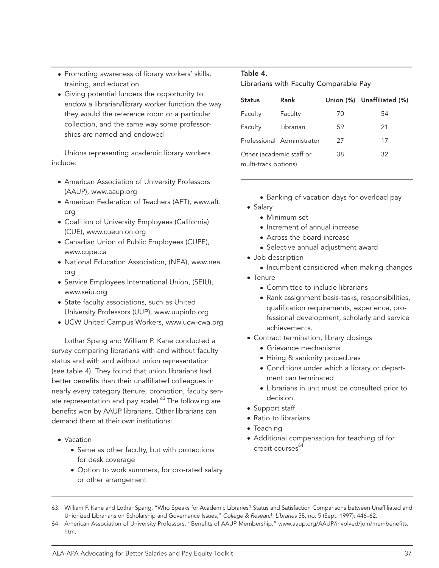- Promoting awareness of library workers' skills, training, and education
- Giving potential funders the opportunity to endow a librarian/library worker function the way they would the reference room or a particular collection, and the same way some professorships are named and endowed

Unions representing academic library workers include:

- American Association of University Professors (AAUP), www.aaup.org
- American Federation of Teachers (AFT), www.aft. org
- Coalition of University Employees (California) (CUE), www.cueunion.org
- Canadian Union of Public Employees (CUPE), www.cupe.ca
- National Education Association, (NEA), www.nea. org
- Service Employees International Union, (SEIU), www.seiu.org
- State faculty associations, such as United University Professors (UUP), www.uupinfo.org
- UCW United Campus Workers, www.ucw-cwa.org

Lothar Spang and William P. Kane conducted a survey comparing librarians with and without faculty status and with and without union representation (see table 4). They found that union librarians had better benefits than their unaffiliated colleagues in nearly every category (tenure, promotion, faculty senate representation and pay scale). $63$  The following are benefits won by AAUP librarians. Other librarians can demand them at their own institutions:

- Vacation
	- Same as other faculty, but with protections for desk coverage
	- Option to work summers, for pro-rated salary or other arrangement

#### Table 4.

Librarians with Faculty Comparable Pay

| <b>Status</b>            | Rank                       |    | Union (%) Unaffiliated (%) |
|--------------------------|----------------------------|----|----------------------------|
| Faculty                  | Faculty                    | 70 | 54                         |
| Faculty                  | Librarian                  | 59 | 21                         |
|                          | Professional Administrator | 27 | 17                         |
| Other (academic staff or |                            | 38 | 32                         |
| multi-track options)     |                            |    |                            |

- Banking of vacation days for overload pay
- Salary
	- Minimum set
	- Increment of annual increase
	- Across the board increase
	- Selective annual adjustment award
- Job description
	- Incumbent considered when making changes
- Tenure
	- Committee to include librarians
	- Rank assignment basis-tasks, responsibilities, qualification requirements, experience, professional development, scholarly and service achievements.
- Contract termination, library closings
	- Grievance mechanisms
	- Hiring & seniority procedures
	- Conditions under which a library or department can terminated
	- Librarians in unit must be consulted prior to decision.
- Support staff
- Ratio to librarians
- Teaching
- Additional compensation for teaching of for credit courses<sup>64</sup>

<sup>63.</sup> William P. Kane and Lothar Spang, "Who Speaks for Academic Libraries? Status and Satisfaction Comparisons between Unaffiliated and Unionized Librarians on Scholarship and Governance Issues," *College & Research Libraries* 58, no. 5 (Sept. 1997): 446–62.

<sup>64.</sup> American Association of University Professors, "Benefits of AAUP Membership," www.aaup.org/AAUP/involved/join/membenefits. htm.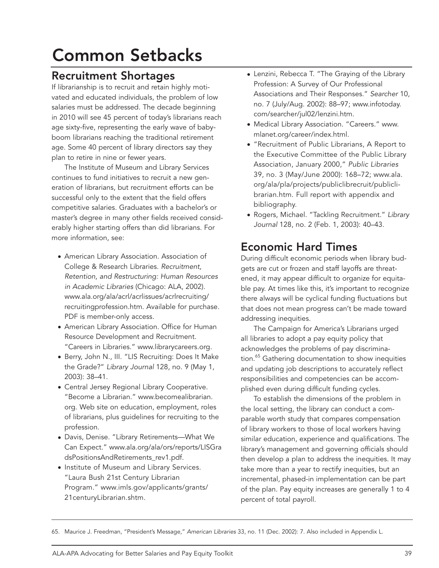# Common Setbacks

## Recruitment Shortages

If librarianship is to recruit and retain highly motivated and educated individuals, the problem of low salaries must be addressed. The decade beginning in 2010 will see 45 percent of today's librarians reach age sixty-five, representing the early wave of babyboom librarians reaching the traditional retirement age. Some 40 percent of library directors say they plan to retire in nine or fewer years.

The Institute of Museum and Library Services continues to fund initiatives to recruit a new generation of librarians, but recruitment efforts can be successful only to the extent that the field offers competitive salaries. Graduates with a bachelor's or master's degree in many other fields received considerably higher starting offers than did librarians. For more information, see:

- American Library Association. Association of College & Research Libraries. *Recruitment, Retention, and Restructuring: Human Resources in Academic Libraries* (Chicago: ALA, 2002). www.ala.org/ala/acrl/acrlissues/acrlrecruiting/ recruitingprofession.htm. Available for purchase. PDF is member-only access.
- American Library Association. Office for Human Resource Development and Recruitment. "Careers in Libraries." www.librarycareers.org.
- Berry, John N., III. "LIS Recruiting: Does It Make the Grade?" *Library Journal* 128, no. 9 (May 1, 2003): 38–41.
- Central Jersey Regional Library Cooperative. "Become a Librarian." www.becomealibrarian. org. Web site on education, employment, roles of librarians, plus guidelines for recruiting to the profession.
- Davis, Denise. "Library Retirements—What We Can Expect." www.ala.org/ala/ors/reports/LISGra dsPositionsAndRetirements\_rev1.pdf.
- Institute of Museum and Library Services. "Laura Bush 21st Century Librarian Program." www.imls.gov/applicants/grants/ 21centuryLibrarian.shtm.
- Lenzini, Rebecca T. "The Graying of the Library Profession: A Survey of Our Professional Associations and Their Responses." *Searcher* 10, no. 7 (July/Aug. 2002): 88–97; www.infotoday. com/searcher/jul02/lenzini.htm.
- Medical Library Association. "Careers." www. mlanet.org/career/index.html.
- "Recruitment of Public Librarians, A Report to the Executive Committee of the Public Library Association, January 2000," *Public Libraries*  39, no. 3 (May/June 2000): 168–72; www.ala. org/ala/pla/projects/publiclibrecruit/publiclibrarian.htm. Full report with appendix and bibliography.
- Rogers, Michael. "Tackling Recruitment." *Library Journal* 128, no. 2 (Feb. 1, 2003): 40–43.

# Economic Hard Times

During difficult economic periods when library budgets are cut or frozen and staff layoffs are threatened, it may appear difficult to organize for equitable pay. At times like this, it's important to recognize there always will be cyclical funding fluctuations but that does not mean progress can't be made toward addressing inequities.

The Campaign for America's Librarians urged all libraries to adopt a pay equity policy that acknowledges the problems of pay discrimination.<sup>65</sup> Gathering documentation to show inequities and updating job descriptions to accurately reflect responsibilities and competencies can be accomplished even during difficult funding cycles.

To establish the dimensions of the problem in the local setting, the library can conduct a comparable worth study that compares compensation of library workers to those of local workers having similar education, experience and qualifications. The library's management and governing officials should then develop a plan to address the inequities. It may take more than a year to rectify inequities, but an incremental, phased-in implementation can be part of the plan. Pay equity increases are generally 1 to 4 percent of total payroll.

<sup>65.</sup> Maurice J. Freedman, "President's Message," *American Libraries* 33, no. 11 (Dec. 2002): 7. Also included in Appendix L.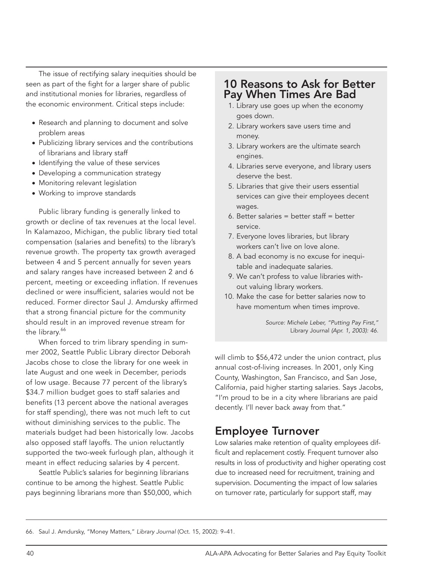The issue of rectifying salary inequities should be seen as part of the fight for a larger share of public and institutional monies for libraries, regardless of the economic environment. Critical steps include:

- Research and planning to document and solve problem areas
- Publicizing library services and the contributions of librarians and library staff
- Identifying the value of these services
- Developing a communication strategy
- Monitoring relevant legislation
- Working to improve standards

Public library funding is generally linked to growth or decline of tax revenues at the local level. In Kalamazoo, Michigan, the public library tied total compensation (salaries and benefits) to the library's revenue growth. The property tax growth averaged between 4 and 5 percent annually for seven years and salary ranges have increased between 2 and 6 percent, meeting or exceeding inflation. If revenues declined or were insufficient, salaries would not be reduced. Former director Saul J. Amdursky affirmed that a strong financial picture for the community should result in an improved revenue stream for the library.<sup>66</sup>

When forced to trim library spending in summer 2002, Seattle Public Library director Deborah Jacobs chose to close the library for one week in late August and one week in December, periods of low usage. Because 77 percent of the library's \$34.7 million budget goes to staff salaries and benefits (13 percent above the national averages for staff spending), there was not much left to cut without diminishing services to the public. The materials budget had been historically low. Jacobs also opposed staff layoffs. The union reluctantly supported the two-week furlough plan, although it meant in effect reducing salaries by 4 percent.

Seattle Public's salaries for beginning librarians continue to be among the highest. Seattle Public pays beginning librarians more than \$50,000, which

### 10 Reasons to Ask for Better Pay When Times Are Bad

- 1. Library use goes up when the economy goes down.
- 2. Library workers save users time and money.
- 3. Library workers are the ultimate search engines.
- 4. Libraries serve everyone, and library users deserve the best.
- 5. Libraries that give their users essential services can give their employees decent wages.
- 6. Better salaries = better staff = better service.
- 7. Everyone loves libraries, but library workers can't live on love alone.
- 8. A bad economy is no excuse for inequitable and inadequate salaries.
- 9. We can't profess to value libraries without valuing library workers.
- 10. Make the case for better salaries now to have momentum when times improve.

*Source: Michele Leber, "Putting Pay First,"*  Library Journal *(Apr. 1, 2003): 46.*

will climb to \$56,472 under the union contract, plus annual cost-of-living increases. In 2001, only King County, Washington, San Francisco, and San Jose, California, paid higher starting salaries. Says Jacobs, "I'm proud to be in a city where librarians are paid decently. I'll never back away from that."

### Employee Turnover

Low salaries make retention of quality employees difficult and replacement costly. Frequent turnover also results in loss of productivity and higher operating cost due to increased need for recruitment, training and supervision. Documenting the impact of low salaries on turnover rate, particularly for support staff, may

66. Saul J. Amdursky, "Money Matters," *Library Journal* (Oct. 15, 2002): 9–41.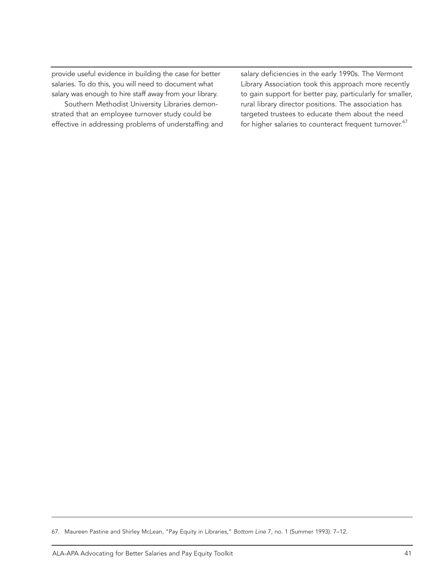provide useful evidence in building the case for better salaries. To do this, you will need to document what salary was enough to hire staff away from your library.

Southern Methodist University Libraries demonstrated that an employee turnover study could be effective in addressing problems of understaffing and salary deficiencies in the early 1990s. The Vermont Library Association took this approach more recently to gain support for better pay, particularly for smaller, rural library director positions. The association has targeted trustees to educate them about the need for higher salaries to counteract frequent turnover.<sup>67</sup>

<sup>67.</sup> Maureen Pastine and Shirley McLean, "Pay Equity in Libraries," *Bottom Line* 7, no. 1 (Summer 1993): 7–12.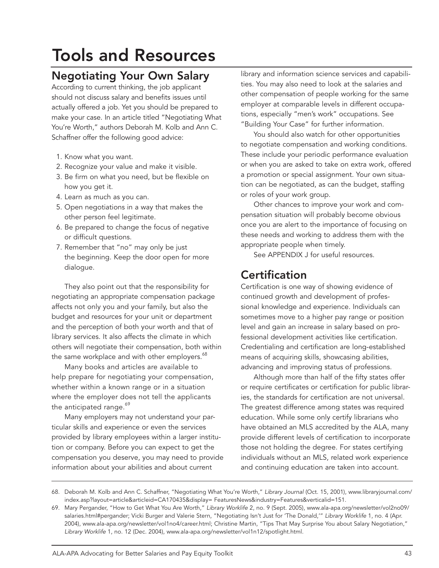# Tools and Resources

# Negotiating Your Own Salary

According to current thinking, the job applicant should not discuss salary and benefits issues until actually offered a job. Yet you should be prepared to make your case. In an article titled "Negotiating What You're Worth," authors Deborah M. Kolb and Ann C. Schaffner offer the following good advice:

- 1. Know what you want.
- 2. Recognize your value and make it visible.
- 3. Be firm on what you need, but be flexible on how you get it.
- 4. Learn as much as you can.
- 5. Open negotiations in a way that makes the other person feel legitimate.
- 6. Be prepared to change the focus of negative or difficult questions.
- 7. Remember that "no" may only be just the beginning. Keep the door open for more dialogue.

They also point out that the responsibility for negotiating an appropriate compensation package affects not only you and your family, but also the budget and resources for your unit or department and the perception of both your worth and that of library services. It also affects the climate in which others will negotiate their compensation, both within the same workplace and with other employers.<sup>68</sup>

Many books and articles are available to help prepare for negotiating your compensation, whether within a known range or in a situation where the employer does not tell the applicants the anticipated range.<sup>69</sup>

Many employers may not understand your particular skills and experience or even the services provided by library employees within a larger institution or company. Before you can expect to get the compensation you deserve, you may need to provide information about your abilities and about current

library and information science services and capabilities. You may also need to look at the salaries and other compensation of people working for the same employer at comparable levels in different occupations, especially "men's work" occupations. See "Building Your Case" for further information.

You should also watch for other opportunities to negotiate compensation and working conditions. These include your periodic performance evaluation or when you are asked to take on extra work, offered a promotion or special assignment. Your own situation can be negotiated, as can the budget, staffing or roles of your work group.

Other chances to improve your work and compensation situation will probably become obvious once you are alert to the importance of focusing on these needs and working to address them with the appropriate people when timely.

See APPENDIX J for useful resources.

## **Certification**

Certification is one way of showing evidence of continued growth and development of professional knowledge and experience. Individuals can sometimes move to a higher pay range or position level and gain an increase in salary based on professional development activities like certification. Credentialing and certification are long-established means of acquiring skills, showcasing abilities, advancing and improving status of professions.

Although more than half of the fifty states offer or require certificates or certification for public libraries, the standards for certification are not universal. The greatest difference among states was required education. While some only certify librarians who have obtained an MLS accredited by the ALA, many provide different levels of certification to incorporate those not holding the degree. For states certifying individuals without an MLS, related work experience and continuing education are taken into account.

<sup>68.</sup> Deborah M. Kolb and Ann C. Schaffner, "Negotiating What You're Worth," *Library Journal* (Oct. 15, 2001), www.libraryjournal.com/ index.asp?layout=article&articleid=CA170435&display= FeaturesNews&industry=Features&verticalid=151.

<sup>69.</sup> Mary Pergander, "How to Get What You Are Worth," *Library Worklife* 2, no. 9 (Sept. 2005), www.ala-apa.org/newsletter/vol2no09/ salaries.html#pergander; Vicki Burger and Valerie Stern, "Negotiating Isn't Just for 'The Donald,'" *Library Worklife* 1, no. 4 (Apr. 2004), www.ala-apa.org/newsletter/vol1no4/career.html; Christine Martin, "Tips That May Surprise You about Salary Negotiation," *Library Worklife* 1, no. 12 (Dec. 2004), www.ala-apa.org/newsletter/vol1n12/spotlight.html.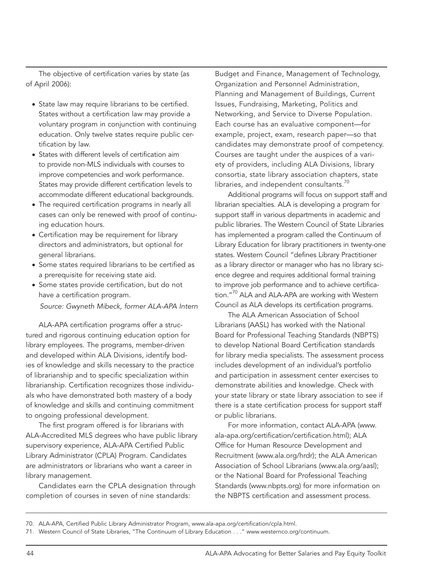The objective of certification varies by state (as of April 2006):

- State law may require librarians to be certified. States without a certification law may provide a voluntary program in conjunction with continuing education. Only twelve states require public certification by law.
- States with different levels of certification aim to provide non-MLS individuals with courses to improve competencies and work performance. States may provide different certification levels to accommodate different educational backgrounds.
- The required certification programs in nearly all cases can only be renewed with proof of continuing education hours.
- Certification may be requirement for library directors and administrators, but optional for general librarians.
- Some states required librarians to be certified as a prerequisite for receiving state aid.
- Some states provide certification, but do not have a certification program. *Source: Gwyneth Mibeck, former ALA-APA Intern*

ALA-APA certification programs offer a structured and rigorous continuing education option for library employees. The programs, member-driven and developed within ALA Divisions, identify bodies of knowledge and skills necessary to the practice of librarianship and to specific specialization within librarianship. Certification recognizes those individuals who have demonstrated both mastery of a body of knowledge and skills and continuing commitment to ongoing professional development.

The first program offered is for librarians with ALA-Accredited MLS degrees who have public library supervisory experience, ALA-APA Certified Public Library Administrator (CPLA) Program. Candidates are administrators or librarians who want a career in library management.

Candidates earn the CPLA designation through completion of courses in seven of nine standards:

Budget and Finance, Management of Technology, Organization and Personnel Administration, Planning and Management of Buildings, Current Issues, Fundraising, Marketing, Politics and Networking, and Service to Diverse Population. Each course has an evaluative component—for example, project, exam, research paper—so that candidates may demonstrate proof of competency. Courses are taught under the auspices of a variety of providers, including ALA Divisions, library consortia, state library association chapters, state libraries, and independent consultants.<sup>70</sup>

Additional programs will focus on support staff and librarian specialties. ALA is developing a program for support staff in various departments in academic and public libraries. The Western Council of State Libraries has implemented a program called the Continuum of Library Education for library practitioners in twenty-one states. Western Council "defines Library Practitioner as a library director or manager who has no library science degree and requires additional formal training to improve job performance and to achieve certification."<sup>70</sup> ALA and ALA-APA are working with Western Council as ALA develops its certification programs.

The ALA American Association of School Librarians (AASL) has worked with the National Board for Professional Teaching Standards (NBPTS) to develop National Board Certification standards for library media specialists. The assessment process includes development of an individual's portfolio and participation in assessment center exercises to demonstrate abilities and knowledge. Check with your state library or state library association to see if there is a state certification process for support staff or public librarians.

For more information, contact ALA-APA (www. ala-apa.org/certification/certification.html); ALA Office for Human Resource Development and Recruitment (www.ala.org/hrdr); the ALA American Association of School Librarians (www.ala.org/aasl); or the National Board for Professional Teaching Standards (www.nbpts.org) for more information on the NBPTS certification and assessment process.

<sup>70.</sup> ALA-APA, Certified Public Library Administrator Program, www.ala-apa.org/certification/cpla.html.

<sup>71.</sup> Western Council of State Libraries, "The Continuum of Library Education . . ." www.westernco.org/continuum.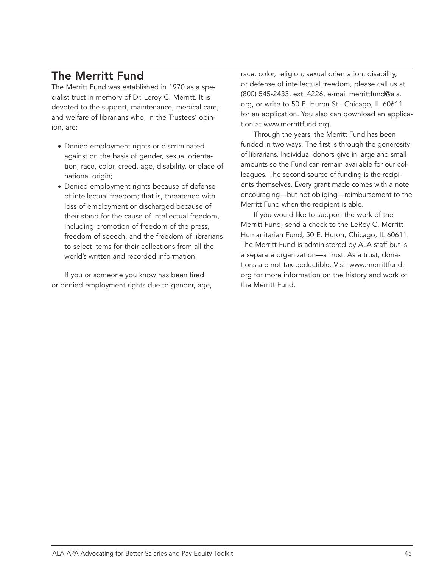# The Merritt Fund

The Merritt Fund was established in 1970 as a specialist trust in memory of Dr. Leroy C. Merritt. It is devoted to the support, maintenance, medical care, and welfare of librarians who, in the Trustees' opinion, are:

- Denied employment rights or discriminated against on the basis of gender, sexual orientation, race, color, creed, age, disability, or place of national origin;
- Denied employment rights because of defense of intellectual freedom; that is, threatened with loss of employment or discharged because of their stand for the cause of intellectual freedom, including promotion of freedom of the press, freedom of speech, and the freedom of librarians to select items for their collections from all the world's written and recorded information.

If you or someone you know has been fired or denied employment rights due to gender, age,

race, color, religion, sexual orientation, disability, or defense of intellectual freedom, please call us at (800) 545-2433, ext. 4226, e-mail merrittfund@ala. org, or write to 50 E. Huron St., Chicago, IL 60611 for an application. You also can download an application at www.merrittfund.org.

Through the years, the Merritt Fund has been funded in two ways. The first is through the generosity of librarians. Individual donors give in large and small amounts so the Fund can remain available for our colleagues. The second source of funding is the recipients themselves. Every grant made comes with a note encouraging—but not obliging—reimbursement to the Merritt Fund when the recipient is able.

If you would like to support the work of the Merritt Fund, send a check to the LeRoy C. Merritt Humanitarian Fund, 50 E. Huron, Chicago, IL 60611. The Merritt Fund is administered by ALA staff but is a separate organization—a trust. As a trust, donations are not tax-deductible. Visit www.merrittfund. org for more information on the history and work of the Merritt Fund.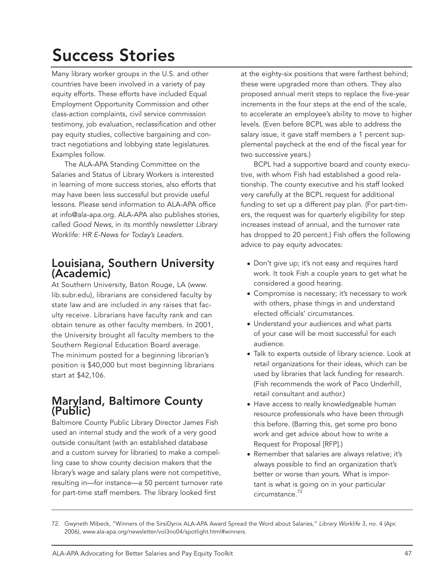# Success Stories

Many library worker groups in the U.S. and other countries have been involved in a variety of pay equity efforts. These efforts have included Equal Employment Opportunity Commission and other class-action complaints, civil service commission testimony, job evaluation, reclassification and other pay equity studies, collective bargaining and contract negotiations and lobbying state legislatures. Examples follow.

The ALA-APA Standing Committee on the Salaries and Status of Library Workers is interested in learning of more success stories, also efforts that may have been less successful but provide useful lessons. Please send information to ALA-APA office at info@ala-apa.org. ALA-APA also publishes stories, called *Good News*, in its monthly newsletter *Library Worklife: HR E-News for Today's Leaders*.

## Louisiana, Southern University (Academic)

At Southern University, Baton Rouge, LA (www. lib.subr.edu), librarians are considered faculty by state law and are included in any raises that faculty receive. Librarians have faculty rank and can obtain tenure as other faculty members. In 2001, the University brought all faculty members to the Southern Regional Education Board average. The minimum posted for a beginning librarian's position is \$40,000 but most beginning librarians start at \$42,106.

## Maryland, Baltimore County (Public)

Baltimore County Public Library Director James Fish used an internal study and the work of a very good outside consultant (with an established database and a custom survey for libraries) to make a compelling case to show county decision makers that the library's wage and salary plans were not competitive, resulting in—for instance—a 50 percent turnover rate for part-time staff members. The library looked first

at the eighty-six positions that were farthest behind; these were upgraded more than others. They also proposed annual merit steps to replace the five-year increments in the four steps at the end of the scale, to accelerate an employee's ability to move to higher levels. (Even before BCPL was able to address the salary issue, it gave staff members a 1 percent supplemental paycheck at the end of the fiscal year for two successive years.)

BCPL had a supportive board and county executive, with whom Fish had established a good relationship. The county executive and his staff looked very carefully at the BCPL request for additional funding to set up a different pay plan. (For part-timers, the request was for quarterly eligibility for step increases instead of annual, and the turnover rate has dropped to 20 percent.) Fish offers the following advice to pay equity advocates:

- Don't give up; it's not easy and requires hard work. It took Fish a couple years to get what he considered a good hearing.
- Compromise is necessary; it's necessary to work with others, phase things in and understand elected officials' circumstances.
- Understand your audiences and what parts of your case will be most successful for each audience.
- Talk to experts outside of library science. Look at retail organizations for their ideas, which can be used by libraries that lack funding for research. (Fish recommends the work of Paco Underhill, retail consultant and author.)
- Have access to really knowledgeable human resource professionals who have been through this before. (Barring this, get some pro bono work and get advice about how to write a Request for Proposal [RFP].)
- Remember that salaries are always relative; it's always possible to find an organization that's better or worse than yours. What is important is what is going on in your particular circumstance.72

<sup>72.</sup> Gwyneth Mibeck, "Winners of the SirsiDynix ALA-APA Award Spread the Word about Salaries," *Library Worklife* 3, no. 4 (Apr. 2006), www.ala-apa.org/newsletter/vol3no04/spotlight.html#winners.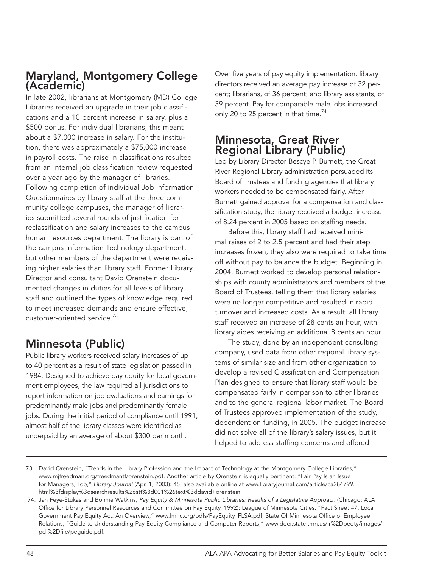## Maryland, Montgomery College (Academic)

In late 2002, librarians at Montgomery (MD) College Libraries received an upgrade in their job classifications and a 10 percent increase in salary, plus a \$500 bonus. For individual librarians, this meant about a \$7,000 increase in salary. For the institution, there was approximately a \$75,000 increase in payroll costs. The raise in classifications resulted from an internal job classification review requested over a year ago by the manager of libraries. Following completion of individual Job Information Questionnaires by library staff at the three community college campuses, the manager of libraries submitted several rounds of justification for reclassification and salary increases to the campus human resources department. The library is part of the campus Information Technology department, but other members of the department were receiving higher salaries than library staff. Former Library Director and consultant David Orenstein documented changes in duties for all levels of library staff and outlined the types of knowledge required to meet increased demands and ensure effective, customer-oriented service.<sup>73</sup>

# Minnesota (Public)

Public library workers received salary increases of up to 40 percent as a result of state legislation passed in 1984. Designed to achieve pay equity for local government employees, the law required all jurisdictions to report information on job evaluations and earnings for predominantly male jobs and predominantly female jobs. During the initial period of compliance until 1991, almost half of the library classes were identified as underpaid by an average of about \$300 per month.

Over five years of pay equity implementation, library directors received an average pay increase of 32 percent; librarians, of 36 percent; and library assistants, of 39 percent. Pay for comparable male jobs increased only 20 to 25 percent in that time.<sup>74</sup>

## Minnesota, Great River Regional Library (Public)

Led by Library Director Bescye P. Burnett, the Great River Regional Library administration persuaded its Board of Trustees and funding agencies that library workers needed to be compensated fairly. After Burnett gained approval for a compensation and classification study, the library received a budget increase of 8.24 percent in 2005 based on staffing needs.

Before this, library staff had received minimal raises of 2 to 2.5 percent and had their step increases frozen; they also were required to take time off without pay to balance the budget. Beginning in 2004, Burnett worked to develop personal relationships with county administrators and members of the Board of Trustees, telling them that library salaries were no longer competitive and resulted in rapid turnover and increased costs. As a result, all library staff received an increase of 28 cents an hour, with library aides receiving an additional 8 cents an hour.

The study, done by an independent consulting company, used data from other regional library systems of similar size and from other organization to develop a revised Classification and Compensation Plan designed to ensure that library staff would be compensated fairly in comparison to other libraries and to the general regional labor market. The Board of Trustees approved implementation of the study, dependent on funding, in 2005. The budget increase did not solve all of the library's salary issues, but it helped to address staffing concerns and offered

<sup>73.</sup> David Orenstein, "Trends in the Library Profession and the Impact of Technology at the Montgomery College Libraries," www.mjfreedman.org/freedmantf/orenstein.pdf. Another article by Orenstein is equally pertinent: "Fair Pay Is an Issue for Managers, Too," *Library Journal* (Apr. 1, 2003): 45; also available online at www.libraryjournal.com/article/ca284799. html%3fdisplay%3dsearchresults%26stt%3d001%26text%3ddavid+orenstein.

 <sup>74.</sup> Jan Feye-Stukas and Bonnie Watkins, *Pay Equity & Minnesota Public Libraries: Results of a Legislative Approach* (Chicago: ALA Office for Library Personnel Resources and Committee on Pay Equity, 1992); League of Minnesota Cities, "Fact Sheet #7, Local Government Pay Equity Act: An Overview," www.lmnc.org/pdfs/PayEquity\_FLSA.pdf; State Of Minnesota Office of Employee Relations, "Guide to Understanding Pay Equity Compliance and Computer Reports," www.doer.state .mn.us/lr%2Dpeqty/images/ pdf%2Dfile/peguide.pdf.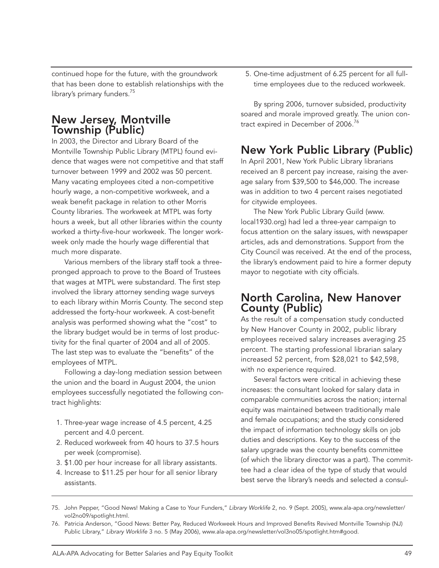continued hope for the future, with the groundwork that has been done to establish relationships with the library's primary funders.<sup>75</sup>

## New Jersey, Montville Township (Public)

In 2003, the Director and Library Board of the Montville Township Public Library (MTPL) found evidence that wages were not competitive and that staff turnover between 1999 and 2002 was 50 percent. Many vacating employees cited a non-competitive hourly wage, a non-competitive workweek, and a weak benefit package in relation to other Morris County libraries. The workweek at MTPL was forty hours a week, but all other libraries within the county worked a thirty-five-hour workweek. The longer workweek only made the hourly wage differential that much more disparate.

Various members of the library staff took a threepronged approach to prove to the Board of Trustees that wages at MTPL were substandard. The first step involved the library attorney sending wage surveys to each library within Morris County. The second step addressed the forty-hour workweek. A cost-benefit analysis was performed showing what the "cost" to the library budget would be in terms of lost productivity for the final quarter of 2004 and all of 2005. The last step was to evaluate the "benefits" of the employees of MTPL.

Following a day-long mediation session between the union and the board in August 2004, the union employees successfully negotiated the following contract highlights:

- 1. Three-year wage increase of 4.5 percent, 4.25 percent and 4.0 percent.
- 2. Reduced workweek from 40 hours to 37.5 hours per week (compromise).
- 3. \$1.00 per hour increase for all library assistants.
- 4. Increase to \$11.25 per hour for all senior library assistants.

5. One-time adjustment of 6.25 percent for all fulltime employees due to the reduced workweek.

By spring 2006, turnover subsided, productivity soared and morale improved greatly. The union contract expired in December of 2006.<sup>76</sup>

# New York Public Library (Public)

In April 2001, New York Public Library librarians received an 8 percent pay increase, raising the average salary from \$39,500 to \$46,000. The increase was in addition to two 4 percent raises negotiated for citywide employees.

The New York Public Library Guild (www. local1930.org) had led a three-year campaign to focus attention on the salary issues, with newspaper articles, ads and demonstrations. Support from the City Council was received. At the end of the process, the library's endowment paid to hire a former deputy mayor to negotiate with city officials.

### North Carolina, New Hanover County (Public)

As the result of a compensation study conducted by New Hanover County in 2002, public library employees received salary increases averaging 25 percent. The starting professional librarian salary increased 52 percent, from \$28,021 to \$42,598, with no experience required.

Several factors were critical in achieving these increases: the consultant looked for salary data in comparable communities across the nation; internal equity was maintained between traditionally male and female occupations; and the study considered the impact of information technology skills on job duties and descriptions. Key to the success of the salary upgrade was the county benefits committee (of which the library director was a part). The committee had a clear idea of the type of study that would best serve the library's needs and selected a consul-

<sup>75.</sup> John Pepper, "Good News! Making a Case to Your Funders," *Library Worklife* 2, no. 9 (Sept. 2005), www.ala-apa.org/newsletter/ vol2no09/spotlight.html.

<sup>76.</sup> Patricia Anderson, "Good News: Better Pay, Reduced Workweek Hours and Improved Benefits Revived Montville Township (NJ) Public Library," *Library Worklife* 3 no. 5 (May 2006), www.ala-apa.org/newsletter/vol3no05/spotlight.htm#good.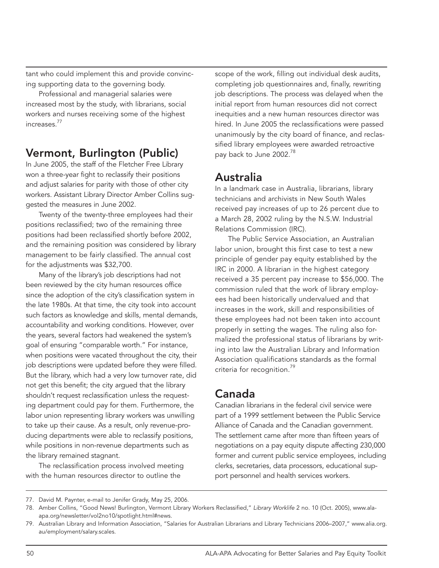tant who could implement this and provide convincing supporting data to the governing body.

Professional and managerial salaries were increased most by the study, with librarians, social workers and nurses receiving some of the highest increases<sup>77</sup>

## Vermont, Burlington (Public)

In June 2005, the staff of the Fletcher Free Library won a three-year fight to reclassify their positions and adjust salaries for parity with those of other city workers. Assistant Library Director Amber Collins suggested the measures in June 2002.

Twenty of the twenty-three employees had their positions reclassified; two of the remaining three positions had been reclassified shortly before 2002, and the remaining position was considered by library management to be fairly classified. The annual cost for the adjustments was \$32,700.

Many of the library's job descriptions had not been reviewed by the city human resources office since the adoption of the city's classification system in the late 1980s. At that time, the city took into account such factors as knowledge and skills, mental demands, accountability and working conditions. However, over the years, several factors had weakened the system's goal of ensuring "comparable worth." For instance, when positions were vacated throughout the city, their job descriptions were updated before they were filled. But the library, which had a very low turnover rate, did not get this benefit; the city argued that the library shouldn't request reclassification unless the requesting department could pay for them. Furthermore, the labor union representing library workers was unwilling to take up their cause. As a result, only revenue-producing departments were able to reclassify positions, while positions in non-revenue departments such as the library remained stagnant.

The reclassification process involved meeting with the human resources director to outline the

scope of the work, filling out individual desk audits, completing job questionnaires and, finally, rewriting job descriptions. The process was delayed when the initial report from human resources did not correct inequities and a new human resources director was hired. In June 2005 the reclassifications were passed unanimously by the city board of finance, and reclassified library employees were awarded retroactive pay back to June 2002.<sup>78</sup>

### Australia

In a landmark case in Australia, librarians, library technicians and archivists in New South Wales received pay increases of up to 26 percent due to a March 28, 2002 ruling by the N.S.W. Industrial Relations Commission (IRC).

The Public Service Association, an Australian labor union, brought this first case to test a new principle of gender pay equity established by the IRC in 2000. A librarian in the highest category received a 35 percent pay increase to \$56,000. The commission ruled that the work of library employees had been historically undervalued and that increases in the work, skill and responsibilities of these employees had not been taken into account properly in setting the wages. The ruling also formalized the professional status of librarians by writing into law the Australian Library and Information Association qualifications standards as the formal criteria for recognition.<sup>79</sup>

# Canada

Canadian librarians in the federal civil service were part of a 1999 settlement between the Public Service Alliance of Canada and the Canadian government. The settlement came after more than fifteen years of negotiations on a pay equity dispute affecting 230,000 former and current public service employees, including clerks, secretaries, data processors, educational support personnel and health services workers.

<sup>77.</sup> David M. Paynter, e-mail to Jenifer Grady, May 25, 2006.

<sup>78.</sup> Amber Collins, "Good News! Burlington, Vermont Library Workers Reclassified," *Library Worklife* 2 no. 10 (Oct. 2005), www.alaapa.org/newsletter/vol2no10/spotlight.html#news.

<sup>79.</sup> Australian Library and Information Association, "Salaries for Australian Librarians and Library Technicians 2006–2007," www.alia.org. au/employment/salary.scales.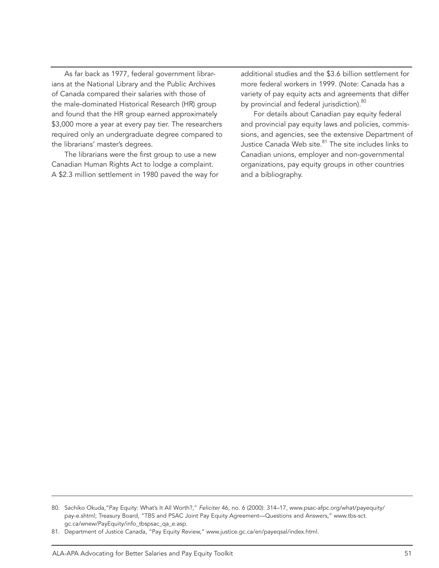As far back as 1977, federal government librarians at the National Library and the Public Archives of Canada compared their salaries with those of the male-dominated Historical Research (HR) group and found that the HR group earned approximately \$3,000 more a year at every pay tier. The researchers required only an undergraduate degree compared to the librarians' master's degrees.

The librarians were the first group to use a new Canadian Human Rights Act to lodge a complaint. A \$2.3 million settlement in 1980 paved the way for

additional studies and the \$3.6 billion settlement for more federal workers in 1999. (Note: Canada has a variety of pay equity acts and agreements that differ by provincial and federal jurisdiction).<sup>80</sup>

For details about Canadian pay equity federal and provincial pay equity laws and policies, commissions, and agencies, see the extensive Department of Justice Canada Web site.<sup>81</sup> The site includes links to Canadian unions, employer and non-governmental organizations, pay equity groups in other countries and a bibliography.

<sup>80.</sup> Sachiko Okuda,"Pay Equity: What's It All Worth?," *Feliciter* 46, no. 6 (2000): 314–17, www.psac-afpc.org/what/payequity/ pay-e.shtml; Treasury Board, "TBS and PSAC Joint Pay Equity Agreement—Questions and Answers," www.tbs-sct. gc.ca/wnew/PayEquity/info\_tbspsac\_qa\_e.asp.

<sup>81.</sup> Department of Justice Canada, "Pay Equity Review," www.justice.gc.ca/en/payeqsal/index.html.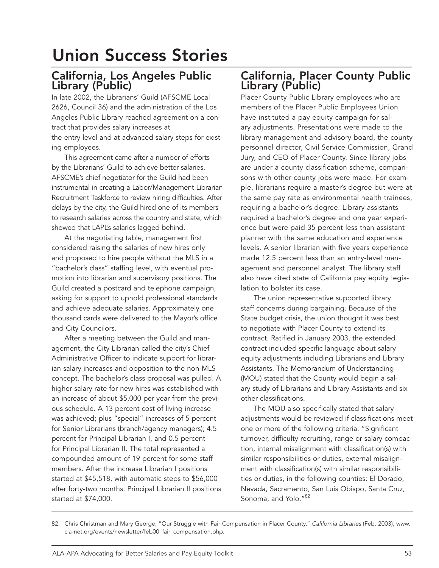# Union Success Stories

### California, Los Angeles Public Library (Public)

In late 2002, the Librarians' Guild (AFSCME Local 2626, Council 36) and the administration of the Los Angeles Public Library reached agreement on a contract that provides salary increases at the entry level and at advanced salary steps for existing employees.

This agreement came after a number of efforts by the Librarians' Guild to achieve better salaries. AFSCME's chief negotiator for the Guild had been instrumental in creating a Labor/Management Librarian Recruitment Taskforce to review hiring difficulties. After delays by the city, the Guild hired one of its members to research salaries across the country and state, which showed that LAPL's salaries lagged behind.

At the negotiating table, management first considered raising the salaries of new hires only and proposed to hire people without the MLS in a "bachelor's class" staffing level, with eventual promotion into librarian and supervisory positions. The Guild created a postcard and telephone campaign, asking for support to uphold professional standards and achieve adequate salaries. Approximately one thousand cards were delivered to the Mayor's office and City Councilors.

After a meeting between the Guild and management, the City Librarian called the city's Chief Administrative Officer to indicate support for librarian salary increases and opposition to the non-MLS concept. The bachelor's class proposal was pulled. A higher salary rate for new hires was established with an increase of about \$5,000 per year from the previous schedule. A 13 percent cost of living increase was achieved; plus "special" increases of 5 percent for Senior Librarians (branch/agency managers); 4.5 percent for Principal Librarian I, and 0.5 percent for Principal Librarian II. The total represented a compounded amount of 19 percent for some staff members. After the increase Librarian I positions started at \$45,518, with automatic steps to \$56,000 after forty-two months. Principal Librarian II positions started at \$74,000.

## California, Placer County Public Library (Public)

Placer County Public Library employees who are members of the Placer Public Employees Union have instituted a pay equity campaign for salary adjustments. Presentations were made to the library management and advisory board, the county personnel director, Civil Service Commission, Grand Jury, and CEO of Placer County. Since library jobs are under a county classification scheme, comparisons with other county jobs were made. For example, librarians require a master's degree but were at the same pay rate as environmental health trainees, requiring a bachelor's degree. Library assistants required a bachelor's degree and one year experience but were paid 35 percent less than assistant planner with the same education and experience levels. A senior librarian with five years experience made 12.5 percent less than an entry-level management and personnel analyst. The library staff also have cited state of California pay equity legislation to bolster its case.

The union representative supported library staff concerns during bargaining. Because of the State budget crisis, the union thought it was best to negotiate with Placer County to extend its contract. Ratified in January 2003, the extended contract included specific language about salary equity adjustments including Librarians and Library Assistants. The Memorandum of Understanding (MOU) stated that the County would begin a salary study of Librarians and Library Assistants and six other classifications.

The MOU also specifically stated that salary adjustments would be reviewed if classifications meet one or more of the following criteria: "Significant turnover, difficulty recruiting, range or salary compaction, internal misalignment with classification(s) with similar responsibilities or duties, external misalignment with classification(s) with similar responsibilities or duties, in the following counties: El Dorado, Nevada, Sacramento, San Luis Obispo, Santa Cruz, Sonoma, and Yolo."<sup>82</sup>

<sup>82.</sup> Chris Christman and Mary George, "Our Struggle with Fair Compensation in Placer County," *California Libraries* (Feb. 2003), www. cla-net.org/events/newsletter/feb00\_fair\_compensation.php.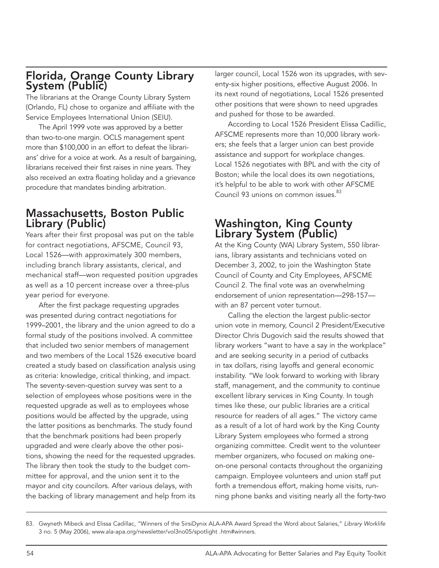## Florida, Orange County Library System (Public)

The librarians at the Orange County Library System (Orlando, FL) chose to organize and affiliate with the Service Employees International Union (SEIU).

The April 1999 vote was approved by a better than two-to-one margin. OCLS management spent more than \$100,000 in an effort to defeat the librarians' drive for a voice at work. As a result of bargaining, librarians received their first raises in nine years. They also received an extra floating holiday and a grievance procedure that mandates binding arbitration.

## Massachusetts, Boston Public Library (Public)

Years after their first proposal was put on the table for contract negotiations, AFSCME, Council 93, Local 1526—with approximately 300 members, including branch library assistants, clerical, and mechanical staff—won requested position upgrades as well as a 10 percent increase over a three-plus year period for everyone.

After the first package requesting upgrades was presented during contract negotiations for 1999–2001, the library and the union agreed to do a formal study of the positions involved. A committee that included two senior members of management and two members of the Local 1526 executive board created a study based on classification analysis using as criteria: knowledge, critical thinking, and impact. The seventy-seven-question survey was sent to a selection of employees whose positions were in the requested upgrade as well as to employees whose positions would be affected by the upgrade, using the latter positions as benchmarks. The study found that the benchmark positions had been properly upgraded and were clearly above the other positions, showing the need for the requested upgrades. The library then took the study to the budget committee for approval, and the union sent it to the mayor and city councilors. After various delays, with the backing of library management and help from its larger council, Local 1526 won its upgrades, with seventy-six higher positions, effective August 2006. In its next round of negotiations, Local 1526 presented other positions that were shown to need upgrades and pushed for those to be awarded.

According to Local 1526 President Elissa Cadillic, AFSCME represents more than 10,000 library workers; she feels that a larger union can best provide assistance and support for workplace changes. Local 1526 negotiates with BPL and with the city of Boston; while the local does its own negotiations, it's helpful to be able to work with other AFSCME Council 93 unions on common issues.<sup>83</sup>

### Washington, King County Library System (Public)

At the King County (WA) Library System, 550 librarians, library assistants and technicians voted on December 3, 2002, to join the Washington State Council of County and City Employees, AFSCME Council 2. The final vote was an overwhelming endorsement of union representation—298-157 with an 87 percent voter turnout.

Calling the election the largest public-sector union vote in memory, Council 2 President/Executive Director Chris Dugovich said the results showed that library workers "want to have a say in the workplace" and are seeking security in a period of cutbacks in tax dollars, rising layoffs and general economic instability. "We look forward to working with library staff, management, and the community to continue excellent library services in King County. In tough times like these, our public libraries are a critical resource for readers of all ages." The victory came as a result of a lot of hard work by the King County Library System employees who formed a strong organizing committee. Credit went to the volunteer member organizers, who focused on making oneon-one personal contacts throughout the organizing campaign. Employee volunteers and union staff put forth a tremendous effort, making home visits, running phone banks and visiting nearly all the forty-two

<sup>83.</sup> Gwyneth Mibeck and Elissa Cadillac, "Winners of the SirsiDynix ALA-APA Award Spread the Word about Salaries," *Library Worklife* 3 no. 5 (May 2006), www.ala-apa.org/newsletter/vol3no05/spotlight .htm#winners.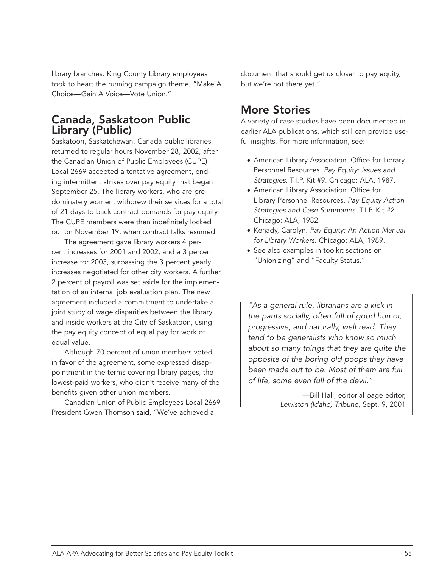library branches. King County Library employees took to heart the running campaign theme, "Make A Choice—Gain A Voice—Vote Union."

## Canada, Saskatoon Public Library (Public)

Saskatoon, Saskatchewan, Canada public libraries returned to regular hours November 28, 2002, after the Canadian Union of Public Employees (CUPE) Local 2669 accepted a tentative agreement, ending intermittent strikes over pay equity that began September 25. The library workers, who are predominately women, withdrew their services for a total of 21 days to back contract demands for pay equity. The CUPE members were then indefinitely locked out on November 19, when contract talks resumed.

The agreement gave library workers 4 percent increases for 2001 and 2002, and a 3 percent increase for 2003, surpassing the 3 percent yearly increases negotiated for other city workers. A further 2 percent of payroll was set aside for the implementation of an internal job evaluation plan. The new agreement included a commitment to undertake a joint study of wage disparities between the library and inside workers at the City of Saskatoon, using the pay equity concept of equal pay for work of equal value.

Although 70 percent of union members voted in favor of the agreement, some expressed disappointment in the terms covering library pages, the lowest-paid workers, who didn't receive many of the benefits given other union members.

Canadian Union of Public Employees Local 2669 President Gwen Thomson said, "We've achieved a

document that should get us closer to pay equity, but we're not there yet."

# More Stories

A variety of case studies have been documented in earlier ALA publications, which still can provide useful insights. For more information, see:

- American Library Association. Office for Library Personnel Resources. *Pay Equity: Issues and Strategies.* T.I.P. Kit #9. Chicago: ALA, 1987.
- American Library Association. Office for Library Personnel Resources. *Pay Equity Action Strategies and Case Summaries*. T.I.P. Kit #2. Chicago: ALA, 1982.
- Kenady, Carolyn. *Pay Equity: An Action Manual for Library Workers*. Chicago: ALA, 1989.
- See also examples in toolkit sections on "Unionizing" and "Faculty Status."

*"As a general rule, librarians are a kick in the pants socially, often full of good humor, progressive, and naturally, well read. They tend to be generalists who know so much about so many things that they are quite the opposite of the boring old poops they have been made out to be. Most of them are full of life, some even full of the devil."*

> —Bill Hall, editorial page editor, *Lewiston (Idaho) Tribune,* Sept. 9, 2001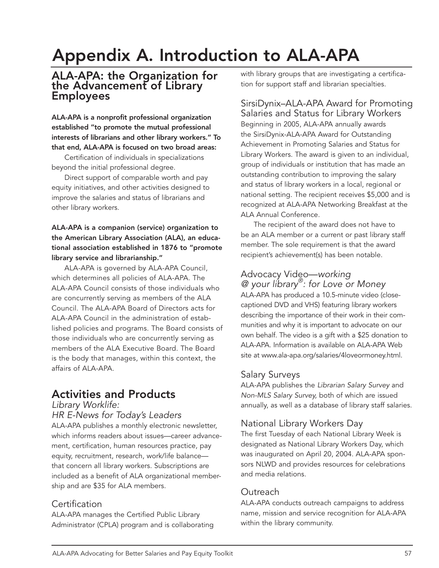# Appendix A. Introduction to ALA-APA

#### ALA-APA: the Organization for the Advancement of Library Employees

ALA-APA is a nonprofit professional organization established "to promote the mutual professional interests of librarians and other library workers." To that end, ALA-APA is focused on two broad areas:

Certification of individuals in specializations beyond the initial professional degree.

Direct support of comparable worth and pay equity initiatives, and other activities designed to improve the salaries and status of librarians and other library workers.

#### ALA-APA is a companion (service) organization to the American Library Association (ALA), an educational association established in 1876 to "promote library service and librarianship."

ALA-APA is governed by ALA-APA Council, which determines all policies of ALA-APA. The ALA-APA Council consists of those individuals who are concurrently serving as members of the ALA Council. The ALA-APA Board of Directors acts for ALA-APA Council in the administration of established policies and programs. The Board consists of those individuals who are concurrently serving as members of the ALA Executive Board. The Board is the body that manages, within this context, the affairs of ALA-APA.

# Activities and Products

*Library Worklife:* 

*HR E-News for Today's Leaders* ALA-APA publishes a monthly electronic newsletter, which informs readers about issues—career advancement, certification, human resources practice, pay equity, recruitment, research, work/life balance that concern all library workers. Subscriptions are included as a benefit of ALA organizational member-

# ship and are \$35 for ALA members.

#### **Certification**

ALA-APA manages the Certified Public Library Administrator (CPLA) program and is collaborating with library groups that are investigating a certification for support staff and librarian specialties.

### SirsiDynix–ALA-APA Award for Promoting

Salaries and Status for Library Workers Beginning in 2005, ALA-APA annually awards the SirsiDynix-ALA-APA Award for Outstanding Achievement in Promoting Salaries and Status for Library Workers. The award is given to an individual, group of individuals or institution that has made an outstanding contribution to improving the salary and status of library workers in a local, regional or national setting. The recipient receives \$5,000 and is recognized at ALA-APA Networking Breakfast at the ALA Annual Conference.

The recipient of the award does not have to be an ALA member or a current or past library staff member. The sole requirement is that the award recipient's achievement(s) has been notable.

## Advocacy Video—*working*

*@ your library®: for Love or Money* ALA-APA has produced a 10.5-minute video (closecaptioned DVD and VHS) featuring library workers describing the importance of their work in their communities and why it is important to advocate on our own behalf. The video is a gift with a \$25 donation to ALA-APA. Information is available on ALA-APA Web site at www.ala-apa.org/salaries/4loveormoney.html.

#### Salary Surveys

ALA-APA publishes the *Librarian Salary Survey* and *Non-MLS Salary Survey,* both of which are issued annually, as well as a database of library staff salaries.

### National Library Workers Day

The first Tuesday of each National Library Week is designated as National Library Workers Day, which was inaugurated on April 20, 2004. ALA-APA sponsors NLWD and provides resources for celebrations and media relations.

#### Outreach

ALA-APA conducts outreach campaigns to address name, mission and service recognition for ALA-APA within the library community.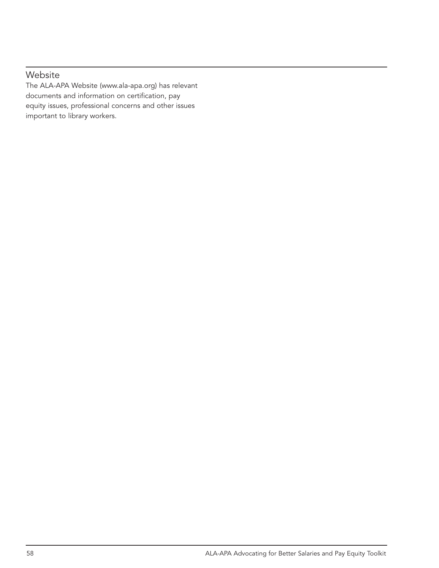#### Website

The ALA-APA Website (www.ala-apa.org) has relevant documents and information on certification, pay equity issues, professional concerns and other issues important to library workers.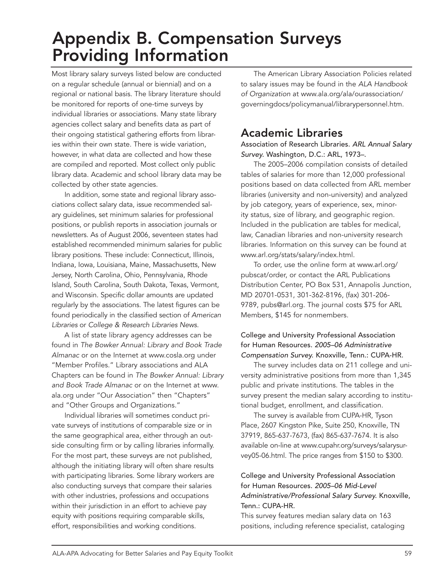# Appendix B. Compensation Surveys Providing Information

Most library salary surveys listed below are conducted on a regular schedule (annual or biennial) and on a regional or national basis. The library literature should be monitored for reports of one-time surveys by individual libraries or associations. Many state library agencies collect salary and benefits data as part of their ongoing statistical gathering efforts from libraries within their own state. There is wide variation, however, in what data are collected and how these are compiled and reported. Most collect only public library data. Academic and school library data may be collected by other state agencies.

In addition, some state and regional library associations collect salary data, issue recommended salary guidelines, set minimum salaries for professional positions, or publish reports in association journals or newsletters. As of August 2006, seventeen states had established recommended minimum salaries for public library positions. These include: Connecticut, Illinois, Indiana, Iowa, Louisiana, Maine, Massachusetts, New Jersey, North Carolina, Ohio, Pennsylvania, Rhode Island, South Carolina, South Dakota, Texas, Vermont, and Wisconsin. Specific dollar amounts are updated regularly by the associations. The latest figures can be found periodically in the classified section of *American Libraries* or *College & Research Libraries News*.

A list of state library agency addresses can be found in *The Bowker Annual: Library and Book Trade Almanac* or on the Internet at www.cosla.org under "Member Profiles." Library associations and ALA Chapters can be found in *The Bowker Annual: Library and Book Trade Almanac* or on the Internet at www. ala.org under "Our Association" then "Chapters" and "Other Groups and Organizations."

Individual libraries will sometimes conduct private surveys of institutions of comparable size or in the same geographical area, either through an outside consulting firm or by calling libraries informally. For the most part, these surveys are not published, although the initiating library will often share results with participating libraries. Some library workers are also conducting surveys that compare their salaries with other industries, professions and occupations within their jurisdiction in an effort to achieve pay equity with positions requiring comparable skills, effort, responsibilities and working conditions.

The American Library Association Policies related to salary issues may be found in the *ALA Handbook of Organization* at www.ala.org/ala/ourassociation/ governingdocs/policymanual/librarypersonnel.htm.

## Academic Libraries

Association of Research Libraries. *ARL Annual Salary Survey.* Washington, D.C.: ARL, 1973–.

The 2005–2006 compilation consists of detailed tables of salaries for more than 12,000 professional positions based on data collected from ARL member libraries (university and non-university) and analyzed by job category, years of experience, sex, minority status, size of library, and geographic region. Included in the publication are tables for medical, law, Canadian libraries and non-university research libraries. Information on this survey can be found at www.arl.org/stats/salary/index.html.

To order, use the online form at www.arl.org/ pubscat/order, or contact the ARL Publications Distribution Center, PO Box 531, Annapolis Junction, MD 20701-0531, 301-362-8196, (fax) 301-206- 9789, pubs@arl.org. The journal costs \$75 for ARL Members, \$145 for nonmembers.

#### College and University Professional Association for Human Resources. *2005–06 Administrative Compensation Survey.* Knoxville, Tenn.: CUPA-HR.

The survey includes data on 211 college and university administrative positions from more than 1,345 public and private institutions. The tables in the survey present the median salary according to institutional budget, enrollment, and classification.

The survey is available from CUPA-HR, Tyson Place, 2607 Kingston Pike, Suite 250, Knoxville, TN 37919, 865-637-7673, (fax) 865-637-7674. It is also available on-line at www.cupahr.org/surveys/salarysurvey05-06.html. The price ranges from \$150 to \$300.

#### College and University Professional Association for Human Resources. *2005–06 Mid-Level Administrative/Professional Salary Survey.* Knoxville, Tenn.: CUPA-HR.

This survey features median salary data on 163 positions, including reference specialist, cataloging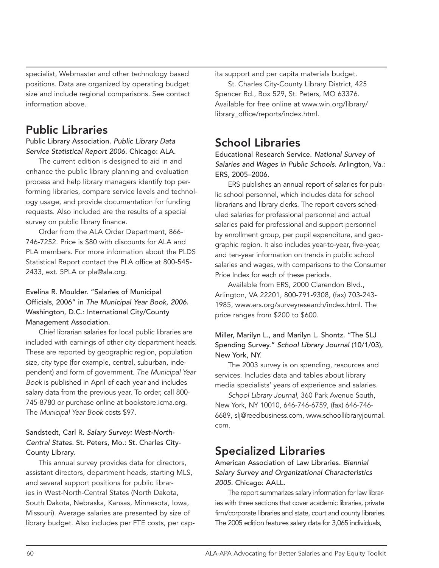specialist, Webmaster and other technology based positions. Data are organized by operating budget size and include regional comparisons. See contact information above.

## Public Libraries

Public Library Association. *Public Library Data Service Statistical Report 2006.* Chicago: ALA.

The current edition is designed to aid in and enhance the public library planning and evaluation process and help library managers identify top performing libraries, compare service levels and technology usage, and provide documentation for funding requests. Also included are the results of a special survey on public library finance.

Order from the ALA Order Department, 866- 746-7252. Price is \$80 with discounts for ALA and PLA members. For more information about the PLDS Statistical Report contact the PLA office at 800-545- 2433, ext. 5PLA or pla@ala.org.

#### Evelina R. Moulder. "Salaries of Municipal Officials, 2006" in *The Municipal Year Book, 2006.*  Washington, D.C.: International City/County Management Association.

Chief librarian salaries for local public libraries are included with earnings of other city department heads. These are reported by geographic region, population size, city type (for example, central, suburban, independent) and form of government. *The Municipal Year Book* is published in April of each year and includes salary data from the previous year. To order, call 800- 745-8780 or purchase online at bookstore.icma.org. The *Municipal Year Book* costs \$97.

#### Sandstedt, Carl R. *Salary Survey: West-North-Central States.* St. Peters, Mo.: St. Charles City-County Library.

This annual survey provides data for directors, assistant directors, department heads, starting MLS, and several support positions for public libraries in West-North-Central States (North Dakota, South Dakota, Nebraska, Kansas, Minnesota, Iowa, Missouri). Average salaries are presented by size of library budget. Also includes per FTE costs, per capita support and per capita materials budget.

St. Charles City-County Library District, 425 Spencer Rd., Box 529, St. Peters, MO 63376. Available for free online at www.win.org/library/ library\_office/reports/index.html.

## School Libraries

Educational Research Service. *National Survey of Salaries and Wages in Public Schools.* Arlington, Va.: ERS, 2005–2006.

ERS publishes an annual report of salaries for public school personnel, which includes data for school librarians and library clerks. The report covers scheduled salaries for professional personnel and actual salaries paid for professional and support personnel by enrollment group, per pupil expenditure, and geographic region. It also includes year-to-year, five-year, and ten-year information on trends in public school salaries and wages, with comparisons to the Consumer Price Index for each of these periods.

Available from ERS, 2000 Clarendon Blvd., Arlington, VA 22201, 800-791-9308, (fax) 703-243- 1985, www.ers.org/surveyresearch/index.html. The price ranges from \$200 to \$600.

Miller, Marilyn L., and Marilyn L. Shontz. "The SLJ Spending Survey." *School Library Journal* (10/1/03), New York, NY.

The 2003 survey is on spending, resources and services. Includes data and tables about library media specialists' years of experience and salaries.

*School Library Journal*, 360 Park Avenue South, New York, NY 10010, 646-746-6759, (fax) 646-746- 6689, slj@reedbusiness.com, www.schoollibraryjournal. com.

## Specialized Libraries

American Association of Law Libraries. *Biennial Salary Survey and Organizational Characteristics 2005.* Chicago: AALL.

The report summarizes salary information for law libraries with three sections that cover academic libraries, private firm/corporate libraries and state, court and county libraries. The 2005 edition features salary data for 3,065 individuals,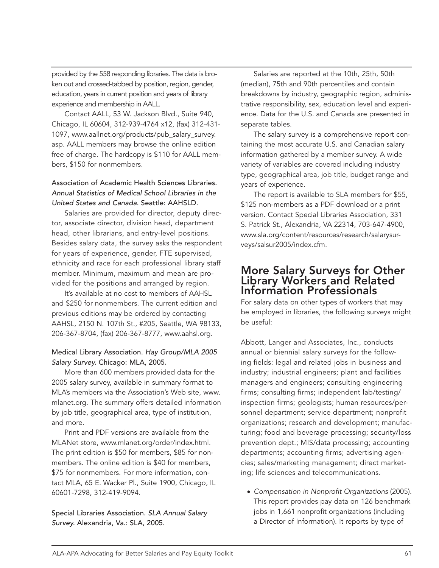provided by the 558 responding libraries. The data is broken out and crossed-tabbed by position, region, gender, education, years in current position and years of library experience and membership in AALL.

Contact AALL, 53 W. Jackson Blvd., Suite 940, Chicago, IL 60604, 312-939-4764 x12, (fax) 312-431- 1097, www.aallnet.org/products/pub\_salary\_survey. asp. AALL members may browse the online edition free of charge. The hardcopy is \$110 for AALL members, \$150 for nonmembers.

#### Association of Academic Health Sciences Libraries. *Annual Statistics of Medical School Libraries in the United States and Canada.* Seattle: AAHSLD.

Salaries are provided for director, deputy director, associate director, division head, department head, other librarians, and entry-level positions. Besides salary data, the survey asks the respondent for years of experience, gender, FTE supervised, ethnicity and race for each professional library staff member. Minimum, maximum and mean are provided for the positions and arranged by region.

It's available at no cost to members of AAHSL and \$250 for nonmembers. The current edition and previous editions may be ordered by contacting AAHSL, 2150 N. 107th St., #205, Seattle, WA 98133, 206-367-8704, (fax) 206-367-8777, www.aahsl.org.

#### Medical Library Association. *Hay Group/MLA 2005 Salary Survey.* Chicago: MLA, 2005.

More than 600 members provided data for the 2005 salary survey, available in summary format to MLA's members via the Association's Web site, www. mlanet.org. The summary offers detailed information by job title, geographical area, type of institution, and more.

Print and PDF versions are available from the MLANet store, www.mlanet.org/order/index.html. The print edition is \$50 for members, \$85 for nonmembers. The online edition is \$40 for members, \$75 for nonmembers. For more information, contact MLA, 65 E. Wacker Pl., Suite 1900, Chicago, IL 60601-7298, 312-419-9094.

Special Libraries Association. *SLA Annual Salary Survey.* Alexandria, Va.: SLA, 2005.

Salaries are reported at the 10th, 25th, 50th (median), 75th and 90th percentiles and contain breakdowns by industry, geographic region, administrative responsibility, sex, education level and experience. Data for the U.S. and Canada are presented in separate tables.

The salary survey is a comprehensive report containing the most accurate U.S. and Canadian salary information gathered by a member survey. A wide variety of variables are covered including industry type, geographical area, job title, budget range and years of experience.

The report is available to SLA members for \$55, \$125 non-members as a PDF download or a print version. Contact Special Libraries Association, 331 S. Patrick St., Alexandria, VA 22314, 703-647-4900, www.sla.org/content/resources/research/salarysurveys/salsur2005/index.cfm.

#### More Salary Surveys for Other Library Workers and Related Information Professionals

For salary data on other types of workers that may be employed in libraries, the following surveys might be useful:

Abbott, Langer and Associates, Inc., conducts annual or biennial salary surveys for the following fields: legal and related jobs in business and industry; industrial engineers; plant and facilities managers and engineers; consulting engineering firms; consulting firms; independent lab/testing/ inspection firms; geologists; human resources/personnel department; service department; nonprofit organizations; research and development; manufacturing; food and beverage processing; security/loss prevention dept.; MIS/data processing; accounting departments; accounting firms; advertising agencies; sales/marketing management; direct marketing; life sciences and telecommunications.

● *Compensation in Nonprofit Organizations* (2005). This report provides pay data on 126 benchmark jobs in 1,661 nonprofit organizations (including a Director of Information). It reports by type of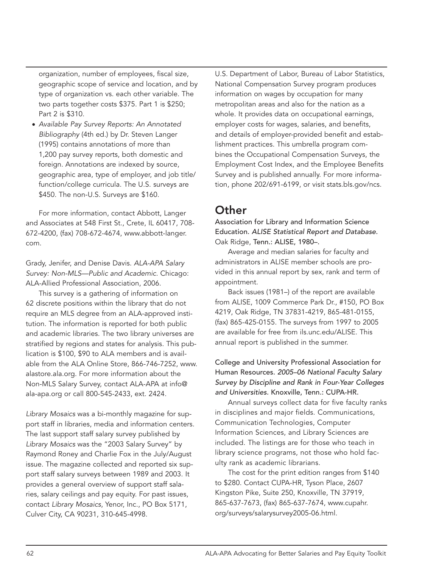organization, number of employees, fiscal size, geographic scope of service and location, and by type of organization vs. each other variable. The two parts together costs \$375. Part 1 is \$250; Part 2 is \$310.

● *Available Pay Survey Reports: An Annotated Bibliography* (4th ed.) by Dr. Steven Langer (1995) contains annotations of more than 1,200 pay survey reports, both domestic and foreign. Annotations are indexed by source, geographic area, type of employer, and job title/ function/college curricula. The U.S. surveys are \$450. The non-U.S. Surveys are \$160.

For more information, contact Abbott, Langer and Associates at 548 First St., Crete, IL 60417, 708- 672-4200, (fax) 708-672-4674, www.abbott-langer. com.

Grady, Jenifer, and Denise Davis. *ALA-APA Salary Survey: Non-MLS—Public and Academic*. Chicago: ALA-Allied Professional Association, 2006.

This survey is a gathering of information on 62 discrete positions within the library that do not require an MLS degree from an ALA-approved institution. The information is reported for both public and academic libraries. The two library universes are stratified by regions and states for analysis. This publication is \$100, \$90 to ALA members and is available from the ALA Online Store, 866-746-7252, www. alastore.ala.org. For more information about the Non-MLS Salary Survey, contact ALA-APA at info@ ala-apa.org or call 800-545-2433, ext. 2424.

*Library Mosaics* was a bi-monthly magazine for support staff in libraries, media and information centers. The last support staff salary survey published by *Library Mosaics* was the "2003 Salary Survey" by Raymond Roney and Charlie Fox in the July/August issue. The magazine collected and reported six support staff salary surveys between 1989 and 2003. It provides a general overview of support staff salaries, salary ceilings and pay equity. For past issues, contact *Library Mosaics*, Yenor, Inc., PO Box 5171, Culver City, CA 90231, 310-645-4998.

U.S. Department of Labor, Bureau of Labor Statistics, National Compensation Survey program produces information on wages by occupation for many metropolitan areas and also for the nation as a whole. It provides data on occupational earnings, employer costs for wages, salaries, and benefits, and details of employer-provided benefit and establishment practices. This umbrella program combines the Occupational Compensation Surveys, the Employment Cost Index, and the Employee Benefits Survey and is published annually. For more information, phone 202/691-6199, or visit stats.bls.gov/ncs.

## **Other**

Association for Library and Information Science Education. *ALISE Statistical Report and Database.*  Oak Ridge, Tenn.: ALISE, 1980–.

Average and median salaries for faculty and administrators in ALISE member schools are provided in this annual report by sex, rank and term of appointment.

Back issues (1981–) of the report are available from ALISE, 1009 Commerce Park Dr., #150, PO Box 4219, Oak Ridge, TN 37831-4219, 865-481-0155, (fax) 865-425-0155. The surveys from 1997 to 2005 are available for free from ils.unc.edu/ALISE. This annual report is published in the summer.

#### College and University Professional Association for Human Resources. *2005–06 National Faculty Salary Survey by Discipline and Rank in Four-Year Colleges and Universities.* Knoxville, Tenn.: CUPA-HR.

Annual surveys collect data for five faculty ranks in disciplines and major fields. Communications, Communication Technologies, Computer Information Sciences, and Library Sciences are included. The listings are for those who teach in library science programs, not those who hold faculty rank as academic librarians.

The cost for the print edition ranges from \$140 to \$280. Contact CUPA-HR, Tyson Place, 2607 Kingston Pike, Suite 250, Knoxville, TN 37919, 865-637-7673, (fax) 865-637-7674, www.cupahr. org/surveys/salarysurvey2005-06.html.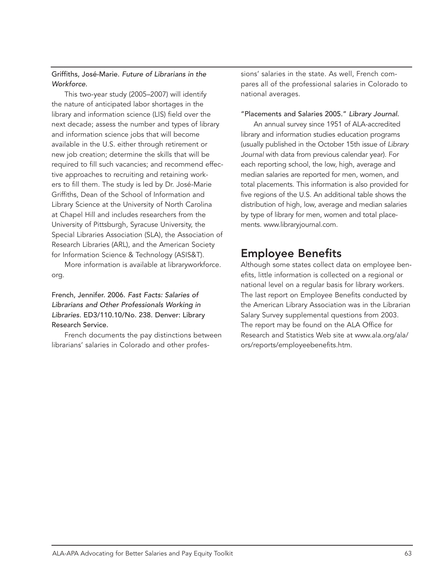#### Griffiths, José-Marie. *Future of Librarians in the Workforce.*

This two-year study (2005–2007) will identify the nature of anticipated labor shortages in the library and information science (LIS) field over the next decade; assess the number and types of library and information science jobs that will become available in the U.S. either through retirement or new job creation; determine the skills that will be required to fill such vacancies; and recommend effective approaches to recruiting and retaining workers to fill them. The study is led by Dr. José-Marie Griffiths, Dean of the School of Information and Library Science at the University of North Carolina at Chapel Hill and includes researchers from the University of Pittsburgh, Syracuse University, the Special Libraries Association (SLA), the Association of Research Libraries (ARL), and the American Society for Information Science & Technology (ASIS&T).

More information is available at libraryworkforce. org.

French, Jennifer. 2006. *Fast Facts: Salaries of Librarians and Other Professionals Working in Libraries.* ED3/110.10/No. 238. Denver: Library Research Service.

French documents the pay distinctions between librarians' salaries in Colorado and other professions' salaries in the state. As well, French compares all of the professional salaries in Colorado to national averages.

#### "Placements and Salaries 2005." *Library Journal.*

An annual survey since 1951 of ALA-accredited library and information studies education programs (usually published in the October 15th issue of *Library Journal* with data from previous calendar year). For each reporting school, the low, high, average and median salaries are reported for men, women, and total placements. This information is also provided for five regions of the U.S. An additional table shows the distribution of high, low, average and median salaries by type of library for men, women and total placements. www.libraryjournal.com.

## Employee Benefits

Although some states collect data on employee benefits, little information is collected on a regional or national level on a regular basis for library workers. The last report on Employee Benefits conducted by the American Library Association was in the Librarian Salary Survey supplemental questions from 2003. The report may be found on the ALA Office for Research and Statistics Web site at www.ala.org/ala/ ors/reports/employeebenefits.htm.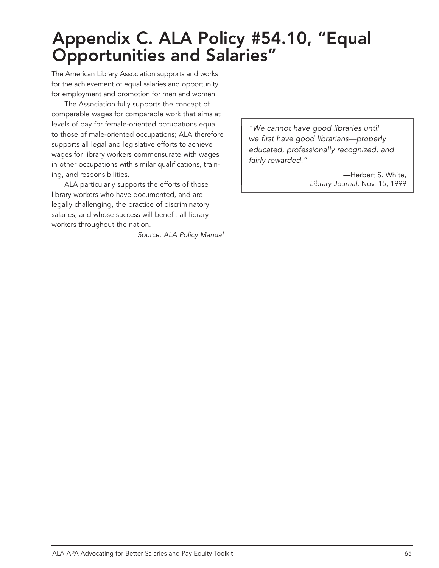# Appendix C. ALA Policy #54.10, "Equal Opportunities and Salaries"

The American Library Association supports and works for the achievement of equal salaries and opportunity for employment and promotion for men and women.

The Association fully supports the concept of comparable wages for comparable work that aims at levels of pay for female-oriented occupations equal to those of male-oriented occupations; ALA therefore supports all legal and legislative efforts to achieve wages for library workers commensurate with wages in other occupations with similar qualifications, training, and responsibilities.

ALA particularly supports the efforts of those library workers who have documented, and are legally challenging, the practice of discriminatory salaries, and whose success will benefit all library workers throughout the nation.

*Source: ALA Policy Manual*

*"We cannot have good libraries until we first have good librarians—properly educated, professionally recognized, and fairly rewarded."*

> —Herbert S. White, *Library Journal,* Nov. 15, 1999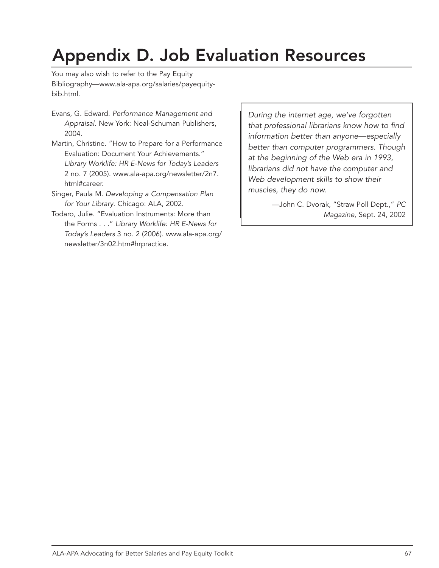# Appendix D. Job Evaluation Resources

You may also wish to refer to the Pay Equity Bibliography—www.ala-apa.org/salaries/payequitybib.html.

- Evans, G. Edward. *Performance Management and Appraisal*. New York: Neal-Schuman Publishers, 2004.
- Martin, Christine. "How to Prepare for a Performance Evaluation: Document Your Achievements." *Library Worklife: HR E-News for Today's Leaders* 2 no. 7 (2005). www.ala-apa.org/newsletter/2n7. html#career.
- Singer, Paula M. *Developing a Compensation Plan for Your Library*. Chicago: ALA, 2002.
- Todaro, Julie. "Evaluation Instruments: More than the Forms . . ." *Library Worklife: HR E-News for Today's Leaders* 3 no. 2 (2006). www.ala-apa.org/ newsletter/3n02.htm#hrpractice.

*During the internet age, we've forgotten that professional librarians know how to find information better than anyone—especially better than computer programmers. Though at the beginning of the Web era in 1993, librarians did not have the computer and Web development skills to show their muscles, they do now.*

> —John C. Dvorak, "Straw Poll Dept.," *PC Magazine,* Sept. 24, 2002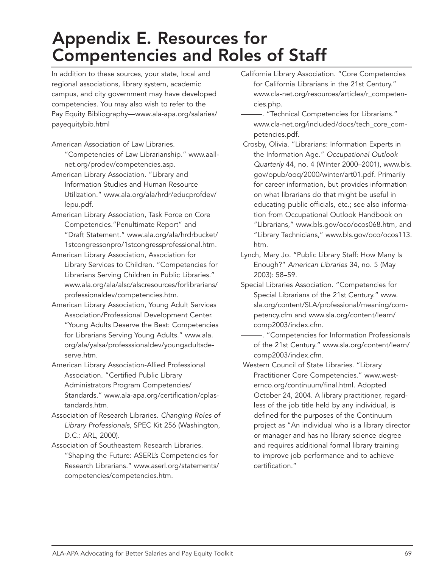# Appendix E. Resources for Compentencies and Roles of Staff

In addition to these sources, your state, local and regional associations, library system, academic campus, and city government may have developed competencies. You may also wish to refer to the Pay Equity Bibliography—www.ala-apa.org/salaries/ payequitybib.html

- American Association of Law Libraries.
- "Competencies of Law Librarianship." www.aallnet.org/prodev/competencies.asp.
- American Library Association. "Library and Information Studies and Human Resource Utilization." www.ala.org/ala/hrdr/educprofdev/ lepu.pdf.
- American Library Association, Task Force on Core Competencies."Penultimate Report" and "Draft Statement." www.ala.org/ala/hrdrbucket/ 1stcongressonpro/1stcongressprofessional.htm.
- American Library Association, Association for Library Services to Children. "Competencies for Librarians Serving Children in Public Libraries." www.ala.org/ala/alsc/alscresources/forlibrarians/ professionaldev/competencies.htm.
- American Library Association, Young Adult Services Association/Professional Development Center. "Young Adults Deserve the Best: Competencies for Librarians Serving Young Adults." www.ala. org/ala/yalsa/professsionaldev/youngadultsdeserve.htm.
- American Library Association-Allied Professional Association. "Certified Public Library Administrators Program Competencies/ Standards." www.ala-apa.org/certification/cplastandards.htm.
- Association of Research Libraries. *Changing Roles of Library Professionals,* SPEC Kit 256 (Washington, D.C.: ARL, 2000).
- Association of Southeastern Research Libraries. "Shaping the Future: ASERL's Competencies for Research Librarians." www.aserl.org/statements/ competencies/competencies.htm.
- California Library Association. "Core Competencies for California Librarians in the 21st Century." www.cla-net.org/resources/articles/r\_competencies.php.
	- -. "Technical Competencies for Librarians." www.cla-net.org/included/docs/tech\_core\_competencies.pdf.
- Crosby, Olivia. "Librarians: Information Experts in the Information Age." *Occupational Outlook Quarterly* 44, no. 4 (Winter 2000–2001), www.bls. gov/opub/ooq/2000/winter/art01.pdf. Primarily for career information, but provides information on what librarians do that might be useful in educating public officials, etc.; see also information from Occupational Outlook Handbook on "Librarians," www.bls.gov/oco/ocos068.htm, and "Library Technicians," www.bls.gov/oco/ocos113. htm.
- Lynch, Mary Jo. "Public Library Staff: How Many Is Enough?" *American Libraries* 34, no. 5 (May 2003): 58–59.
- Special Libraries Association. "Competencies for Special Librarians of the 21st Century." www. sla.org/content/SLA/professional/meaning/competency.cfm and www.sla.org/content/learn/ comp2003/index.cfm.
	- -. "Competencies for Information Professionals of the 21st Century." www.sla.org/content/learn/ comp2003/index.cfm.
- Western Council of State Libraries. "Library Practitioner Core Competencies." www.westernco.org/continuum/final.html. Adopted October 24, 2004. A library practitioner, regardless of the job title held by any individual, is defined for the purposes of the Continuum project as "An individual who is a library director or manager and has no library science degree and requires additional formal library training to improve job performance and to achieve certification."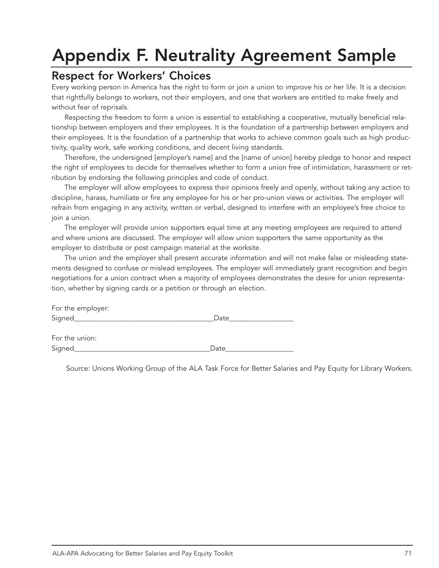# Appendix F. Neutrality Agreement Sample

#### Respect for Workers' Choices

Every working person in America has the right to form or join a union to improve his or her life. It is a decision that rightfully belongs to workers, not their employers, and one that workers are entitled to make freely and without fear of reprisals.

Respecting the freedom to form a union is essential to establishing a cooperative, mutually beneficial relationship between employers and their employees. It is the foundation of a partnership between employers and their employees. It is the foundation of a partnership that works to achieve common goals such as high productivity, quality work, safe working conditions, and decent living standards.

Therefore, the undersigned [employer's name] and the [name of union] hereby pledge to honor and respect the right of employees to decide for themselves whether to form a union free of intimidation, harassment or retribution by endorsing the following principles and code of conduct.

The employer will allow employees to express their opinions freely and openly, without taking any action to discipline, harass, humiliate or fire any employee for his or her pro-union views or activities. The employer will refrain from engaging in any activity, written or verbal, designed to interfere with an employee's free choice to join a union.

The employer will provide union supporters equal time at any meeting employees are required to attend and where unions are discussed. The employer will allow union supporters the same opportunity as the employer to distribute or post campaign material at the worksite.

The union and the employer shall present accurate information and will not make false or misleading statements designed to confuse or mislead employees. The employer will immediately grant recognition and begin negotiations for a union contract when a majority of employees demonstrates the desire for union representation, whether by signing cards or a petition or through an election.

| $\sim$<br>$\tilde{}$<br>$\sim$ |  |
|--------------------------------|--|

For the union: Signed\_\_\_\_\_\_\_\_\_\_\_\_\_\_\_\_\_\_\_\_\_\_\_\_\_\_\_\_\_\_\_\_\_\_\_\_\_\_Date\_\_\_\_\_\_\_\_\_\_\_\_\_\_\_\_\_\_\_

Source: Unions Working Group of the ALA Task Force for Better Salaries and Pay Equity for Library Workers.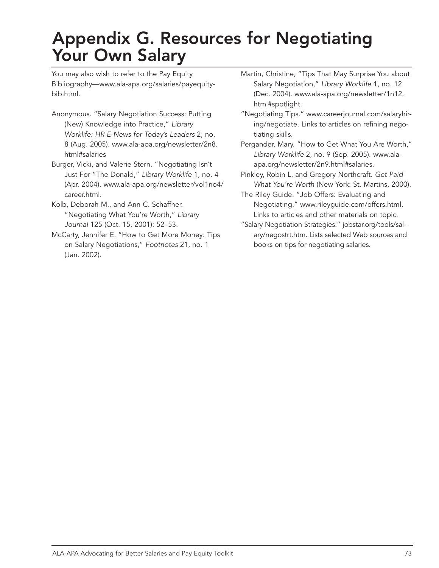## Appendix G. Resources for Negotiating Your Own Salary

You may also wish to refer to the Pay Equity Bibliography—www.ala-apa.org/salaries/payequitybib.html.

- Anonymous. "Salary Negotiation Success: Putting (New) Knowledge into Practice," *Library Worklife: HR E-News for Today's Leaders* 2, no. 8 (Aug. 2005). www.ala-apa.org/newsletter/2n8. html#salaries
- Burger, Vicki, and Valerie Stern. "Negotiating Isn't Just For "The Donald," *Library Worklife* 1, no. 4 (Apr. 2004). www.ala-apa.org/newsletter/vol1no4/ career.html.
- Kolb, Deborah M., and Ann C. Schaffner. "Negotiating What You're Worth," *Library Journal* 125 (Oct. 15, 2001): 52–53.
- McCarty, Jennifer E. "How to Get More Money: Tips on Salary Negotiations," *Footnotes* 21, no. 1 (Jan. 2002).
- Martin, Christine, "Tips That May Surprise You about Salary Negotiation," *Library Worklife* 1, no. 12 (Dec. 2004). www.ala-apa.org/newsletter/1n12. html#spotlight.
- "Negotiating Tips." www.careerjournal.com/salaryhiring/negotiate. Links to articles on refining negotiating skills.
- Pergander, Mary. "How to Get What You Are Worth," *Library Worklife* 2, no. 9 (Sep. 2005). www.alaapa.org/newsletter/2n9.html#salaries.
- Pinkley, Robin L. and Gregory Northcraft. *Get Paid What You're Worth* (New York: St. Martins, 2000).
- The Riley Guide. "Job Offers: Evaluating and Negotiating." www.rileyguide.com/offers.html. Links to articles and other materials on topic.
- "Salary Negotiation Strategies." jobstar.org/tools/salary/negostrt.htm. Lists selected Web sources and books on tips for negotiating salaries.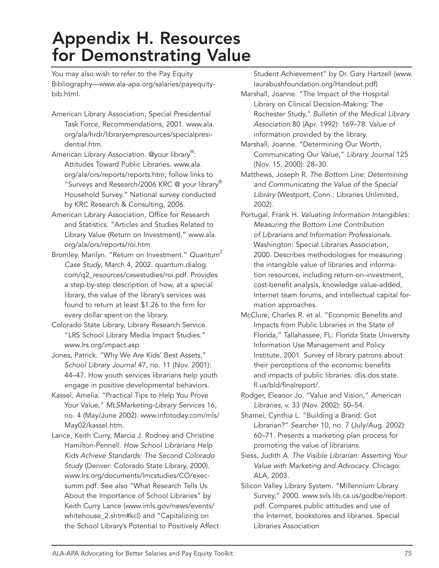## Appendix H. Resources for Demonstrating Value

You may also wish to refer to the Pay Equity Bibliography—www.ala-apa.org/salaries/payequitybib.html.

- American Library Association, Special Presidential Task Force, Recommendations, 2001. www.ala. org/ala/hrdr/libraryempresources/specialpresidential.htm.
- American Library Association. @your library<sup>®</sup>: Attitudes Toward Public Libraries. www.ala. org/ala/ors/reports/reports.htm; follow links to "Surveys and Research/2006 KRC @ your library Household Survey." National survey conducted by KRC Research & Consulting, 2006.
- American Library Association, Office for Research and Statistics. "Articles and Studies Related to Library Value (Return on Investment)." www.ala. org/ala/ors/reports/roi.htm
- Bromley, Marilyn. "Return on Investment." *Quantum2 Case Study*, March 4, 2002. quantum.dialog. com/q2\_resources/casestudies/roi.pdf. Provides a step-by-step description of how, at a special library, the value of the library's services was found to return at least \$1.26 to the firm for every dollar spent on the library.
- Colorado State Library, Library Research Service. "LRS School Library Media Impact Studies." www.lrs.org/impact.asp
- Jones, Patrick. "Why We Are Kids' Best Assets," *School Library Journal* 47, no. 11 (Nov. 2001): 44–47. How youth services librarians help youth engage in positive developmental behaviors.
- Kassel, Amelia. "Practical Tips to Help You Prove Your Value," *MLSMarketing-Library Services* 16, no. 4 (May/June 2002). www.infotoday.com/mls/ May02/kassel.htm.
- Lance, Keith Curry, Marcia J. Rodney and Christine Hamilton-Pennell. *How School Librarians Help Kids Achieve Standards: The Second Colorado Study* (Denver: Colorado State Library, 2000). www.lrs.org/documents/lmcstudies/CO/execsumm.pdf. See also "What Research Tells Us About the Importance of School Libraries" by Keith Curry Lance (www.imls.gov/news/events/ whitehouse\_2.shtm#kcl) and "Capitalizing on the School Library's Potential to Positively Affect

Student Achievement" by Dr. Gary Hartzell (www. laurabushfoundation.org/Handout.pdf)

- Marshall, Joanne. "The Impact of the Hospital Library on Clinical Decision-Making: The Rochester Study," *Bulletin of the Medical Library Association* 80 (Apr. 1992): 169–78. Value of information provided by the library.
- Marshall, Joanne. "Determining Our Worth, Communicating Our Value," *Library Journal* 125 (Nov. 15, 2000): 28–30.
- Matthews, Joseph R. *The Bottom Line: Determining and Communicating the Value of the Special Library* (Westport, Conn.: Libraries Unlimited, 2002).
- Portugal, Frank H. *Valuating Information Intangibles: Measuring the Bottom Line Contribution of Librarians and Information Professionals.* Washington: Special Libraries Association, 2000. Describes methodologies for measuring the intangible value of libraries and information resources, including return-on-investment, cost-benefit analysis, knowledge value-added, Internet team forums, and intellectual capital formation approaches.
- McClure, Charles R. et al. "Economic Benefits and Impacts from Public Libraries in the State of Florida," Tallahassee, FL: Florida State University Information Use Management and Policy Institute, 2001. Survey of library patrons about their perceptions of the economic benefits and impacts of public libraries. dlis.dos.state. fl.us/bld/finalreport/.
- Rodger, Eleanor Jo. "Value and Vision," *American Libraries,* v. 33 (Nov. 2002): 50–54.
- Shamei, Cynthia L. "Building a Brand: Got Librarian?" *Searcher* 10, no. 7 (July/Aug. 2002): 60–71. Presents a marketing plan process for promoting the value of librarians.
- Siess, Judith A. *The Visible Librarian: Asserting Your Value with Marketing and Advocacy.* Chicago: ALA, 2003.
- Silicon Valley Library System. "Millennium Library Survey," 2000. www.svls.lib.ca.us/godbe/report. pdf. Compares public attitudes and use of the Internet, bookstores and libraries. Special Libraries Association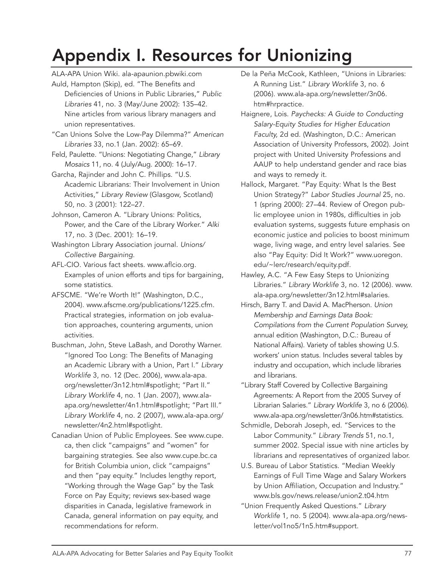# Appendix I. Resources for Unionizing

- ALA-APA Union Wiki. ala-apaunion.pbwiki.com Auld, Hampton (Skip), ed. "The Benefits and Deficiencies of Unions in Public Libraries," *Public Libraries* 41, no. 3 (May/June 2002): 135–42. Nine articles from various library managers and union representatives.
- "Can Unions Solve the Low-Pay Dilemma?" *American Libraries* 33, no.1 (Jan. 2002): 65–69.
- Feld, Paulette. "Unions: Negotiating Change," *Library Mosaics* 11, no. 4 (July/Aug. 2000): 16–17.
- Garcha, Rajinder and John C. Phillips. "U.S. Academic Librarians: Their Involvement in Union Activities," *Library Review* (Glasgow, Scotland) 50, no. 3 (2001): 122–27.
- Johnson, Cameron A. "Library Unions: Politics, Power, and the Care of the Library Worker." *Alki*  17, no. 3 (Dec. 2001): 16–19.
- Washington Library Association journal. *Unions/ Collective Bargaining.*
- AFL-CIO. Various fact sheets. www.aflcio.org. Examples of union efforts and tips for bargaining, some statistics.
- AFSCME. "We're Worth It!" (Washington, D.C., 2004). www.afscme.org/publications/1225.cfm. Practical strategies, information on job evaluation approaches, countering arguments, union activities.
- Buschman, John, Steve LaBash, and Dorothy Warner. "Ignored Too Long: The Benefits of Managing an Academic Library with a Union, Part I." *Library Worklife* 3, no. 12 (Dec. 2006), www.ala-apa. org/newsletter/3n12.html#spotlight; "Part II." *Library Worklife* 4, no. 1 (Jan. 2007), www.alaapa.org/newsletter/4n1.html#spotlight; "Part III." *Library Worklife* 4, no. 2 (2007), www.ala-apa.org/ newsletter/4n2.html#spotlight.
- Canadian Union of Public Employees. See www.cupe. ca, then click "campaigns" and "women" for bargaining strategies. See also www.cupe.bc.ca for British Columbia union, click "campaigns" and then "pay equity." Includes lengthy report, "Working through the Wage Gap" by the Task Force on Pay Equity; reviews sex-based wage disparities in Canada, legislative framework in Canada, general information on pay equity, and recommendations for reform.
- De la Peña McCook, Kathleen, "Unions in Libraries: A Running List." *Library Worklife* 3, no. 6 (2006). www.ala-apa.org/newsletter/3n06. htm#hrpractice.
- Haignere, Lois. *Paychecks: A Guide to Conducting Salary-Equity Studies for Higher Education Faculty,* 2d ed. (Washington, D.C.: American Association of University Professors, 2002). Joint project with United University Professions and AAUP to help understand gender and race bias and ways to remedy it.
- Hallock, Margaret. "Pay Equity: What Is the Best Union Strategy?" *Labor Studies Journal* 25, no. 1 (spring 2000): 27–44. Review of Oregon public employee union in 1980s, difficulties in job evaluation systems, suggests future emphasis on economic justice and policies to boost minimum wage, living wage, and entry level salaries. See also "Pay Equity: Did It Work?" www.uoregon. edu/~lerc/research/equity.pdf.
- Hawley, A.C. "A Few Easy Steps to Unionizing Libraries." *Library Worklife* 3, no. 12 (2006). www. ala-apa.org/newsletter/3n12.html#salaries.
- Hirsch, Barry T. and David A. MacPherson. *Union Membership and Earnings Data Book: Compilations from the Current Population Survey,*  annual edition (Washington, D.C.: Bureau of National Affairs). Variety of tables showing U.S. workers' union status. Includes several tables by industry and occupation, which include libraries and librarians.
- "Library Staff Covered by Collective Bargaining Agreements: A Report from the 2005 Survey of Librarian Salaries." *Library Worklife* 3, no 6 (2006). www.ala-apa.org/newsletter/3n06.htm#statistics.
- Schmidle, Deborah Joseph, ed. "Services to the Labor Community." *Library Trends* 51, no.1, summer 2002. Special issue with nine articles by librarians and representatives of organized labor.
- U.S. Bureau of Labor Statistics. "Median Weekly Earnings of Full Time Wage and Salary Workers by Union Affiliation, Occupation and Industry." www.bls.gov/news.release/union2.t04.htm
- "Union Frequently Asked Questions." *Library Worklife* 1, no. 5 (2004). www.ala-apa.org/newsletter/vol1no5/1n5.htm#support.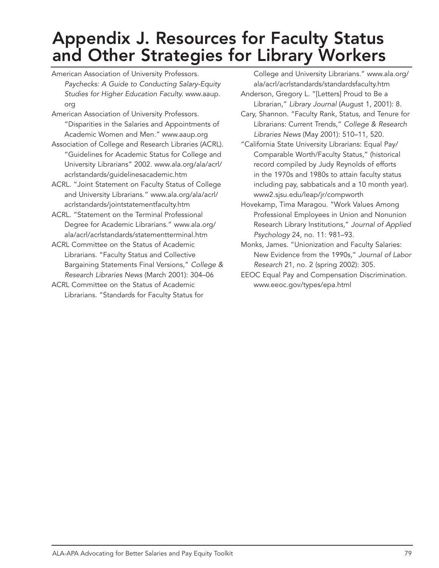## Appendix J. Resources for Faculty Status and Other Strategies for Library Workers

- American Association of University Professors. *Paychecks: A Guide to Conducting Salary-Equity Studies for Higher Education Faculty.* www.aaup. org
- American Association of University Professors. "Disparities in the Salaries and Appointments of Academic Women and Men." www.aaup.org
- Association of College and Research Libraries (ACRL). "Guidelines for Academic Status for College and University Librarians" 2002. www.ala.org/ala/acrl/ acrlstandards/guidelinesacademic.htm
- ACRL. "Joint Statement on Faculty Status of College and University Librarians." www.ala.org/ala/acrl/ acrlstandards/jointstatementfaculty.htm
- ACRL. "Statement on the Terminal Professional Degree for Academic Librarians." www.ala.org/ ala/acrl/acrlstandards/statementterminal.htm
- ACRL Committee on the Status of Academic Librarians. "Faculty Status and Collective Bargaining Statements Final Versions," *College & Research Libraries News* (March 2001): 304–06
- ACRL Committee on the Status of Academic Librarians. "Standards for Faculty Status for

College and University Librarians." www.ala.org/ ala/acrl/acrlstandards/standardsfaculty.htm Anderson, Gregory L. "[Letters] Proud to Be a

- Librarian," *Library Journal* (August 1, 2001): 8. Cary, Shannon. "Faculty Rank, Status, and Tenure for Librarians: Current Trends," *College & Research Libraries News* (May 2001): 510–11, 520.
- "California State University Librarians: Equal Pay/ Comparable Worth/Faculty Status," (historical record compiled by Judy Reynolds of efforts in the 1970s and 1980s to attain faculty status including pay, sabbaticals and a 10 month year). www2.sjsu.edu/leap/jr/compworth
- Hovekamp, Tima Maragou. "Work Values Among Professional Employees in Union and Nonunion Research Library Institutions," *Journal of Applied Psychology* 24, no. 11: 981–93.
- Monks, James. "Unionization and Faculty Salaries: New Evidence from the 1990s," *Journal of Labor Research* 21, no. 2 (spring 2002): 305.
- EEOC Equal Pay and Compensation Discrimination. www.eeoc.gov/types/epa.html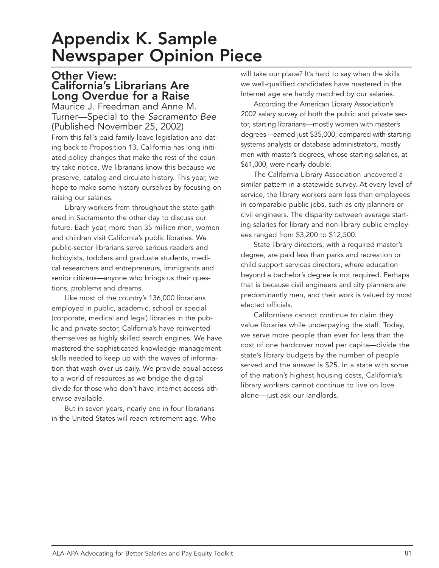### Appendix K. Sample Newspaper Opinion Piece

#### Other View: California's Librarians Are Long Overdue for a Raise

Maurice J. Freedman and Anne M. Turner—Special to the *Sacramento Bee* (Published November 25, 2002)

From this fall's paid family leave legislation and dating back to Proposition 13, California has long initiated policy changes that make the rest of the country take notice. We librarians know this because we preserve, catalog and circulate history. This year, we hope to make some history ourselves by focusing on raising our salaries.

Library workers from throughout the state gathered in Sacramento the other day to discuss our future. Each year, more than 35 million men, women and children visit California's public libraries. We public-sector librarians serve serious readers and hobbyists, toddlers and graduate students, medical researchers and entrepreneurs, immigrants and senior citizens—anyone who brings us their questions, problems and dreams.

Like most of the country's 136,000 librarians employed in public, academic, school or special (corporate, medical and legal) libraries in the public and private sector, California's have reinvented themselves as highly skilled search engines. We have mastered the sophisticated knowledge-management skills needed to keep up with the waves of information that wash over us daily. We provide equal access to a world of resources as we bridge the digital divide for those who don't have Internet access otherwise available.

But in seven years, nearly one in four librarians in the United States will reach retirement age. Who will take our place? It's hard to say when the skills we well-qualified candidates have mastered in the Internet age are hardly matched by our salaries.

According the American Library Association's 2002 salary survey of both the public and private sector, starting librarians—mostly women with master's degrees—earned just \$35,000, compared with starting systems analysts or database administrators, mostly men with master's degrees, whose starting salaries, at \$61,000, were nearly double.

The California Library Association uncovered a similar pattern in a statewide survey. At every level of service, the library workers earn less than employees in comparable public jobs, such as city planners or civil engineers. The disparity between average starting salaries for library and non-library public employees ranged from \$3,200 to \$12,500.

State library directors, with a required master's degree, are paid less than parks and recreation or child support services directors, where education beyond a bachelor's degree is not required. Perhaps that is because civil engineers and city planners are predominantly men, and their work is valued by most elected officials.

Californians cannot continue to claim they value libraries while underpaying the staff. Today, we serve more people than ever for less than the cost of one hardcover novel per capita—divide the state's library budgets by the number of people served and the answer is \$25. In a state with some of the nation's highest housing costs, California's library workers cannot continue to live on love alone—just ask our landlords.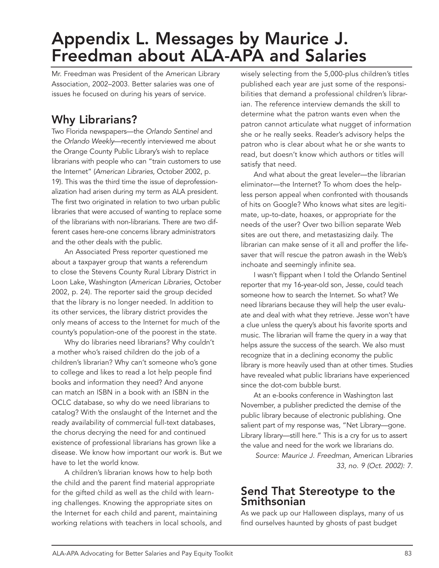## Appendix L. Messages by Maurice J. Freedman about ALA-APA and Salaries

Mr. Freedman was President of the American Library Association, 2002–2003. Better salaries was one of issues he focused on during his years of service.

#### Why Librarians?

Two Florida newspapers—the *Orlando Sentinel* and the *Orlando Weekly*—recently interviewed me about the Orange County Public Library's wish to replace librarians with people who can "train customers to use the Internet" (*American Libraries,* October 2002, p. 19). This was the third time the issue of deprofessionalization had arisen during my term as ALA president. The first two originated in relation to two urban public libraries that were accused of wanting to replace some of the librarians with non-librarians. There are two different cases here-one concerns library administrators and the other deals with the public.

An Associated Press reporter questioned me about a taxpayer group that wants a referendum to close the Stevens County Rural Library District in Loon Lake, Washington (*American Libraries,* October 2002, p. 24). The reporter said the group decided that the library is no longer needed. In addition to its other services, the library district provides the only means of access to the Internet for much of the county's population-one of the poorest in the state.

Why do libraries need librarians? Why couldn't a mother who's raised children do the job of a children's librarian? Why can't someone who's gone to college and likes to read a lot help people find books and information they need? And anyone can match an ISBN in a book with an ISBN in the OCLC database, so why do we need librarians to catalog? With the onslaught of the Internet and the ready availability of commercial full-text databases, the chorus decrying the need for and continued existence of professional librarians has grown like a disease. We know how important our work is. But we have to let the world know.

A children's librarian knows how to help both the child and the parent find material appropriate for the gifted child as well as the child with learning challenges. Knowing the appropriate sites on the Internet for each child and parent, maintaining working relations with teachers in local schools, and wisely selecting from the 5,000-plus children's titles published each year are just some of the responsibilities that demand a professional children's librarian. The reference interview demands the skill to determine what the patron wants even when the patron cannot articulate what nugget of information she or he really seeks. Reader's advisory helps the patron who is clear about what he or she wants to read, but doesn't know which authors or titles will satisfy that need.

And what about the great leveler—the librarian eliminator—the Internet? To whom does the helpless person appeal when confronted with thousands of hits on Google? Who knows what sites are legitimate, up-to-date, hoaxes, or appropriate for the needs of the user? Over two billion separate Web sites are out there, and metastasizing daily. The librarian can make sense of it all and proffer the lifesaver that will rescue the patron awash in the Web's inchoate and seemingly infinite sea.

I wasn't flippant when I told the Orlando Sentinel reporter that my 16-year-old son, Jesse, could teach someone how to search the Internet. So what? We need librarians because they will help the user evaluate and deal with what they retrieve. Jesse won't have a clue unless the query's about his favorite sports and music. The librarian will frame the query in a way that helps assure the success of the search. We also must recognize that in a declining economy the public library is more heavily used than at other times. Studies have revealed what public librarians have experienced since the dot-com bubble burst.

At an e-books conference in Washington last November, a publisher predicted the demise of the public library because of electronic publishing. One salient part of my response was, "Net Library—gone. Library library—still here." This is a cry for us to assert the value and need for the work we librarians do.

*Source: Maurice J. Freedman,* American Libraries *33, no. 9 (Oct. 2002): 7.*

#### Send That Stereotype to the Smithsonian

As we pack up our Halloween displays, many of us find ourselves haunted by ghosts of past budget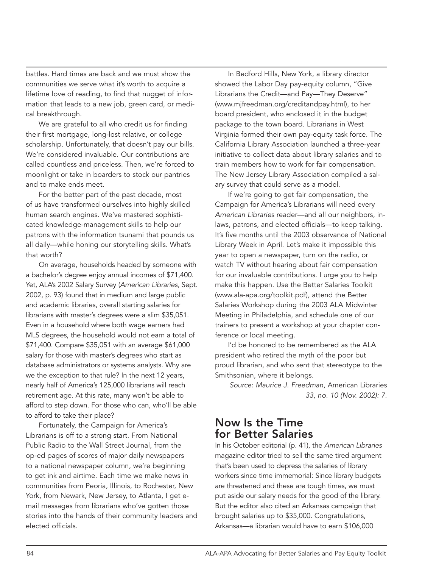battles. Hard times are back and we must show the communities we serve what it's worth to acquire a lifetime love of reading, to find that nugget of information that leads to a new job, green card, or medical breakthrough.

We are grateful to all who credit us for finding their first mortgage, long-lost relative, or college scholarship. Unfortunately, that doesn't pay our bills. We're considered invaluable. Our contributions are called countless and priceless. Then, we're forced to moonlight or take in boarders to stock our pantries and to make ends meet.

For the better part of the past decade, most of us have transformed ourselves into highly skilled human search engines. We've mastered sophisticated knowledge-management skills to help our patrons with the information tsunami that pounds us all daily—while honing our storytelling skills. What's that worth?

On average, households headed by someone with a bachelor's degree enjoy annual incomes of \$71,400. Yet, ALA's 2002 Salary Survey (*American Libraries,* Sept. 2002, p. 93) found that in medium and large public and academic libraries, overall starting salaries for librarians with master's degrees were a slim \$35,051. Even in a household where both wage earners had MLS degrees, the household would not earn a total of \$71,400. Compare \$35,051 with an average \$61,000 salary for those with master's degrees who start as database administrators or systems analysts. Why are we the exception to that rule? In the next 12 years, nearly half of America's 125,000 librarians will reach retirement age. At this rate, many won't be able to afford to step down. For those who can, who'll be able to afford to take their place?

Fortunately, the Campaign for America's Librarians is off to a strong start. From National Public Radio to the Wall Street Journal, from the op-ed pages of scores of major daily newspapers to a national newspaper column, we're beginning to get ink and airtime. Each time we make news in communities from Peoria, Illinois, to Rochester, New York, from Newark, New Jersey, to Atlanta, I get email messages from librarians who've gotten those stories into the hands of their community leaders and elected officials.

In Bedford Hills, New York, a library director showed the Labor Day pay-equity column, "Give Librarians the Credit—and Pay—They Deserve" (www.mjfreedman.org/creditandpay.html), to her board president, who enclosed it in the budget package to the town board. Librarians in West Virginia formed their own pay-equity task force. The California Library Association launched a three-year initiative to collect data about library salaries and to train members how to work for fair compensation. The New Jersey Library Association compiled a salary survey that could serve as a model.

If we're going to get fair compensation, the Campaign for America's Librarians will need every *American Librarie*s reader—and all our neighbors, inlaws, patrons, and elected officials—to keep talking. It's five months until the 2003 observance of National Library Week in April. Let's make it impossible this year to open a newspaper, turn on the radio, or watch TV without hearing about fair compensation for our invaluable contributions. I urge you to help make this happen. Use the Better Salaries Toolkit (www.ala-apa.org/toolkit.pdf), attend the Better Salaries Workshop during the 2003 ALA Midwinter Meeting in Philadelphia, and schedule one of our trainers to present a workshop at your chapter conference or local meeting.

I'd be honored to be remembered as the ALA president who retired the myth of the poor but proud librarian, and who sent that stereotype to the Smithsonian, where it belongs.

*Source: Maurice J. Freedman,* American Libraries *33, no. 10 (Nov. 2002): 7.*

#### Now Is the Time for Better Salaries

In his October editorial (p. 41), the *American Libraries*  magazine editor tried to sell the same tired argument that's been used to depress the salaries of library workers since time immemorial: Since library budgets are threatened and these are tough times, we must put aside our salary needs for the good of the library. But the editor also cited an Arkansas campaign that brought salaries up to \$35,000. Congratulations, Arkansas—a librarian would have to earn \$106,000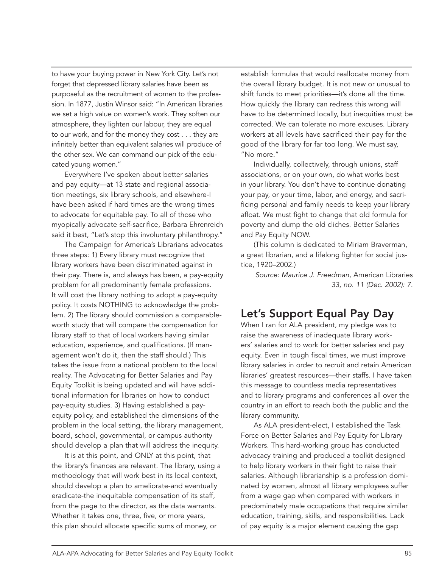to have your buying power in New York City. Let's not forget that depressed library salaries have been as purposeful as the recruitment of women to the profession. In 1877, Justin Winsor said: "In American libraries we set a high value on women's work. They soften our atmosphere, they lighten our labour, they are equal to our work, and for the money they cost . . . they are infinitely better than equivalent salaries will produce of the other sex. We can command our pick of the educated young women."

Everywhere I've spoken about better salaries and pay equity—at 13 state and regional association meetings, six library schools, and elsewhere-I have been asked if hard times are the wrong times to advocate for equitable pay. To all of those who myopically advocate self-sacrifice, Barbara Ehrenreich said it best, "Let's stop this involuntary philanthropy."

The Campaign for America's Librarians advocates three steps: 1) Every library must recognize that library workers have been discriminated against in their pay. There is, and always has been, a pay-equity problem for all predominantly female professions. It will cost the library nothing to adopt a pay-equity policy. It costs NOTHING to acknowledge the problem. 2) The library should commission a comparableworth study that will compare the compensation for library staff to that of local workers having similar education, experience, and qualifications. (If management won't do it, then the staff should.) This takes the issue from a national problem to the local reality. The Advocating for Better Salaries and Pay Equity Toolkit is being updated and will have additional information for libraries on how to conduct pay-equity studies. 3) Having established a payequity policy, and established the dimensions of the problem in the local setting, the library management, board, school, governmental, or campus authority should develop a plan that will address the inequity.

It is at this point, and ONLY at this point, that the library's finances are relevant. The library, using a methodology that will work best in its local context, should develop a plan to ameliorate-and eventually eradicate-the inequitable compensation of its staff, from the page to the director, as the data warrants. Whether it takes one, three, five, or more years, this plan should allocate specific sums of money, or

establish formulas that would reallocate money from the overall library budget. It is not new or unusual to shift funds to meet priorities—it's done all the time. How quickly the library can redress this wrong will have to be determined locally, but inequities must be corrected. We can tolerate no more excuses. Library workers at all levels have sacrificed their pay for the good of the library for far too long. We must say, "No more."

Individually, collectively, through unions, staff associations, or on your own, do what works best in your library. You don't have to continue donating your pay, or your time, labor, and energy, and sacrificing personal and family needs to keep your library afloat. We must fight to change that old formula for poverty and dump the old cliches. Better Salaries and Pay Equity NOW.

(This column is dedicated to Miriam Braverman, a great librarian, and a lifelong fighter for social justice, 1920–2002.)

*Source: Maurice J. Freedman,* American Libraries *33, no. 11 (Dec. 2002): 7.*

#### Let's Support Equal Pay Day

When I ran for ALA president, my pledge was to raise the awareness of inadequate library workers' salaries and to work for better salaries and pay equity. Even in tough fiscal times, we must improve library salaries in order to recruit and retain American libraries' greatest resources––their staffs. I have taken this message to countless media representatives and to library programs and conferences all over the country in an effort to reach both the public and the library community.

As ALA president-elect, I established the Task Force on Better Salaries and Pay Equity for Library Workers. This hard-working group has conducted advocacy training and produced a toolkit designed to help library workers in their fight to raise their salaries. Although librarianship is a profession dominated by women, almost all library employees suffer from a wage gap when compared with workers in predominately male occupations that require similar education, training, skills, and responsibilities. Lack of pay equity is a major element causing the gap